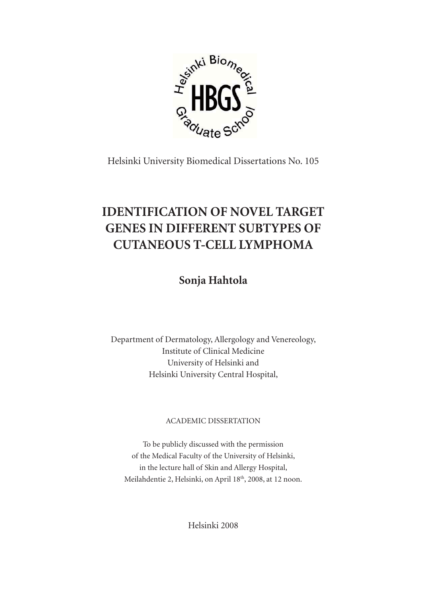

Helsinki University Biomedical Dissertations No. 105

# **IDENTIFICATION OF NOVEL TARGET GENES IN DIFFERENT SUBTYPES OF CUTANEOUS T-CELL LYMPHOMA**

## **Sonja Hahtola**

Department of Dermatology, Allergology and Venereology, Institute of Clinical Medicine University of Helsinki and Helsinki University Central Hospital,

#### ACADEMIC DISSERTATION

To be publicly discussed with the permission of the Medical Faculty of the University of Helsinki, in the lecture hall of Skin and Allergy Hospital, Meilahdentie 2, Helsinki, on April 18<sup>th</sup>, 2008, at 12 noon.

Helsinki 2008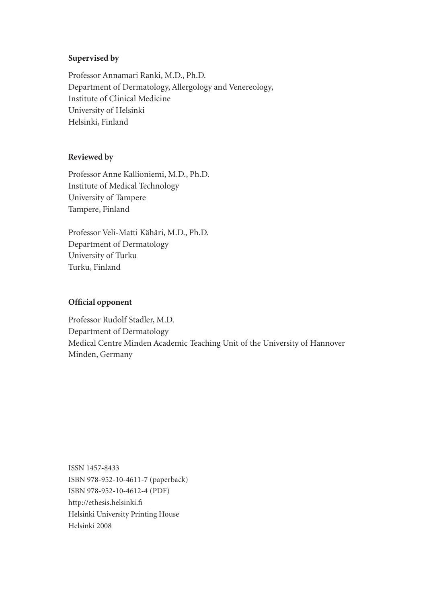#### **Supervised by**

Professor Annamari Ranki, M.D., Ph.D. Department of Dermatology, Allergology and Venereology, Institute of Clinical Medicine University of Helsinki Helsinki, Finland

#### **Reviewed by**

Professor Anne Kallioniemi, M.D., Ph.D. Institute of Medical Technology University of Tampere Tampere, Finland

Professor Veli-Matti Kähäri, M.D., Ph.D. Department of Dermatology University of Turku Turku, Finland

#### **Official opponent**

Professor Rudolf Stadler, M.D. Department of Dermatology Medical Centre Minden Academic Teaching Unit of the University of Hannover Minden, Germany

ISSN 1457-8433 ISBN 978-952-10-4611-7 (paperback) ISBN 978-952-10-4612-4 (PDF) http://ethesis.helsinki.fi Helsinki University Printing House Helsinki 2008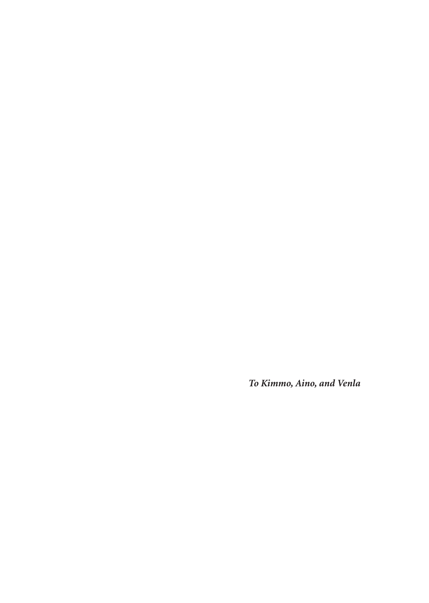*To Kimmo, Aino, and Venla*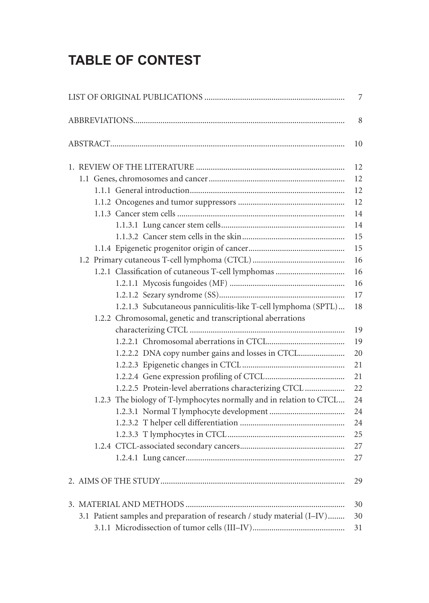# **TABLE OF CONTEST**

|                                                                         | 7  |
|-------------------------------------------------------------------------|----|
|                                                                         | 8  |
|                                                                         | 10 |
|                                                                         | 12 |
|                                                                         | 12 |
|                                                                         | 12 |
|                                                                         | 12 |
|                                                                         | 14 |
|                                                                         | 14 |
|                                                                         | 15 |
|                                                                         | 15 |
|                                                                         | 16 |
|                                                                         | 16 |
|                                                                         | 16 |
|                                                                         | 17 |
| 1.2.1.3 Subcutaneous panniculitis-like T-cell lymphoma (SPTL)           | 18 |
| 1.2.2 Chromosomal, genetic and transcriptional aberrations              |    |
|                                                                         | 19 |
|                                                                         | 19 |
| 1.2.2.2 DNA copy number gains and losses in CTCL                        | 20 |
|                                                                         | 21 |
|                                                                         | 21 |
| 1.2.2.5 Protein-level aberrations characterizing CTCL                   | 22 |
| 1.2.3 The biology of T-lymphocytes normally and in relation to CTCL     | 24 |
|                                                                         | 24 |
|                                                                         | 24 |
|                                                                         | 25 |
|                                                                         | 27 |
|                                                                         | 27 |
|                                                                         | 29 |
|                                                                         | 30 |
| 3.1 Patient samples and preparation of research / study material (I-IV) | 30 |
|                                                                         | 31 |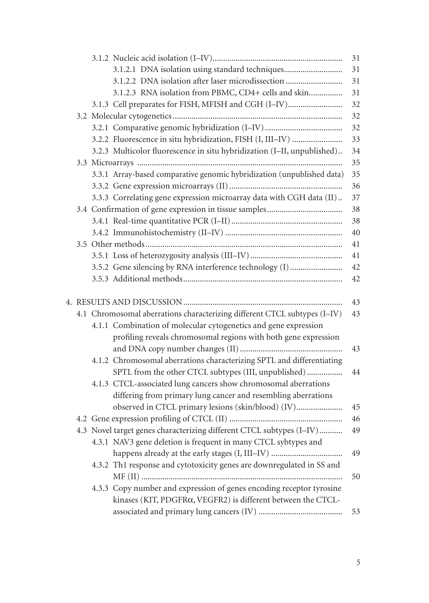|  |                                                                           | 31 |
|--|---------------------------------------------------------------------------|----|
|  | 3.1.2.1 DNA isolation using standard techniques                           | 31 |
|  | 3.1.2.2 DNA isolation after laser microdissection                         | 31 |
|  | 3.1.2.3 RNA isolation from PBMC, CD4+ cells and skin                      | 31 |
|  | 3.1.3 Cell preparates for FISH, MFISH and CGH (I-IV)                      | 32 |
|  |                                                                           | 32 |
|  |                                                                           | 32 |
|  | 3.2.2 Fluorescence in situ hybridization, FISH (I, III-IV)                | 33 |
|  | 3.2.3 Multicolor fluorescence in situ hybridization (I-II, unpublished)   | 34 |
|  |                                                                           | 35 |
|  | 3.3.1 Array-based comparative genomic hybridization (unpublished data)    | 35 |
|  |                                                                           | 36 |
|  | 3.3.3 Correlating gene expression microarray data with CGH data (II)      | 37 |
|  |                                                                           | 38 |
|  |                                                                           | 38 |
|  |                                                                           | 40 |
|  |                                                                           | 41 |
|  |                                                                           | 41 |
|  | 3.5.2 Gene silencing by RNA interference technology (I)                   | 42 |
|  |                                                                           | 42 |
|  |                                                                           | 43 |
|  | 4.1 Chromosomal aberrations characterizing different CTCL subtypes (I-IV) | 43 |
|  | 4.1.1 Combination of molecular cytogenetics and gene expression           |    |
|  | profiling reveals chromosomal regions with both gene expression           |    |
|  |                                                                           | 43 |
|  | 4.1.2 Chromosomal aberrations characterizing SPTL and differentiating     |    |
|  | SPTL from the other CTCL subtypes (III, unpublished)                      | 44 |
|  | 4.1.3 CTCL-associated lung cancers show chromosomal aberrations           |    |
|  | differing from primary lung cancer and resembling aberrations             |    |
|  | observed in CTCL primary lesions (skin/blood) (IV)                        | 45 |
|  |                                                                           | 46 |
|  | 4.3 Novel target genes characterizing different CTCL subtypes (I-IV)      | 49 |
|  | 4.3.1 NAV3 gene deletion is frequent in many CTCL sybtypes and            |    |
|  |                                                                           | 49 |
|  | 4.3.2 Th1 response and cytotoxicity genes are downregulated in SS and     |    |
|  |                                                                           | 50 |
|  | 4.3.3 Copy number and expression of genes encoding receptor tyrosine      |    |
|  |                                                                           |    |
|  | kinases (KIT, PDGFRα, VEGFR2) is different between the CTCL-              |    |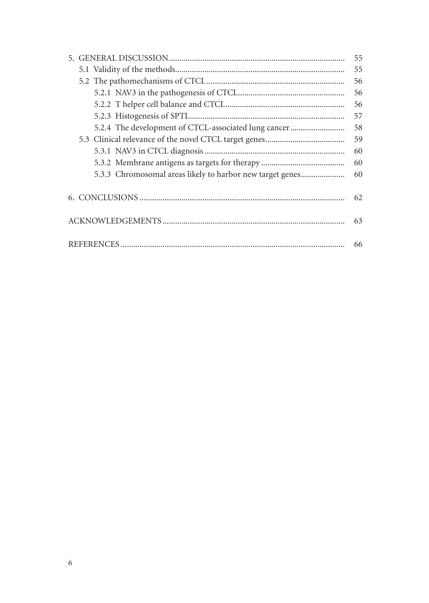|                                                           | 55 |  |
|-----------------------------------------------------------|----|--|
|                                                           | 56 |  |
|                                                           | 56 |  |
|                                                           | 56 |  |
|                                                           | 57 |  |
| 5.2.4 The development of CTCL-associated lung cancer      | 58 |  |
|                                                           | 59 |  |
|                                                           | 60 |  |
|                                                           | 60 |  |
| 5.3.3 Chromosomal areas likely to harbor new target genes | 60 |  |
|                                                           | 62 |  |
|                                                           | 63 |  |
|                                                           | 66 |  |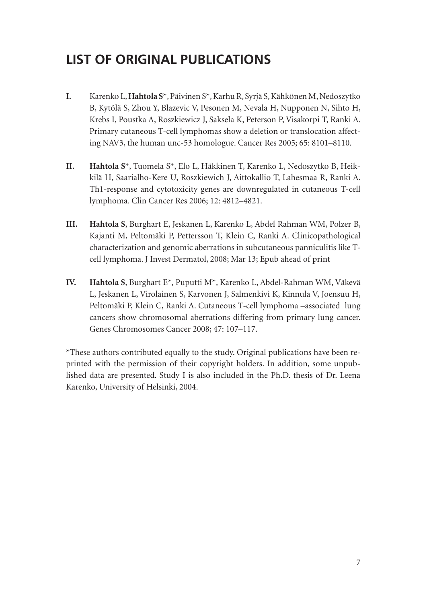# **LIST OF ORIGINAL PUBLICATIONS**

- **I.** Karenko L, **Hahtola S**\*, Päivinen S\*, Karhu R, Syrjä S, Kähkönen M, Nedoszytko B, Kytölä S, Zhou Y, Blazevic V, Pesonen M, Nevala H, Nupponen N, Sihto H, Krebs I, Poustka A, Roszkiewicz J, Saksela K, Peterson P, Visakorpi T, Ranki A. Primary cutaneous T-cell lymphomas show a deletion or translocation affecting NAV3, the human unc-53 homologue. Cancer Res 2005; 65: 8101–8110.
- **II. Hahtola S**\*, Tuomela S\*, Elo L, Häkkinen T, Karenko L, Nedoszytko B, Heikkilä H, Saarialho-Kere U, Roszkiewich J, Aittokallio T, Lahesmaa R, Ranki A. Th1-response and cytotoxicity genes are downregulated in cutaneous T-cell lymphoma. Clin Cancer Res 2006; 12: 4812–4821.
- **III. Hahtola S**, Burghart E, Jeskanen L, Karenko L, Abdel Rahman WM, Polzer B, Kajanti M, Peltomäki P, Pettersson T, Klein C, Ranki A. Clinicopathological characterization and genomic aberrations in subcutaneous panniculitis like Tcell lymphoma. J Invest Dermatol, 2008; Mar 13; Epub ahead of print
- **IV. Hahtola S**, Burghart E\*, Puputti M\*, Karenko L, Abdel-Rahman WM, Väkevä L, Jeskanen L, Virolainen S, Karvonen J, Salmenkivi K, Kinnula V, Joensuu H, Peltomäki P, Klein C, Ranki A. Cutaneous T-cell lymphoma –associated lung cancers show chromosomal aberrations differing from primary lung cancer. Genes Chromosomes Cancer 2008; 47: 107–117.

\*These authors contributed equally to the study. Original publications have been reprinted with the permission of their copyright holders. In addition, some unpublished data are presented. Study I is also included in the Ph.D. thesis of Dr. Leena Karenko, University of Helsinki, 2004.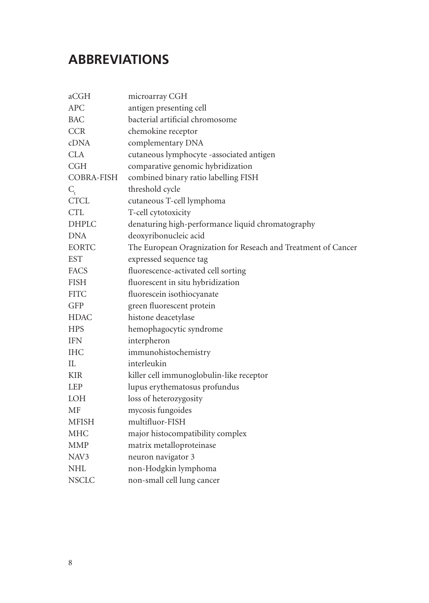# **ABBREVIATIONS**

| aCGH           | microarray CGH                                                |
|----------------|---------------------------------------------------------------|
| <b>APC</b>     | antigen presenting cell                                       |
| <b>BAC</b>     | bacterial artificial chromosome                               |
| <b>CCR</b>     | chemokine receptor                                            |
| cDNA           | complementary DNA                                             |
| <b>CLA</b>     | cutaneous lymphocyte -associated antigen                      |
| CGH            | comparative genomic hybridization                             |
| COBRA-FISH     | combined binary ratio labelling FISH                          |
| $C_{\text{t}}$ | threshold cycle                                               |
| <b>CTCL</b>    | cutaneous T-cell lymphoma                                     |
| <b>CTL</b>     | T-cell cytotoxicity                                           |
| <b>DHPLC</b>   | denaturing high-performance liquid chromatography             |
| <b>DNA</b>     | deoxyribonucleic acid                                         |
| <b>EORTC</b>   | The European Oragnization for Reseach and Treatment of Cancer |
| <b>EST</b>     | expressed sequence tag                                        |
| <b>FACS</b>    | fluorescence-activated cell sorting                           |
| <b>FISH</b>    | fluorescent in situ hybridization                             |
| <b>FITC</b>    | fluorescein isothiocyanate                                    |
| <b>GFP</b>     | green fluorescent protein                                     |
| <b>HDAC</b>    | histone deacetylase                                           |
| <b>HPS</b>     | hemophagocytic syndrome                                       |
| <b>IFN</b>     | interpheron                                                   |
| <b>IHC</b>     | immunohistochemistry                                          |
| IL             | interleukin                                                   |
| <b>KIR</b>     | killer cell immunoglobulin-like receptor                      |
| <b>LEP</b>     | lupus erythematosus profundus                                 |
| <b>LOH</b>     | loss of heterozygosity                                        |
| MF             | mycosis fungoides                                             |
| <b>MFISH</b>   | multifluor-FISH                                               |
| MHC            | major histocompatibility complex                              |
| <b>MMP</b>     | matrix metalloproteinase                                      |
| NAV3           | neuron navigator 3                                            |
| <b>NHL</b>     | non-Hodgkin lymphoma                                          |
| <b>NSCLC</b>   | non-small cell lung cancer                                    |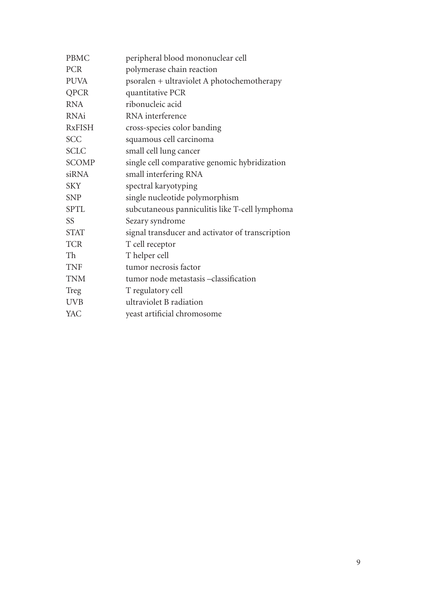| peripheral blood mononuclear cell                |
|--------------------------------------------------|
| polymerase chain reaction                        |
| psoralen + ultraviolet A photochemotherapy       |
| quantitative PCR                                 |
| ribonucleic acid                                 |
| RNA interference                                 |
| cross-species color banding                      |
| squamous cell carcinoma                          |
| small cell lung cancer                           |
| single cell comparative genomic hybridization    |
| small interfering RNA                            |
| spectral karyotyping                             |
| single nucleotide polymorphism                   |
| subcutaneous panniculitis like T-cell lymphoma   |
| Sezary syndrome                                  |
| signal transducer and activator of transcription |
| T cell receptor                                  |
| T helper cell                                    |
| tumor necrosis factor                            |
| tumor node metastasis -classification            |
| T regulatory cell                                |
| ultraviolet B radiation                          |
| yeast artificial chromosome                      |
|                                                  |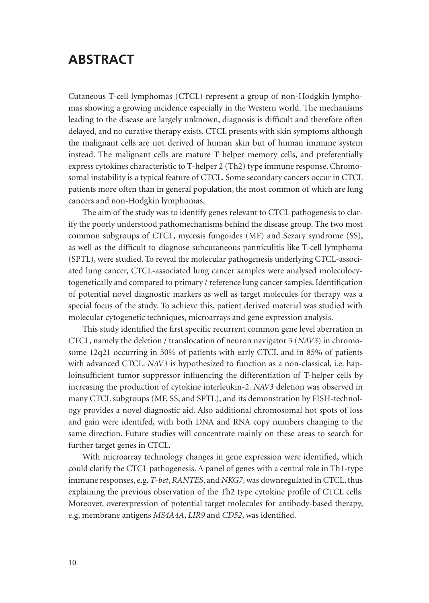## **ABSTRACT**

Cutaneous T-cell lymphomas (CTCL) represent a group of non-Hodgkin lymphomas showing a growing incidence especially in the Western world. The mechanisms leading to the disease are largely unknown, diagnosis is difficult and therefore often delayed, and no curative therapy exists. CTCL presents with skin symptoms although the malignant cells are not derived of human skin but of human immune system instead. The malignant cells are mature T helper memory cells, and preferentially express cytokines characteristic to T-helper 2 (Th2) type immune response. Chromosomal instability is a typical feature of CTCL. Some secondary cancers occur in CTCL patients more often than in general population, the most common of which are lung cancers and non-Hodgkin lymphomas.

The aim of the study was to identify genes relevant to CTCL pathogenesis to clarify the poorly understood pathomechanisms behind the disease group. The two most common subgroups of CTCL, mycosis fungoides (MF) and Sezary syndrome (SS), as well as the difficult to diagnose subcutaneous panniculitis like T-cell lymphoma (SPTL), were studied. To reveal the molecular pathogenesis underlying CTCL-associated lung cancer, CTCL-associated lung cancer samples were analysed moleculocytogenetically and compared to primary / reference lung cancer samples. Identification of potential novel diagnostic markers as well as target molecules for therapy was a special focus of the study. To achieve this, patient derived material was studied with molecular cytogenetic techniques, microarrays and gene expression analysis.

This study identified the first specific recurrent common gene level aberration in CTCL, namely the deletion / translocation of neuron navigator 3 (*NAV3*) in chromosome 12q21 occurring in 50% of patients with early CTCL and in 85% of patients with advanced CTCL. *NAV3* is hypothesized to function as a non-classical, i.e. haploinsufficient tumor suppressor influencing the differentiation of T-helper cells by increasing the production of cytokine interleukin-2. *NAV3* deletion was observed in many CTCL subgroups (MF, SS, and SPTL), and its demonstration by FISH-technology provides a novel diagnostic aid. Also additional chromosomal hot spots of loss and gain were identifed, with both DNA and RNA copy numbers changing to the same direction. Future studies will concentrate mainly on these areas to search for further target genes in CTCL.

With microarray technology changes in gene expression were identified, which could clarify the CTCL pathogenesis. A panel of genes with a central role in Th1-type immune responses, e.g. *T-bet*, *RANTES*, and *NKG7*, was downregulated in CTCL, thus explaining the previous observation of the Th2 type cytokine profile of CTCL cells. Moreover, overexpression of potential target molecules for antibody-based therapy, e.g. membrane antigens *MS4A4A*, *LIR9* and *CD52*, was identified.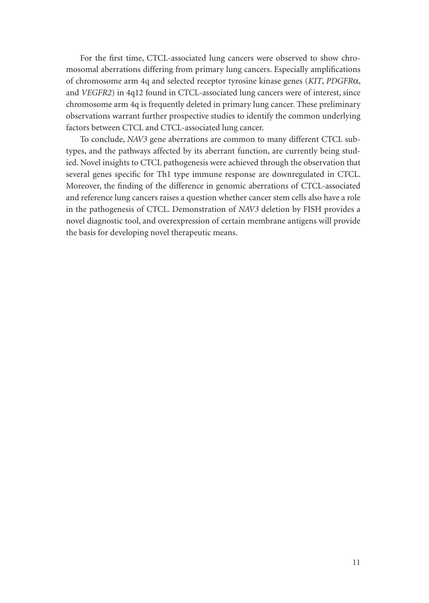For the first time, CTCL-associated lung cancers were observed to show chromosomal aberrations differing from primary lung cancers. Especially amplifications of chromosome arm 4q and selected receptor tyrosine kinase genes (*KIT*, *PDGFR*α, and *VEGFR2*) in 4q12 found in CTCL-associated lung cancers were of interest, since chromosome arm 4q is frequently deleted in primary lung cancer. These preliminary observations warrant further prospective studies to identify the common underlying factors between CTCL and CTCL-associated lung cancer.

To conclude, *NAV3* gene aberrations are common to many different CTCL subtypes, and the pathways affected by its aberrant function, are currently being studied. Novel insights to CTCL pathogenesis were achieved through the observation that several genes specific for Th1 type immune response are downregulated in CTCL. Moreover, the finding of the difference in genomic aberrations of CTCL-associated and reference lung cancers raises a question whether cancer stem cells also have a role in the pathogenesis of CTCL. Demonstration of *NAV3* deletion by FISH provides a novel diagnostic tool, and overexpression of certain membrane antigens will provide the basis for developing novel therapeutic means.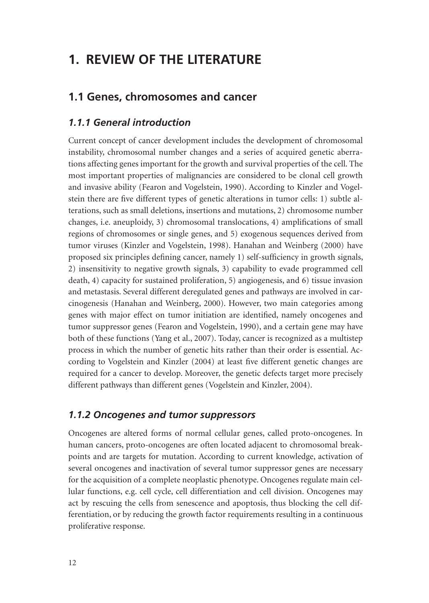## **1. REVIEW OF THE LITERATURE**

## **1.1 Genes, chromosomes and cancer**

#### *1.1.1 General introduction*

Current concept of cancer development includes the development of chromosomal instability, chromosomal number changes and a series of acquired genetic aberrations affecting genes important for the growth and survival properties of the cell. The most important properties of malignancies are considered to be clonal cell growth and invasive ability (Fearon and Vogelstein, 1990). According to Kinzler and Vogelstein there are five different types of genetic alterations in tumor cells: 1) subtle alterations, such as small deletions, insertions and mutations, 2) chromosome number changes, i.e. aneuploidy, 3) chromosomal translocations, 4) amplifications of small regions of chromosomes or single genes, and 5) exogenous sequences derived from tumor viruses (Kinzler and Vogelstein, 1998). Hanahan and Weinberg (2000) have proposed six principles defining cancer, namely 1) self-sufficiency in growth signals, 2) insensitivity to negative growth signals, 3) capability to evade programmed cell death, 4) capacity for sustained proliferation, 5) angiogenesis, and 6) tissue invasion and metastasis. Several different deregulated genes and pathways are involved in carcinogenesis (Hanahan and Weinberg, 2000). However, two main categories among genes with major effect on tumor initiation are identified, namely oncogenes and tumor suppressor genes (Fearon and Vogelstein, 1990), and a certain gene may have both of these functions (Yang et al., 2007). Today, cancer is recognized as a multistep process in which the number of genetic hits rather than their order is essential. According to Vogelstein and Kinzler (2004) at least five different genetic changes are required for a cancer to develop. Moreover, the genetic defects target more precisely different pathways than different genes (Vogelstein and Kinzler, 2004).

#### *1.1.2 Oncogenes and tumor suppressors*

Oncogenes are altered forms of normal cellular genes, called proto-oncogenes. In human cancers, proto-oncogenes are often located adjacent to chromosomal breakpoints and are targets for mutation. According to current knowledge, activation of several oncogenes and inactivation of several tumor suppressor genes are necessary for the acquisition of a complete neoplastic phenotype. Oncogenes regulate main cellular functions, e.g. cell cycle, cell differentiation and cell division. Oncogenes may act by rescuing the cells from senescence and apoptosis, thus blocking the cell differentiation, or by reducing the growth factor requirements resulting in a continuous proliferative response.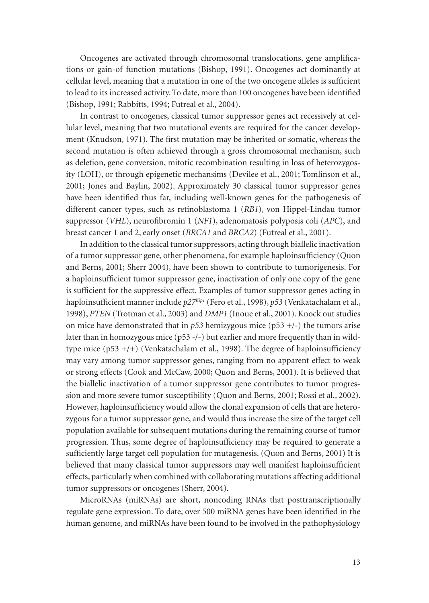Oncogenes are activated through chromosomal translocations, gene amplifications or gain-of function mutations (Bishop, 1991). Oncogenes act dominantly at cellular level, meaning that a mutation in one of the two oncogene alleles is sufficient to lead to its increased activity. To date, more than 100 oncogenes have been identified (Bishop, 1991; Rabbitts, 1994; Futreal et al., 2004).

In contrast to oncogenes, classical tumor suppressor genes act recessively at cellular level, meaning that two mutational events are required for the cancer development (Knudson, 1971). The first mutation may be inherited or somatic, whereas the second mutation is often achieved through a gross chromosomal mechanism, such as deletion, gene conversion, mitotic recombination resulting in loss of heterozygosity (LOH), or through epigenetic mechansims (Devilee et al., 2001; Tomlinson et al., 2001; Jones and Baylin, 2002). Approximately 30 classical tumor suppressor genes have been identified thus far, including well-known genes for the pathogenesis of different cancer types, such as retinoblastoma 1 (*RB1*), von Hippel-Lindau tumor suppressor (*VHL*), neurofibromin 1 (*NF1*), adenomatosis polyposis coli (*APC*), and breast cancer 1 and 2, early onset (*BRCA1* and *BRCA2*) (Futreal et al., 2001).

In addition to the classical tumor suppressors, acting through biallelic inactivation of a tumor suppressor gene, other phenomena, for example haploinsufficiency (Quon and Berns, 2001; Sherr 2004), have been shown to contribute to tumorigenesis. For a haploinsufficient tumor suppressor gene, inactivation of only one copy of the gene is sufficient for the suppressive effect. Examples of tumor suppressor genes acting in haploinsufficient manner include  $p27^{Kip1}$  (Fero et al., 1998),  $p53$  (Venkatachalam et al., 1998), *PTEN* (Trotman et al., 2003) and *DMP1* (Inoue et al., 2001). Knock out studies on mice have demonstrated that in *p53* hemizygous mice (p53 +/-) the tumors arise later than in homozygous mice (p53 -/-) but earlier and more frequently than in wildtype mice ( $p53 +/+$ ) (Venkatachalam et al., 1998). The degree of haploinsufficiency may vary among tumor suppressor genes, ranging from no apparent effect to weak or strong effects (Cook and McCaw, 2000; Quon and Berns, 2001). It is believed that the biallelic inactivation of a tumor suppressor gene contributes to tumor progression and more severe tumor susceptibility (Quon and Berns, 2001; Rossi et al., 2002). However, haploinsufficiency would allow the clonal expansion of cells that are heterozygous for a tumor suppressor gene, and would thus increase the size of the target cell population available for subsequent mutations during the remaining course of tumor progression. Thus, some degree of haploinsufficiency may be required to generate a sufficiently large target cell population for mutagenesis. (Quon and Berns, 2001) It is believed that many classical tumor suppressors may well manifest haploinsufficient effects, particularly when combined with collaborating mutations affecting additional tumor suppressors or oncogenes (Sherr, 2004).

MicroRNAs (miRNAs) are short, noncoding RNAs that posttranscriptionally regulate gene expression. To date, over 500 miRNA genes have been identified in the human genome, and miRNAs have been found to be involved in the pathophysiology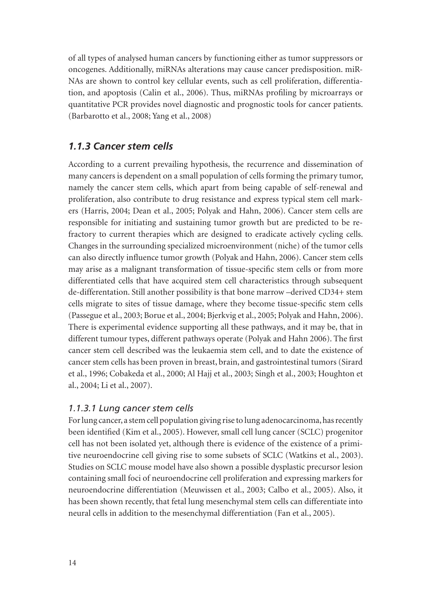of all types of analysed human cancers by functioning either as tumor suppressors or oncogenes. Additionally, miRNAs alterations may cause cancer predisposition. miR-NAs are shown to control key cellular events, such as cell proliferation, differentiation, and apoptosis (Calin et al., 2006). Thus, miRNAs profiling by microarrays or quantitative PCR provides novel diagnostic and prognostic tools for cancer patients. (Barbarotto et al., 2008; Yang et al., 2008)

#### *1.1.3 Cancer stem cells*

According to a current prevailing hypothesis, the recurrence and dissemination of many cancers is dependent on a small population of cells forming the primary tumor, namely the cancer stem cells, which apart from being capable of self-renewal and proliferation, also contribute to drug resistance and express typical stem cell markers (Harris, 2004; Dean et al., 2005; Polyak and Hahn, 2006). Cancer stem cells are responsible for initiating and sustaining tumor growth but are predicted to be refractory to current therapies which are designed to eradicate actively cycling cells. Changes in the surrounding specialized microenvironment (niche) of the tumor cells can also directly influence tumor growth (Polyak and Hahn, 2006). Cancer stem cells may arise as a malignant transformation of tissue-specific stem cells or from more differentiated cells that have acquired stem cell characteristics through subsequent de-differentation. Still another possibility is that bone marrow –derived CD34+ stem cells migrate to sites of tissue damage, where they become tissue-specific stem cells (Passegue et al., 2003; Borue et al., 2004; Bjerkvig et al., 2005; Polyak and Hahn, 2006). There is experimental evidence supporting all these pathways, and it may be, that in different tumour types, different pathways operate (Polyak and Hahn 2006). The first cancer stem cell described was the leukaemia stem cell, and to date the existence of cancer stem cells has been proven in breast, brain, and gastrointestinal tumors (Sirard et al., 1996; Cobakeda et al., 2000; Al Hajj et al., 2003; Singh et al., 2003; Houghton et al., 2004; Li et al., 2007).

#### *1.1.3.1 Lung cancer stem cells*

For lung cancer, a stem cell population giving rise to lung adenocarcinoma, has recently been identified (Kim et al., 2005). However, small cell lung cancer (SCLC) progenitor cell has not been isolated yet, although there is evidence of the existence of a primitive neuroendocrine cell giving rise to some subsets of SCLC (Watkins et al., 2003). Studies on SCLC mouse model have also shown a possible dysplastic precursor lesion containing small foci of neuroendocrine cell proliferation and expressing markers for neuroendocrine differentiation (Meuwissen et al., 2003; Calbo et al., 2005). Also, it has been shown recently, that fetal lung mesenchymal stem cells can differentiate into neural cells in addition to the mesenchymal differentiation (Fan et al., 2005).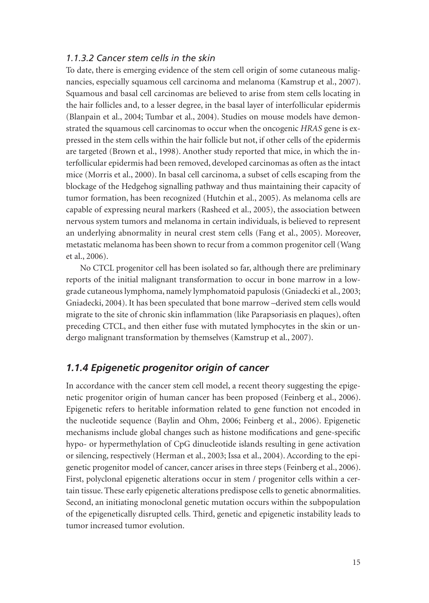#### *1.1.3.2 Cancer stem cells in the skin*

To date, there is emerging evidence of the stem cell origin of some cutaneous malignancies, especially squamous cell carcinoma and melanoma (Kamstrup et al., 2007). Squamous and basal cell carcinomas are believed to arise from stem cells locating in the hair follicles and, to a lesser degree, in the basal layer of interfollicular epidermis (Blanpain et al., 2004; Tumbar et al., 2004). Studies on mouse models have demonstrated the squamous cell carcinomas to occur when the oncogenic *HRAS* gene is expressed in the stem cells within the hair follicle but not, if other cells of the epidermis are targeted (Brown et al., 1998). Another study reported that mice, in which the interfollicular epidermis had been removed, developed carcinomas as often as the intact mice (Morris et al., 2000). In basal cell carcinoma, a subset of cells escaping from the blockage of the Hedgehog signalling pathway and thus maintaining their capacity of tumor formation, has been recognized (Hutchin et al., 2005). As melanoma cells are capable of expressing neural markers (Rasheed et al., 2005), the association between nervous system tumors and melanoma in certain individuals, is believed to represent an underlying abnormality in neural crest stem cells (Fang et al., 2005). Moreover, metastatic melanoma has been shown to recur from a common progenitor cell (Wang et al., 2006).

No CTCL progenitor cell has been isolated so far, although there are preliminary reports of the initial malignant transformation to occur in bone marrow in a lowgrade cutaneous lymphoma, namely lymphomatoid papulosis (Gniadecki et al., 2003; Gniadecki, 2004). It has been speculated that bone marrow –derived stem cells would migrate to the site of chronic skin inflammation (like Parapsoriasis en plaques), often preceding CTCL, and then either fuse with mutated lymphocytes in the skin or undergo malignant transformation by themselves (Kamstrup et al., 2007).

#### *1.1.4 Epigenetic progenitor origin of cancer*

In accordance with the cancer stem cell model, a recent theory suggesting the epigenetic progenitor origin of human cancer has been proposed (Feinberg et al., 2006). Epigenetic refers to heritable information related to gene function not encoded in the nucleotide sequence (Baylin and Ohm, 2006; Feinberg et al., 2006). Epigenetic mechanisms include global changes such as histone modifications and gene-specific hypo- or hypermethylation of CpG dinucleotide islands resulting in gene activation or silencing, respectively (Herman et al., 2003; Issa et al., 2004). According to the epigenetic progenitor model of cancer, cancer arises in three steps (Feinberg et al., 2006). First, polyclonal epigenetic alterations occur in stem / progenitor cells within a certain tissue. These early epigenetic alterations predispose cells to genetic abnormalities. Second, an initiating monoclonal genetic mutation occurs within the subpopulation of the epigenetically disrupted cells. Third, genetic and epigenetic instability leads to tumor increased tumor evolution.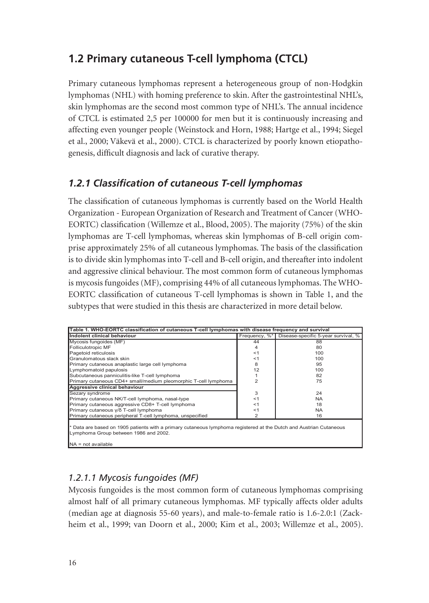## **1.2 Primary cutaneous T-cell lymphoma (CTCL)**

Primary cutaneous lymphomas represent a heterogeneous group of non-Hodgkin lymphomas (NHL) with homing preference to skin. After the gastrointestinal NHL's, skin lymphomas are the second most common type of NHL's. The annual incidence of CTCL is estimated 2,5 per 100000 for men but it is continuously increasing and affecting even younger people (Weinstock and Horn, 1988; Hartge et al., 1994; Siegel et al., 2000; Väkevä et al., 2000). CTCL is characterized by poorly known etiopathogenesis, difficult diagnosis and lack of curative therapy.

## *1.2.1 Classifi cation of cutaneous T-cell lymphomas*

The classification of cutaneous lymphomas is currently based on the World Health Organization - European Organization of Research and Treatment of Cancer (WHO-EORTC) classification (Willemze et al., Blood, 2005). The majority (75%) of the skin lymphomas are T-cell lymphomas, whereas skin lymphomas of B-cell origin comprise approximately 25% of all cutaneous lymphomas. The basis of the classification is to divide skin lymphomas into T-cell and B-cell origin, and thereafter into indolent and aggressive clinical behaviour. The most common form of cutaneous lymphomas is mycosis fungoides (MF), comprising 44% of all cutaneous lymphomas. The WHO-EORTC classification of cutaneous T-cell lymphomas is shown in Table 1, and the subtypes that were studied in this thesis are characterized in more detail below.

| Indolent clinical behaviour                                                                                                                                                          |                | Frequency, %*   Disease-specific 5-year survival, % |  |
|--------------------------------------------------------------------------------------------------------------------------------------------------------------------------------------|----------------|-----------------------------------------------------|--|
| Mycosis fungoides (MF)                                                                                                                                                               | 44             | 88                                                  |  |
| Folliculotropic MF                                                                                                                                                                   | 4              | 80                                                  |  |
| Pagetoid reticulosis                                                                                                                                                                 | < 1            | 100                                                 |  |
| Granulomatous slack skin                                                                                                                                                             | < 1            | 100                                                 |  |
| Primary cutaneous anaplastic large cell lymphoma                                                                                                                                     | 8              | 95                                                  |  |
| Lymphomatoid papulosis                                                                                                                                                               | 12             | 100                                                 |  |
| Subcutaneous panniculitis-like T-cell lymphoma                                                                                                                                       |                | 82                                                  |  |
| Primary cutaneous CD4+ small/medium pleomorphic T-cell lymphoma                                                                                                                      | $\overline{2}$ | 75                                                  |  |
| Aggressive clinical behaviour                                                                                                                                                        |                |                                                     |  |
| Sezary syndrome                                                                                                                                                                      | 3              | 24                                                  |  |
| Primary cutaneous NK/T-cell lymphoma, nasal-type                                                                                                                                     | < 1            | <b>NA</b>                                           |  |
| Primary cutaneous aggressive CD8+ T-cell lymphoma                                                                                                                                    | < 1            | 18                                                  |  |
| Primary cutaneous y/o T-cell lymphoma                                                                                                                                                | < 1            | <b>NA</b>                                           |  |
| Primary cutaneous peripheral T-cell lymphoma, unspecified                                                                                                                            | 2              | 16                                                  |  |
| * Data are based on 1905 patients with a primary cutaneous lymphoma registered at the Dutch and Austrian Cutaneous<br>Lymphoma Group between 1986 and 2002.<br>$INA = not available$ |                |                                                     |  |

## *1.2.1.1 Mycosis fungoides (MF)*

Mycosis fungoides is the most common form of cutaneous lymphomas comprising almost half of all primary cutaneous lymphomas. MF typically affects older adults (median age at diagnosis 55-60 years), and male-to-female ratio is 1.6-2.0:1 (Zackheim et al., 1999; van Doorn et al., 2000; Kim et al., 2003; Willemze et al., 2005).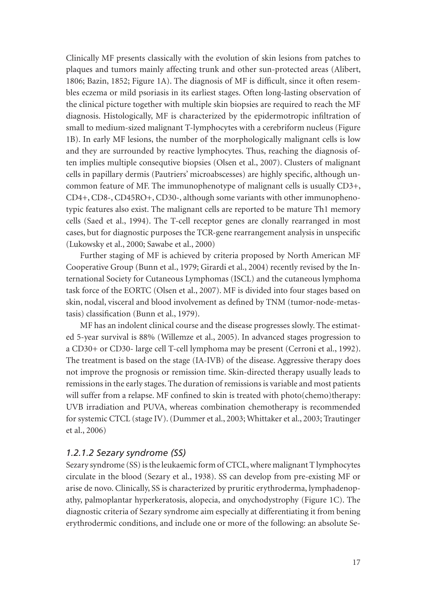Clinically MF presents classically with the evolution of skin lesions from patches to plaques and tumors mainly affecting trunk and other sun-protected areas (Alibert, 1806; Bazin, 1852; Figure 1A). The diagnosis of MF is difficult, since it often resembles eczema or mild psoriasis in its earliest stages. Often long-lasting observation of the clinical picture together with multiple skin biopsies are required to reach the MF diagnosis. Histologically, MF is characterized by the epidermotropic infiltration of small to medium-sized malignant T-lymphocytes with a cerebriform nucleus (Figure 1B). In early MF lesions, the number of the morphologically malignant cells is low and they are surrounded by reactive lymphocytes. Thus, reaching the diagnosis often implies multiple consequtive biopsies (Olsen et al., 2007). Clusters of malignant cells in papillary dermis (Pautriers' microabscesses) are highly specific, although uncommon feature of MF. The immunophenotype of malignant cells is usually CD3+, CD4+, CD8-, CD45RO+, CD30-, although some variants with other immunophenotypic features also exist. The malignant cells are reported to be mature Th1 memory cells (Saed et al., 1994). The T-cell receptor genes are clonally rearranged in most cases, but for diagnostic purposes the TCR-gene rearrangement analysis in unspecific (Lukowsky et al., 2000; Sawabe et al., 2000)

Further staging of MF is achieved by criteria proposed by North American MF Cooperative Group (Bunn et al., 1979; Girardi et al., 2004) recently revised by the International Society for Cutaneous Lymphomas (ISCL) and the cutaneous lymphoma task force of the EORTC (Olsen et al., 2007). MF is divided into four stages based on skin, nodal, visceral and blood involvement as defined by TNM (tumor-node-metastasis) classification (Bunn et al., 1979).

MF has an indolent clinical course and the disease progresses slowly. The estimated 5-year survival is 88% (Willemze et al., 2005). In advanced stages progression to a CD30+ or CD30- large cell T-cell lymphoma may be present (Cerroni et al., 1992). The treatment is based on the stage (IA-IVB) of the disease. Aggressive therapy does not improve the prognosis or remission time. Skin-directed therapy usually leads to remissions in the early stages. The duration of remissions is variable and most patients will suffer from a relapse. MF confined to skin is treated with photo(chemo)therapy: UVB irradiation and PUVA, whereas combination chemotherapy is recommended for systemic CTCL (stage IV). (Dummer et al., 2003; Whittaker et al., 2003; Trautinger et al., 2006)

#### *1.2.1.2 Sezary syndrome (SS)*

Sezary syndrome (SS) is the leukaemic form of CTCL, where malignant T lymphocytes circulate in the blood (Sezary et al., 1938). SS can develop from pre-existing MF or arise de novo. Clinically, SS is characterized by pruritic erythroderma, lymphadenopathy, palmoplantar hyperkeratosis, alopecia, and onychodystrophy (Figure 1C). The diagnostic criteria of Sezary syndrome aim especially at differentiating it from bening erythrodermic conditions, and include one or more of the following: an absolute Se-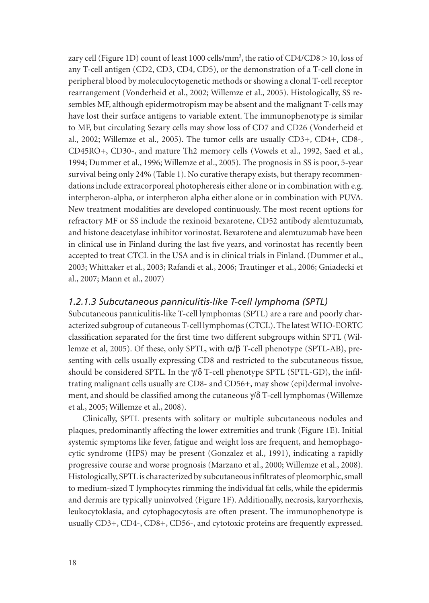zary cell (Figure 1D) count of least 1000 cells/mm<sup>3</sup>, the ratio of CD4/CD8 > 10, loss of any T-cell antigen (CD2, CD3, CD4, CD5), or the demonstration of a T-cell clone in peripheral blood by moleculocytogenetic methods or showing a clonal T-cell receptor rearrangement (Vonderheid et al., 2002; Willemze et al., 2005). Histologically, SS resembles MF, although epidermotropism may be absent and the malignant T-cells may have lost their surface antigens to variable extent. The immunophenotype is similar to MF, but circulating Sezary cells may show loss of CD7 and CD26 (Vonderheid et al., 2002; Willemze et al., 2005). The tumor cells are usually CD3+, CD4+, CD8-, CD45RO+, CD30-, and mature Th2 memory cells (Vowels et al., 1992, Saed et al., 1994; Dummer et al., 1996; Willemze et al., 2005). The prognosis in SS is poor, 5-year survival being only 24% (Table 1). No curative therapy exists, but therapy recommendations include extracorporeal photopheresis either alone or in combination with e.g. interpheron-alpha, or interpheron alpha either alone or in combination with PUVA. New treatment modalities are developed continuously. The most recent options for refractory MF or SS include the rexinoid bexarotene, CD52 antibody alemtuzumab, and histone deacetylase inhibitor vorinostat. Bexarotene and alemtuzumab have been in clinical use in Finland during the last five years, and vorinostat has recently been accepted to treat CTCL in the USA and is in clinical trials in Finland. (Dummer et al., 2003; Whittaker et al., 2003; Rafandi et al., 2006; Trautinger et al., 2006; Gniadecki et al., 2007; Mann et al., 2007)

#### *1.2.1.3 Subcutaneous panniculitis-like T-cell lymphoma (SPTL)*

Subcutaneous panniculitis-like T-cell lymphomas (SPTL) are a rare and poorly characterized subgroup of cutaneous T-cell lymphomas (CTCL). The latest WHO-EORTC classification separated for the first time two different subgroups within SPTL (Willemze et al, 2005). Of these, only SPTL, with α/β T-cell phenotype (SPTL-AB), presenting with cells usually expressing CD8 and restricted to the subcutaneous tissue, should be considered SPTL. In the  $\gamma/\delta$  T-cell phenotype SPTL (SPTL-GD), the infiltrating malignant cells usually are CD8- and CD56+, may show (epi)dermal involvement, and should be classified among the cutaneous  $\gamma/\delta$  T-cell lymphomas (Willemze et al., 2005; Willemze et al., 2008).

Clinically, SPTL presents with solitary or multiple subcutaneous nodules and plaques, predominantly affecting the lower extremities and trunk (Figure 1E). Initial systemic symptoms like fever, fatigue and weight loss are frequent, and hemophagocytic syndrome (HPS) may be present (Gonzalez et al., 1991), indicating a rapidly progressive course and worse prognosis (Marzano et al., 2000; Willemze et al., 2008). Histologically, SPTL is characterized by subcutaneous infiltrates of pleomorphic, small to medium-sized T lymphocytes rimming the individual fat cells, while the epidermis and dermis are typically uninvolved (Figure 1F). Additionally, necrosis, karyorrhexis, leukocytoklasia, and cytophagocytosis are often present. The immunophenotype is usually CD3+, CD4-, CD8+, CD56-, and cytotoxic proteins are frequently expressed.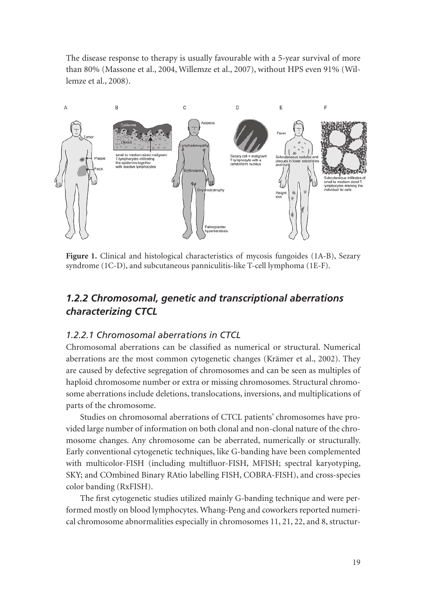The disease response to therapy is usually favourable with a 5-year survival of more than 80% (Massone et al., 2004, Willemze et al., 2007), without HPS even 91% (Willemze et al., 2008).



**Figure 1.** Clinical and histological characteristics of mycosis fungoides (1A-B), Sezary syndrome (1C-D), and subcutaneous panniculitis-like T-cell lymphoma (1E-F).

## *1.2.2 Chromosomal, genetic and transcriptional aberrations characterizing CTCL*

#### *1.2.2.1 Chromosomal aberrations in CTCL*

Chromosomal aberrations can be classified as numerical or structural. Numerical aberrations are the most common cytogenetic changes (Krämer et al., 2002). They are caused by defective segregation of chromosomes and can be seen as multiples of haploid chromosome number or extra or missing chromosomes. Structural chromosome aberrations include deletions, translocations, inversions, and multiplications of parts of the chromosome.

Studies on chromosomal aberrations of CTCL patients' chromosomes have provided large number of information on both clonal and non-clonal nature of the chromosome changes. Any chromosome can be aberrated, numerically or structurally. Early conventional cytogenetic techniques, like G-banding have been complemented with multicolor-FISH (including multifluor-FISH, MFISH; spectral karyotyping, SKY; and COmbined Binary RAtio labelling FISH, COBRA-FISH), and cross-species color banding (RxFISH).

The first cytogenetic studies utilized mainly G-banding technique and were performed mostly on blood lymphocytes. Whang-Peng and coworkers reported numerical chromosome abnormalities especially in chromosomes 11, 21, 22, and 8, structur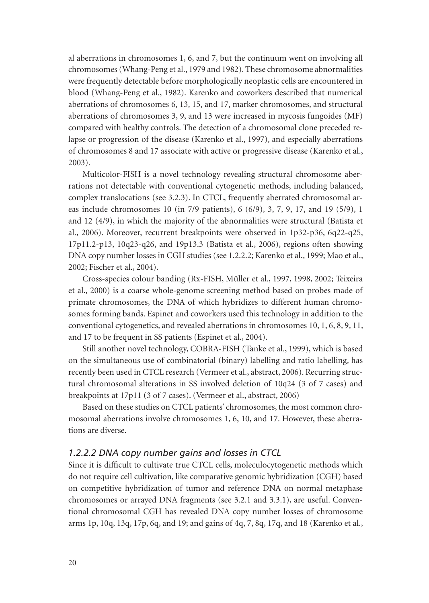al aberrations in chromosomes 1, 6, and 7, but the continuum went on involving all chromosomes (Whang-Peng et al., 1979 and 1982). These chromosome abnormalities were frequently detectable before morphologically neoplastic cells are encountered in blood (Whang-Peng et al., 1982). Karenko and coworkers described that numerical aberrations of chromosomes 6, 13, 15, and 17, marker chromosomes, and structural aberrations of chromosomes 3, 9, and 13 were increased in mycosis fungoides (MF) compared with healthy controls. The detection of a chromosomal clone preceded relapse or progression of the disease (Karenko et al., 1997), and especially aberrations of chromosomes 8 and 17 associate with active or progressive disease (Karenko et al., 2003).

Multicolor-FISH is a novel technology revealing structural chromosome aberrations not detectable with conventional cytogenetic methods, including balanced, complex translocations (see 3.2.3). In CTCL, frequently aberrated chromosomal areas include chromosomes 10 (in 7/9 patients), 6 (6/9), 3, 7, 9, 17, and 19 (5/9), 1 and 12 (4/9), in which the majority of the abnormalities were structural (Batista et al., 2006). Moreover, recurrent breakpoints were observed in 1p32-p36, 6q22-q25, 17p11.2-p13, 10q23-q26, and 19p13.3 (Batista et al., 2006), regions often showing DNA copy number losses in CGH studies (see 1.2.2.2; Karenko et al., 1999; Mao et al., 2002; Fischer et al., 2004).

Cross-species colour banding (Rx-FISH, Müller et al., 1997, 1998, 2002; Teixeira et al., 2000) is a coarse whole-genome screening method based on probes made of primate chromosomes, the DNA of which hybridizes to different human chromosomes forming bands. Espinet and coworkers used this technology in addition to the conventional cytogenetics, and revealed aberrations in chromosomes 10, 1, 6, 8, 9, 11, and 17 to be frequent in SS patients (Espinet et al., 2004).

Still another novel technology, COBRA-FISH (Tanke et al., 1999), which is based on the simultaneous use of combinatorial (binary) labelling and ratio labelling, has recently been used in CTCL research (Vermeer et al., abstract, 2006). Recurring structural chromosomal alterations in SS involved deletion of 10q24 (3 of 7 cases) and breakpoints at 17p11 (3 of 7 cases). (Vermeer et al., abstract, 2006)

Based on these studies on CTCL patients' chromosomes, the most common chromosomal aberrations involve chromosomes 1, 6, 10, and 17. However, these aberrations are diverse.

#### *1.2.2.2 DNA copy number gains and losses in CTCL*

Since it is difficult to cultivate true CTCL cells, moleculocytogenetic methods which do not require cell cultivation, like comparative genomic hybridization (CGH) based on competitive hybridization of tumor and reference DNA on normal metaphase chromosomes or arrayed DNA fragments (see 3.2.1 and 3.3.1), are useful. Conventional chromosomal CGH has revealed DNA copy number losses of chromosome arms 1p, 10q, 13q, 17p, 6q, and 19; and gains of 4q, 7, 8q, 17q, and 18 (Karenko et al.,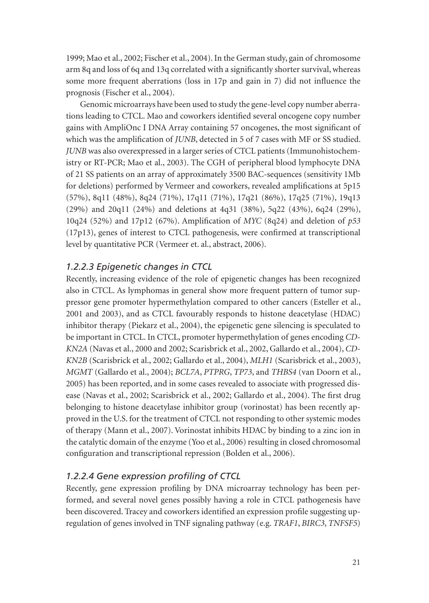1999; Mao et al., 2002; Fischer et al., 2004). In the German study, gain of chromosome arm 8q and loss of 6q and 13q correlated with a significantly shorter survival, whereas some more frequent aberrations (loss in 17p and gain in 7) did not influence the prognosis (Fischer et al., 2004).

Genomic microarrays have been used to study the gene-level copy number aberrations leading to CTCL. Mao and coworkers identified several oncogene copy number gains with AmpliOnc I DNA Array containing 57 oncogenes, the most significant of which was the amplification of *JUNB*, detected in 5 of 7 cases with MF or SS studied. *JUNB* was also overexpressed in a larger series of CTCL patients (Immunohistochemistry or RT-PCR; Mao et al., 2003). The CGH of peripheral blood lymphocyte DNA of 21 SS patients on an array of approximately 3500 BAC-sequences (sensitivity 1Mb for deletions) performed by Vermeer and coworkers, revealed amplifications at 5p15 (57%), 8q11 (48%), 8q24 (71%), 17q11 (71%), 17q21 (86%), 17q25 (71%), 19q13 (29%) and 20q11 (24%) and deletions at 4q31 (38%), 5q22 (43%), 6q24 (29%), 10q24 (52%) and 17p12 (67%). Amplifi cation of *MYC* (8q24) and deletion of *p53*  $(17p13)$ , genes of interest to CTCL pathogenesis, were confirmed at transcriptional level by quantitative PCR (Vermeer et. al., abstract, 2006).

#### *1.2.2.3 Epigenetic changes in CTCL*

Recently, increasing evidence of the role of epigenetic changes has been recognized also in CTCL. As lymphomas in general show more frequent pattern of tumor suppressor gene promoter hypermethylation compared to other cancers (Esteller et al., 2001 and 2003), and as CTCL favourably responds to histone deacetylase (HDAC) inhibitor therapy (Piekarz et al., 2004), the epigenetic gene silencing is speculated to be important in CTCL. In CTCL, promoter hypermethylation of genes encoding *CD-KN2A* (Navas et al., 2000 and 2002; Scarisbrick et al., 2002, Gallardo et al., 2004), *CD-KN2B* (Scarisbrick et al., 2002; Gallardo et al., 2004), *MLH1* (Scarisbrick et al., 2003), *MGMT* (Gallardo et al., 2004); *BCL7A*, *PTPRG*, *TP73*, and *THBS4* (van Doorn et al., 2005) has been reported, and in some cases revealed to associate with progressed disease (Navas et al., 2002; Scarisbrick et al., 2002; Gallardo et al., 2004). The first drug belonging to histone deacetylase inhibitor group (vorinostat) has been recently approved in the U.S. for the treatment of CTCL not responding to other systemic modes of therapy (Mann et al., 2007). Vorinostat inhibits HDAC by binding to a zinc ion in the catalytic domain of the enzyme (Yoo et al., 2006) resulting in closed chromosomal configuration and transcriptional repression (Bolden et al., 2006).

#### 1.2.2.4 Gene expression profiling of CTCL

Recently, gene expression profiling by DNA microarray technology has been performed, and several novel genes possibly having a role in CTCL pathogenesis have been discovered. Tracey and coworkers identified an expression profile suggesting upregulation of genes involved in TNF signaling pathway (e.g. *TRAF1*, *BIRC3*, *TNFSF5*)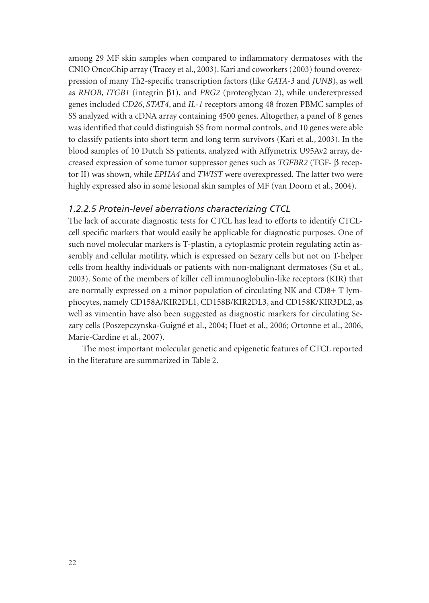among 29 MF skin samples when compared to inflammatory dermatoses with the CNIO OncoChip array (Tracey et al., 2003). Kari and coworkers (2003) found overexpression of many Th2-specific transcription factors (like *GATA-3* and *JUNB*), as well as *RHOB*, *ITGB1* (integrin β1), and *PRG2* (proteoglycan 2), while underexpressed genes included *CD26*, *STAT4*, and *IL-1* receptors among 48 frozen PBMC samples of SS analyzed with a cDNA array containing 4500 genes. Altogether, a panel of 8 genes was identified that could distinguish SS from normal controls, and 10 genes were able to classify patients into short term and long term survivors (Kari et al., 2003). In the blood samples of 10 Dutch SS patients, analyzed with Affymetrix U95Av2 array, decreased expression of some tumor suppressor genes such as *TGFBR2* (TGF- β receptor II) was shown, while *EPHA4* and *TWIST* were overexpressed. The latter two were highly expressed also in some lesional skin samples of MF (van Doorn et al., 2004).

#### *1.2.2.5 Protein-level aberrations characterizing CTCL*

The lack of accurate diagnostic tests for CTCL has lead to efforts to identify CTCLcell specific markers that would easily be applicable for diagnostic purposes. One of such novel molecular markers is T-plastin, a cytoplasmic protein regulating actin assembly and cellular motility, which is expressed on Sezary cells but not on T-helper cells from healthy individuals or patients with non-malignant dermatoses (Su et al., 2003). Some of the members of killer cell immunoglobulin-like receptors (KIR) that are normally expressed on a minor population of circulating NK and CD8+ T lymphocytes, namely CD158A/KIR2DL1, CD158B/KIR2DL3, and CD158K/KIR3DL2, as well as vimentin have also been suggested as diagnostic markers for circulating Sezary cells (Poszepczynska-Guigné et al., 2004; Huet et al., 2006; Ortonne et al., 2006, Marie-Cardine et al., 2007).

The most important molecular genetic and epigenetic features of CTCL reported in the literature are summarized in Table 2.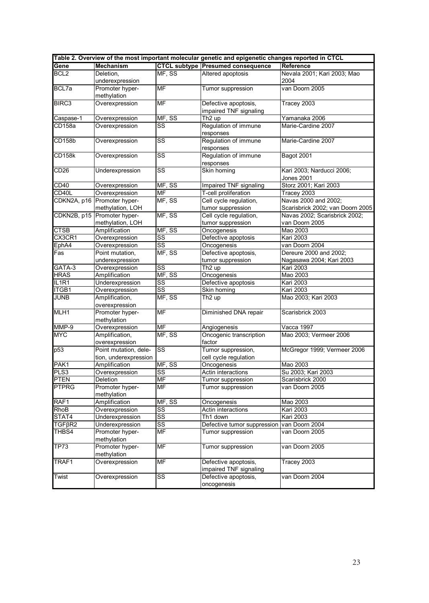| Table 2. Overview of the most important molecular genetic and epigenetic changes reported in CTCL |                                  |                        |                                                |                                                |  |
|---------------------------------------------------------------------------------------------------|----------------------------------|------------------------|------------------------------------------------|------------------------------------------------|--|
| Gene                                                                                              | Mechanism                        |                        | <b>CTCL subtype Presumed consequence</b>       | Reference                                      |  |
| BCL <sub>2</sub>                                                                                  | Deletion,<br>underexpression     | MF, SS                 | Altered apoptosis                              | Nevala 2001; Kari 2003; Mao<br>2004            |  |
| BCL7a                                                                                             | Promoter hyper-                  | MF                     | Tumor suppression                              | van Doorn 2005                                 |  |
|                                                                                                   | methylation                      |                        |                                                |                                                |  |
| BIRC3                                                                                             | Overexpression                   | <b>MF</b>              | Defective apoptosis,<br>impaired TNF signaling | Tracey 2003                                    |  |
| Caspase-1                                                                                         | Overexpression                   | MF, SS                 | Th <sub>2</sub> up                             | Yamanaka 2006                                  |  |
| CD158a                                                                                            | Overexpression                   | SS                     | Regulation of immune                           | Marie-Cardine 2007                             |  |
|                                                                                                   |                                  |                        | responses                                      |                                                |  |
| CD158b                                                                                            | Overexpression                   | $\overline{\text{SS}}$ | Regulation of immune<br>responses              | Marie-Cardine 2007                             |  |
| CD158k                                                                                            | Overexpression                   | SS                     | Regulation of immune<br>responses              | Bagot 2001                                     |  |
| CD <sub>26</sub>                                                                                  | Underexpression                  | SS                     | Skin homing                                    | Kari 2003; Narducci 2006;<br><b>Jones 2001</b> |  |
| CD40                                                                                              | Overexpression                   | MF, SS                 | Impaired TNF signaling                         | Storz 2001; Kari 2003                          |  |
| CD40L                                                                                             | Overexpression                   | MF                     | T-cell proliferation                           | Tracey 2003                                    |  |
| CDKN2A, p16                                                                                       | Promoter hyper-                  | MF, SS                 | Cell cycle regulation,                         | Navas 2000 and 2002:                           |  |
|                                                                                                   | methylation, LOH                 |                        | tumor suppression                              | Scarisbrick 2002; van Doorn 2005               |  |
| CDKN2B, p15                                                                                       | Promoter hyper-                  | MF, SS                 | Cell cycle regulation,                         | Navas 2002; Scarisbrick 2002;                  |  |
|                                                                                                   | methylation, LOH                 |                        |                                                | van Doorn 2005                                 |  |
|                                                                                                   |                                  |                        | tumor suppression                              |                                                |  |
| <b>CTSB</b>                                                                                       | Amplification                    | MF, SS                 | Oncogenesis                                    | Mao 2003                                       |  |
| CX3CR1                                                                                            | Overexpression                   | SS                     | Defective apoptosis                            | <b>Kari 2003</b>                               |  |
| EphA4                                                                                             | Overexpression                   | $\overline{\text{ss}}$ | Oncogenesis                                    | van Doorn 2004                                 |  |
| Fas                                                                                               | Point mutation,                  | MF, SS                 | Defective apoptosis,                           | Dereure 2000 and 2002;                         |  |
|                                                                                                   | underexpression                  |                        | tumor suppression                              | Nagasawa 2004; Kari 2003                       |  |
| GATA-3                                                                                            | Overexpression                   | $\overline{\text{ss}}$ | Th <sub>2</sub> up                             | <b>Kari 2003</b>                               |  |
| <b>HRAS</b>                                                                                       | Amplification                    | MF, SS                 | Oncogenesis                                    | Mao 2003                                       |  |
| IL1R1                                                                                             | Underexpression                  | SS                     | Defective apoptosis                            | <b>Kari 2003</b>                               |  |
| <b>ITGB1</b>                                                                                      | Overexpression                   | $\overline{\text{ss}}$ | Skin homing                                    | <b>Kari 2003</b>                               |  |
| <b>JUNB</b>                                                                                       | Amplification,<br>overexpression | MF, SS                 | Th <sub>2</sub> up                             | Mao 2003; Kari 2003                            |  |
| MLH1                                                                                              | Promoter hyper-<br>methylation   | <b>MF</b>              | Diminished DNA repair                          | Scarisbrick 2003                               |  |
| MMP-9                                                                                             | Overexpression                   | <b>MF</b>              | Angiogenesis                                   | Vacca 1997                                     |  |
| <b>MYC</b>                                                                                        | Amplification,                   | MF, SS                 | Oncogenic transcription                        | Mao 2003; Vermeer 2006                         |  |
|                                                                                                   | overexpression                   |                        | factor                                         |                                                |  |
| p53                                                                                               | Point mutation, dele-            | $\overline{\text{ss}}$ | Tumor suppression,                             | McGregor 1999; Vermeer 2006                    |  |
|                                                                                                   | tion, underexpression            |                        | cell cycle regulation                          |                                                |  |
| PAK1                                                                                              | Amplification                    | MF, SS                 | Oncogenesis                                    | Mao 2003                                       |  |
| PLS3                                                                                              | Overexpression                   | SS                     | Actin interactions                             | Su 2003; Kari 2003                             |  |
| PTEN                                                                                              | Deletion                         | <b>MF</b>              | Tumor suppression                              | Scarisbrick 2000                               |  |
| <b>PTPRG</b>                                                                                      | Promoter hyper-<br>methylation   | <b>MF</b>              | Tumor suppression                              | van Doorn 2005                                 |  |
| RAF1                                                                                              | Amplification                    | MF, SS                 | Oncogenesis                                    | Mao 2003                                       |  |
| RhoB                                                                                              | Overexpression                   | $\overline{\text{SS}}$ | Actin interactions                             | <b>Kari 2003</b>                               |  |
| STAT4                                                                                             | Underexpression                  | $\overline{\text{SS}}$ | Th1 down                                       | <b>Kari 2003</b>                               |  |
|                                                                                                   |                                  |                        |                                                |                                                |  |
| TGF <sub>BR2</sub>                                                                                | Underexpression                  | SS                     | Defective tumor suppression                    | van Doorn 2004                                 |  |
| THBS4                                                                                             | Promoter hyper-<br>methylation   | <b>MF</b>              | Tumor suppression                              | van Doorn 2005                                 |  |
| TP73                                                                                              | Promoter hyper-<br>methylation   | <b>MF</b>              | Tumor suppression                              | van Doorn 2005                                 |  |
| TRAF1                                                                                             | Overexpression                   | MF                     | Defective apoptosis,<br>impaired TNF signaling | Tracey 2003                                    |  |
| Twist                                                                                             | Overexpression                   | $\overline{\text{ss}}$ | Defective apoptosis,<br>oncogenesis            | van Doorn 2004                                 |  |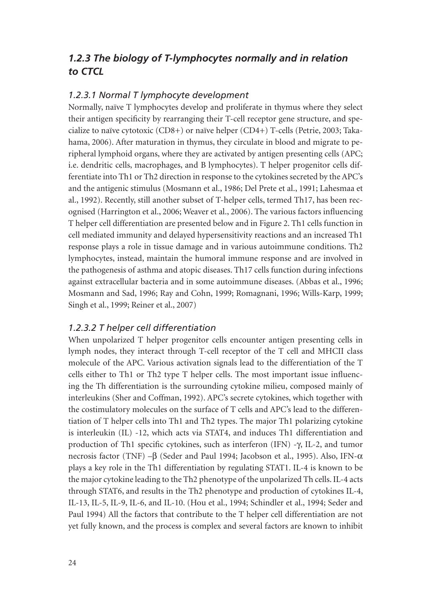## *1.2.3 The biology of T-lymphocytes normally and in relation to CTCL*

#### *1.2.3.1 Normal T lymphocyte development*

Normally, naïve T lymphocytes develop and proliferate in thymus where they select their antigen specificity by rearranging their T-cell receptor gene structure, and specialize to naïve cytotoxic (CD8+) or naïve helper (CD4+) T-cells (Petrie, 2003; Takahama, 2006). After maturation in thymus, they circulate in blood and migrate to peripheral lymphoid organs, where they are activated by antigen presenting cells (APC; i.e. dendritic cells, macrophages, and B lymphocytes). T helper progenitor cells differentiate into Th1 or Th2 direction in response to the cytokines secreted by the APC's and the antigenic stimulus (Mosmann et al., 1986; Del Prete et al., 1991; Lahesmaa et al., 1992). Recently, still another subset of T-helper cells, termed Th17, has been recognised (Harrington et al., 2006; Weaver et al., 2006). The various factors influencing T helper cell differentiation are presented below and in Figure 2. Th1 cells function in cell mediated immunity and delayed hypersensitivity reactions and an increased Th1 response plays a role in tissue damage and in various autoimmune conditions. Th2 lymphocytes, instead, maintain the humoral immune response and are involved in the pathogenesis of asthma and atopic diseases. Th17 cells function during infections against extracellular bacteria and in some autoimmune diseases. (Abbas et al., 1996; Mosmann and Sad, 1996; Ray and Cohn, 1999; Romagnani, 1996; Wills-Karp, 1999; Singh et al., 1999; Reiner et al., 2007)

#### *1.2.3.2 T helper cell differentiation*

When unpolarized T helper progenitor cells encounter antigen presenting cells in lymph nodes, they interact through T-cell receptor of the T cell and MHCII class molecule of the APC. Various activation signals lead to the differentiation of the T cells either to Th1 or Th2 type T helper cells. The most important issue influencing the Th differentiation is the surrounding cytokine milieu, composed mainly of interleukins (Sher and Coffman, 1992). APC's secrete cytokines, which together with the costimulatory molecules on the surface of T cells and APC's lead to the differentiation of T helper cells into Th1 and Th2 types. The major Th1 polarizing cytokine is interleukin (IL) -12, which acts via STAT4, and induces Th1 differentiation and production of Th1 specific cytokines, such as interferon (IFN) -γ, IL-2, and tumor necrosis factor (TNF) –β (Seder and Paul 1994; Jacobson et al., 1995). Also, IFN-α plays a key role in the Th1 differentiation by regulating STAT1. IL-4 is known to be the major cytokine leading to the Th2 phenotype of the unpolarized Th cells. IL-4 acts through STAT6, and results in the Th2 phenotype and production of cytokines IL-4, IL-13, IL-5, IL-9, IL-6, and IL-10. (Hou et al., 1994; Schindler et al., 1994; Seder and Paul 1994) All the factors that contribute to the T helper cell differentiation are not yet fully known, and the process is complex and several factors are known to inhibit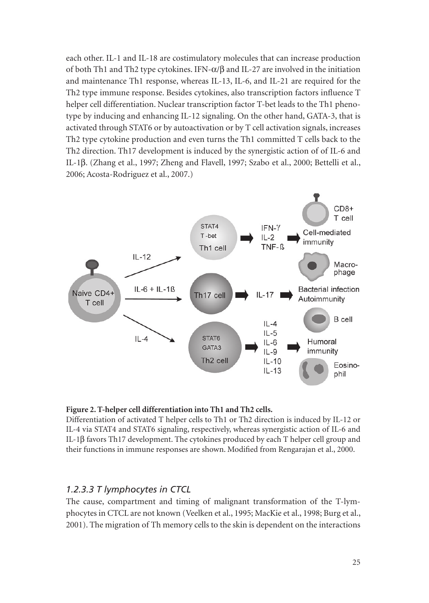each other. IL-1 and IL-18 are costimulatory molecules that can increase production of both Th1 and Th2 type cytokines. IFN- $\alpha/\beta$  and IL-27 are involved in the initiation and maintenance Th1 response, whereas IL-13, IL-6, and IL-21 are required for the Th2 type immune response. Besides cytokines, also transcription factors influence T helper cell differentiation. Nuclear transcription factor T-bet leads to the Th1 phenotype by inducing and enhancing IL-12 signaling. On the other hand, GATA-3, that is activated through STAT6 or by autoactivation or by T cell activation signals, increases Th2 type cytokine production and even turns the Th1 committed T cells back to the Th2 direction. Th17 development is induced by the synergistic action of of IL-6 and IL-1β. (Zhang et al., 1997; Zheng and Flavell, 1997; Szabo et al., 2000; Bettelli et al., 2006; Acosta-Rodriguez et al., 2007.)



#### **Figure 2. T-helper cell differentiation into Th1 and Th2 cells.**

Differentiation of activated T helper cells to Th1 or Th2 direction is induced by IL-12 or IL-4 via STAT4 and STAT6 signaling, respectively, whereas synergistic action of IL-6 and IL-1β favors Th17 development. The cytokines produced by each T helper cell group and their functions in immune responses are shown. Modified from Rengarajan et al., 2000.

#### *1.2.3.3 T lymphocytes in CTCL*

The cause, compartment and timing of malignant transformation of the T-lymphocytes in CTCL are not known (Veelken et al., 1995; MacKie et al., 1998; Burg et al., 2001). The migration of Th memory cells to the skin is dependent on the interactions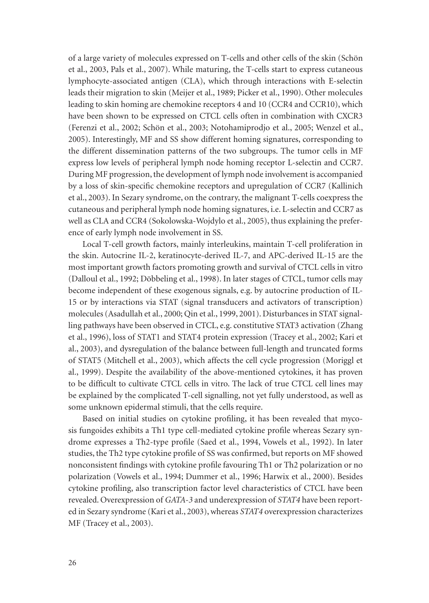of a large variety of molecules expressed on T-cells and other cells of the skin (Schön et al., 2003, Pals et al., 2007). While maturing, the T-cells start to express cutaneous lymphocyte-associated antigen (CLA), which through interactions with E-selectin leads their migration to skin (Meijer et al., 1989; Picker et al., 1990). Other molecules leading to skin homing are chemokine receptors 4 and 10 (CCR4 and CCR10), which have been shown to be expressed on CTCL cells often in combination with CXCR3 (Ferenzi et al., 2002; Schön et al., 2003; Notohamiprodjo et al., 2005; Wenzel et al., 2005). Interestingly, MF and SS show different homing signatures, corresponding to the different dissemination patterns of the two subgroups. The tumor cells in MF express low levels of peripheral lymph node homing receptor L-selectin and CCR7. During MF progression, the development of lymph node involvement is accompanied by a loss of skin-specific chemokine receptors and upregulation of CCR7 (Kallinich et al., 2003). In Sezary syndrome, on the contrary, the malignant T-cells coexpress the cutaneous and peripheral lymph node homing signatures, i.e. L-selectin and CCR7 as well as CLA and CCR4 (Sokolowska-Wojdylo et al., 2005), thus explaining the preference of early lymph node involvement in SS.

Local T-cell growth factors, mainly interleukins, maintain T-cell proliferation in the skin. Autocrine IL-2, keratinocyte-derived IL-7, and APC-derived IL-15 are the most important growth factors promoting growth and survival of CTCL cells in vitro (Dalloul et al., 1992; Döbbeling et al., 1998). In later stages of CTCL, tumor cells may become independent of these exogenous signals, e.g. by autocrine production of IL-15 or by interactions via STAT (signal transducers and activators of transcription) molecules (Asadullah et al., 2000; Qin et al., 1999, 2001). Disturbances in STAT signalling pathways have been observed in CTCL, e.g. constitutive STAT3 activation (Zhang et al., 1996), loss of STAT1 and STAT4 protein expression (Tracey et al., 2002; Kari et al., 2003), and dysregulation of the balance between full-length and truncated forms of STAT5 (Mitchell et al., 2003), which affects the cell cycle progression (Moriggl et al., 1999). Despite the availability of the above-mentioned cytokines, it has proven to be difficult to cultivate CTCL cells in vitro. The lack of true CTCL cell lines may be explained by the complicated T-cell signalling, not yet fully understood, as well as some unknown epidermal stimuli, that the cells require.

Based on initial studies on cytokine profiling, it has been revealed that mycosis fungoides exhibits a Th1 type cell-mediated cytokine profile whereas Sezary syndrome expresses a Th2-type profile (Saed et al., 1994, Vowels et al., 1992). In later studies, the Th2 type cytokine profile of SS was confirmed, but reports on MF showed nonconsistent findings with cytokine profile favouring Th1 or Th2 polarization or no polarization (Vowels et al., 1994; Dummer et al., 1996; Harwix et al., 2000). Besides cytokine profiling, also transcription factor level characteristics of CTCL have been revealed. Overexpression of *GATA-3* and underexpression of *STAT4* have been reported in Sezary syndrome (Kari et al., 2003), whereas *STAT4* overexpression characterizes MF (Tracey et al., 2003).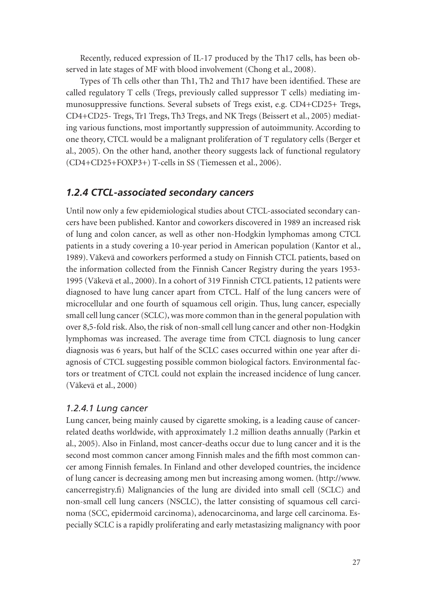Recently, reduced expression of IL-17 produced by the Th17 cells, has been observed in late stages of MF with blood involvement (Chong et al., 2008).

Types of Th cells other than Th1, Th2 and Th17 have been identified. These are called regulatory T cells (Tregs, previously called suppressor T cells) mediating immunosuppressive functions. Several subsets of Tregs exist, e.g. CD4+CD25+ Tregs, CD4+CD25- Tregs, Tr1 Tregs, Th3 Tregs, and NK Tregs (Beissert et al., 2005) mediating various functions, most importantly suppression of autoimmunity. According to one theory, CTCL would be a malignant proliferation of T regulatory cells (Berger et al., 2005). On the other hand, another theory suggests lack of functional regulatory (CD4+CD25+FOXP3+) T-cells in SS (Tiemessen et al., 2006).

### *1.2.4 CTCL-associated secondary cancers*

Until now only a few epidemiological studies about CTCL-associated secondary cancers have been published. Kantor and coworkers discovered in 1989 an increased risk of lung and colon cancer, as well as other non-Hodgkin lymphomas among CTCL patients in a study covering a 10-year period in American population (Kantor et al., 1989). Väkevä and coworkers performed a study on Finnish CTCL patients, based on the information collected from the Finnish Cancer Registry during the years 1953- 1995 (Väkevä et al., 2000). In a cohort of 319 Finnish CTCL patients, 12 patients were diagnosed to have lung cancer apart from CTCL. Half of the lung cancers were of microcellular and one fourth of squamous cell origin. Thus, lung cancer, especially small cell lung cancer (SCLC), was more common than in the general population with over 8,5-fold risk. Also, the risk of non-small cell lung cancer and other non-Hodgkin lymphomas was increased. The average time from CTCL diagnosis to lung cancer diagnosis was 6 years, but half of the SCLC cases occurred within one year after diagnosis of CTCL suggesting possible common biological factors. Environmental factors or treatment of CTCL could not explain the increased incidence of lung cancer. (Väkevä et al., 2000)

#### *1.2.4.1 Lung cancer*

Lung cancer, being mainly caused by cigarette smoking, is a leading cause of cancerrelated deaths worldwide, with approximately 1.2 million deaths annually (Parkin et al., 2005). Also in Finland, most cancer-deaths occur due to lung cancer and it is the second most common cancer among Finnish males and the fifth most common cancer among Finnish females. In Finland and other developed countries, the incidence of lung cancer is decreasing among men but increasing among women. (http://www. cancerregistry.fi) Malignancies of the lung are divided into small cell (SCLC) and non-small cell lung cancers (NSCLC), the latter consisting of squamous cell carcinoma (SCC, epidermoid carcinoma), adenocarcinoma, and large cell carcinoma. Especially SCLC is a rapidly proliferating and early metastasizing malignancy with poor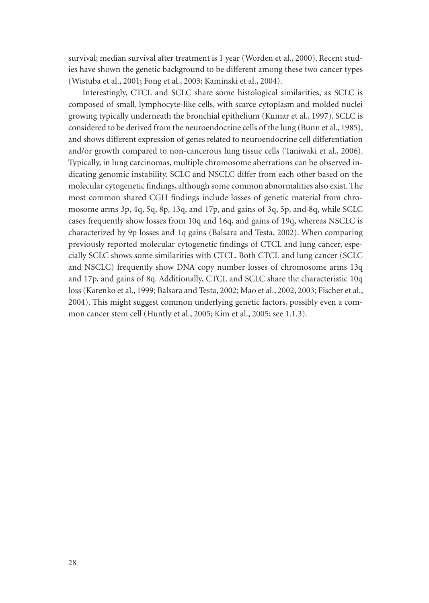survival; median survival after treatment is 1 year (Worden et al., 2000). Recent studies have shown the genetic background to be different among these two cancer types (Wistuba et al., 2001; Fong et al., 2003; Kaminski et al., 2004).

Interestingly, CTCL and SCLC share some histological similarities, as SCLC is composed of small, lymphocyte-like cells, with scarce cytoplasm and molded nuclei growing typically underneath the bronchial epithelium (Kumar et al., 1997). SCLC is considered to be derived from the neuroendocrine cells of the lung (Bunn et al., 1985), and shows different expression of genes related to neuroendocrine cell differentiation and/or growth compared to non-cancerous lung tissue cells (Taniwaki et al., 2006). Typically, in lung carcinomas, multiple chromosome aberrations can be observed indicating genomic instability. SCLC and NSCLC differ from each other based on the molecular cytogenetic findings, although some common abnormalities also exist. The most common shared CGH findings include losses of genetic material from chromosome arms 3p, 4q, 5q, 8p, 13q, and 17p, and gains of 3q, 5p, and 8q, while SCLC cases frequently show losses from 10q and 16q, and gains of 19q, whereas NSCLC is characterized by 9p losses and 1q gains (Balsara and Testa, 2002). When comparing previously reported molecular cytogenetic findings of CTCL and lung cancer, especially SCLC shows some similarities with CTCL. Both CTCL and lung cancer (SCLC and NSCLC) frequently show DNA copy number losses of chromosome arms 13q and 17p, and gains of 8q. Additionally, CTCL and SCLC share the characteristic 10q loss (Karenko et al., 1999; Balsara and Testa, 2002; Mao et al., 2002, 2003; Fischer et al., 2004). This might suggest common underlying genetic factors, possibly even a common cancer stem cell (Huntly et al., 2005; Kim et al., 2005; see 1.1.3).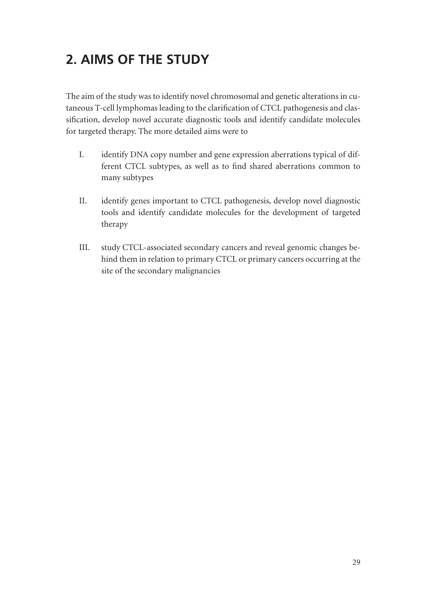# **2. AIMS OF THE STUDY**

The aim of the study was to identify novel chromosomal and genetic alterations in cutaneous T-cell lymphomas leading to the clarification of CTCL pathogenesis and classification, develop novel accurate diagnostic tools and identify candidate molecules for targeted therapy. The more detailed aims were to

- I. identify DNA copy number and gene expression aberrations typical of different CTCL subtypes, as well as to find shared aberrations common to many subtypes
- II. identify genes important to CTCL pathogenesis, develop novel diagnostic tools and identify candidate molecules for the development of targeted therapy
- III. study CTCL-associated secondary cancers and reveal genomic changes behind them in relation to primary CTCL or primary cancers occurring at the site of the secondary malignancies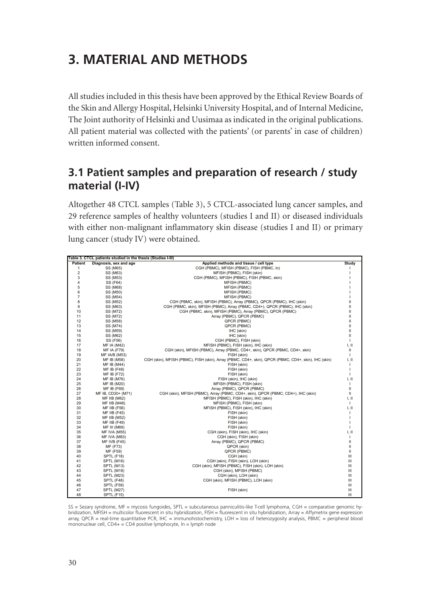# **3. MATERIAL AND METHODS**

All studies included in this thesis have been approved by the Ethical Review Boards of the Skin and Allergy Hospital, Helsinki University Hospital, and of Internal Medicine, The Joint authority of Helsinki and Uusimaa as indicated in the original publications. All patient material was collected with the patients' (or parents' in case of children) written informed consent.

## **3.1 Patient samples and preparation of research / study material (I-IV)**

Altogether 48 CTCL samples (Table 3), 5 CTCL-associated lung cancer samples, and 29 reference samples of healthy volunteers (studies I and II) or diseased individuals with either non-malignant inflammatory skin disease (studies I and II) or primary lung cancer (study IV) were obtained.

| Table 3. CTCL patients studied in the thesis (Studies I-III) |                        |                                                                                                      |                |  |
|--------------------------------------------------------------|------------------------|------------------------------------------------------------------------------------------------------|----------------|--|
| <b>Patient</b>                                               | Diagnosis, sex and age | Applied methods and tissue / cell type                                                               | <b>Study</b>   |  |
| 1                                                            | SS (M65)               | CGH (PBMC), MFISH (PBMC), FISH (PBMC, In)                                                            |                |  |
| $\overline{\mathbf{c}}$                                      | SS (M63)               | MFISH (PBMC), FISH (skin)                                                                            |                |  |
| 3                                                            | SS (M53)               | CGH (PBMC), MFISH (PBMC), FISH (PBMC, skin)                                                          | I              |  |
| 4                                                            | SS (F64)               | MFISH (PBMC)                                                                                         |                |  |
| 5                                                            | SS (M68)               | MFISH (PBMC)                                                                                         |                |  |
| 6                                                            | SS (M50)               | MFISH (PBMC)                                                                                         |                |  |
| $\overline{7}$                                               | SS (M54)               | MFISH (PBMC)                                                                                         | I              |  |
| 8                                                            | SS (M52)               | CGH (PBMC, skin), MFISH (PBMC), Array (PBMC), QPCR (PBMC), IHC (skin)                                | $\mathbf{H}$   |  |
| 9                                                            | SS (M63)               | CGH (PBMC, skin), MFISH (PBMC), Array (PBMC, CD4+), QPCR (PBMC), IHC (skin)                          | Ш              |  |
| 10                                                           | SS (M72)               | CGH (PBMC, skin), MFISH (PBMC), Array (PBMC), QPCR (PBMC)                                            | Ш              |  |
| 11                                                           | SS (M72)               | Array (PBMC), QPCR (PBMC)                                                                            | $\mathbf{H}$   |  |
| 12                                                           | SS (M58)               | QPCR (PBMC)                                                                                          | $\mathbf{H}$   |  |
| 13                                                           | SS (M74)               | QPCR (PBMC)                                                                                          | Ш              |  |
| 14                                                           | SS (M59)               | IHC (skin)                                                                                           | $\mathbf{H}$   |  |
| 15                                                           | SS (M62)               | IHC (skin)                                                                                           | Ш              |  |
| 16                                                           | SS (F56)               | CGH (PBMC), FISH (skin)                                                                              | T.             |  |
| 17                                                           | <b>MF IA (M42)</b>     | MFISH (PBMC), FISH (skin), IHC (skin)                                                                | I, II          |  |
| 18                                                           | <b>MF IA (F79)</b>     | CGH (skin), MFISH (PBMC), Array (PBMC, CD4+, skin), QPCR (PBMC, CD4+, skin)                          | Ш              |  |
| 19                                                           | <b>MF IA/B (M53)</b>   | FISH (skin)                                                                                          | T.             |  |
| 20                                                           | <b>MF IB (M58)</b>     | CGH (skin), MFISH (PBMC), FISH (skin), Array (PBMC, CD4+, skin), QPCR (PBMC, CD4+, skin), IHC (skin) | I. II          |  |
| 21                                                           | <b>MF IB (M44)</b>     | FISH (skin)                                                                                          | $\mathbf{I}$   |  |
| 22                                                           | <b>MF IB (F48)</b>     | FISH (skin)                                                                                          | $\mathbf{I}$   |  |
| 23                                                           | <b>MF IB (F72)</b>     | FISH (skin)                                                                                          | T.             |  |
| 24                                                           |                        |                                                                                                      | I, II          |  |
| 25                                                           | <b>MF IB (M76)</b>     | FISH (skin), IHC (skin)<br>MFISH (PBMC), FISH (skin)                                                 | $\mathbf{I}$   |  |
| 26                                                           | <b>MF IB (M20)</b>     |                                                                                                      |                |  |
| 27                                                           | <b>MF IB (F69)</b>     | Array (PBMC), QPCR (PBMC)                                                                            | Ш<br>Ш         |  |
| 28                                                           | MF IB, CD30+ (M71)     | CGH (skin), MFISH (PBMC), Array (PBMC, CD4+, skin), QPCR (PBMC, CD4+), IHC (skin)                    | I, II          |  |
| 29                                                           | <b>MF IIB (M62)</b>    | MFISH (PBMC), FISH (skin), IHC (skin)                                                                |                |  |
|                                                              | <b>MF IIB (M48)</b>    | MFISH (PBMC), FISH (skin)                                                                            | $\mathbf{I}$   |  |
| 30                                                           | <b>MF IIB (F56)</b>    | MFISH (PBMC), FISH (skin), IHC (skin)                                                                | I, II          |  |
| 31                                                           | <b>MF IIB (F45)</b>    | FISH (skin)                                                                                          |                |  |
| 32                                                           | <b>MF IIB (M52)</b>    | FISH (skin)                                                                                          | п              |  |
| 33                                                           | <b>MF IIB (F49)</b>    | FISH (skin)                                                                                          | I              |  |
| 34                                                           | <b>MF III (M69)</b>    | FISH (skin)                                                                                          | $\blacksquare$ |  |
| 35                                                           | <b>MF IVA (M55)</b>    | CGH (skin), FISH (skin), IHC (skin)                                                                  | I, II          |  |
| 36                                                           | <b>MF IVA (M83)</b>    | CGH (skin), FISH (skin)                                                                              | $\mathbf{I}$   |  |
| 37                                                           | <b>MF IVB (F45)</b>    | Array (PBMC), QPCR (PBMC)                                                                            | $\mathbf{H}$   |  |
| 38                                                           | MF (F73)               | QPCR (skin)                                                                                          | $\mathbf{H}$   |  |
| 39                                                           | MF (F59)               | QPCR (PBMC)                                                                                          | Ш              |  |
| 40                                                           | <b>SPTL (F18)</b>      | CGH (skin)                                                                                           | Ш              |  |
| 41                                                           | SPTL (M16)             | CGH (skin), FISH (skin), LOH (skin)                                                                  | Ш              |  |
| 42                                                           | SPTL (M13)             | CGH (skin), MFISH (PBMC), FISH (skin), LOH (skin)                                                    | Ш              |  |
| 43                                                           | SPTL (M18)             | CGH (skin), MFISH (PBMC)                                                                             | Ш              |  |
| 44                                                           | SPTL (M23)             | CGH (skin), LOH (skin)                                                                               | Ш              |  |
| 45                                                           | <b>SPTL (F48)</b>      | CGH (skin), MFISH (PBMC), LOH (skin)                                                                 | Ш              |  |
| 46                                                           | <b>SPTL (F59)</b>      |                                                                                                      | Ш              |  |
| 47                                                           | SPTL (M27)             | FISH (skin)                                                                                          | Ш              |  |
| 48                                                           | <b>SPTL (F15)</b>      |                                                                                                      | Ш              |  |

SS = Sezary syndrome, MF = mycosis fungoides, SPTL = subcutaneous panniculitis-like T-cell lymphoma, CGH = comparative genomic hybridization, MFISH = multicolor fluorescent in situ hybridization, FISH = fluorescent in situ hybridization, Array = Affymetrix gene expression array, QPCR = real-time quantitative PCR, IHC = immunohistochemistry, LOH = loss of heterozygosity analysis, PBMC = peripheral blood mononuclear cell, CD4+ = CD4 positive lymphocyte, ln = lymph node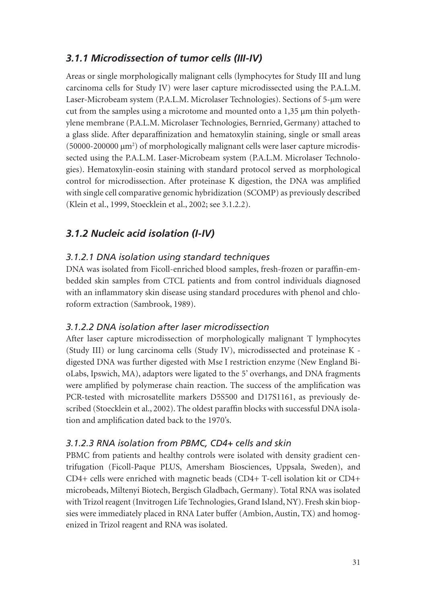### *3.1.1 Microdissection of tumor cells (III-IV)*

Areas or single morphologically malignant cells (lymphocytes for Study III and lung carcinoma cells for Study IV) were laser capture microdissected using the P.A.L.M. Laser-Microbeam system (P.A.L.M. Microlaser Technologies). Sections of 5-µm were cut from the samples using a microtome and mounted onto a  $1,35 \mu m$  thin polyethylene membrane (P.A.L.M. Microlaser Technologies, Bernried, Germany) attached to a glass slide. After deparaffinization and hematoxylin staining, single or small areas  $(50000 - 200000 \,\mu m^2)$  of morphologically malignant cells were laser capture microdissected using the P.A.L.M. Laser-Microbeam system (P.A.L.M. Microlaser Technologies). Hematoxylin-eosin staining with standard protocol served as morphological control for microdissection. After proteinase K digestion, the DNA was amplified with single cell comparative genomic hybridization (SCOMP) as previously described (Klein et al., 1999, Stoecklein et al., 2002; see 3.1.2.2).

## *3.1.2 Nucleic acid isolation (I-IV)*

#### *3.1.2.1 DNA isolation using standard techniques*

DNA was isolated from Ficoll-enriched blood samples, fresh-frozen or paraffin-embedded skin samples from CTCL patients and from control individuals diagnosed with an inflammatory skin disease using standard procedures with phenol and chloroform extraction (Sambrook, 1989).

#### *3.1.2.2 DNA isolation after laser microdissection*

After laser capture microdissection of morphologically malignant T lymphocytes (Study III) or lung carcinoma cells (Study IV), microdissected and proteinase K digested DNA was further digested with Mse I restriction enzyme (New England BioLabs, Ipswich, MA), adaptors were ligated to the 5' overhangs, and DNA fragments were amplified by polymerase chain reaction. The success of the amplification was PCR-tested with microsatellite markers D5S500 and D17S1161, as previously described (Stoecklein et al., 2002). The oldest paraffin blocks with successful DNA isolation and amplification dated back to the 1970's.

#### *3.1.2.3 RNA isolation from PBMC, CD4+ cells and skin*

PBMC from patients and healthy controls were isolated with density gradient centrifugation (Ficoll-Paque PLUS, Amersham Biosciences, Uppsala, Sweden), and CD4+ cells were enriched with magnetic beads (CD4+ T-cell isolation kit or CD4+ microbeads, Miltenyi Biotech, Bergisch Gladbach, Germany). Total RNA was isolated with Trizol reagent (Invitrogen Life Technologies, Grand Island, NY). Fresh skin biopsies were immediately placed in RNA Later buffer (Ambion, Austin, TX) and homogenized in Trizol reagent and RNA was isolated.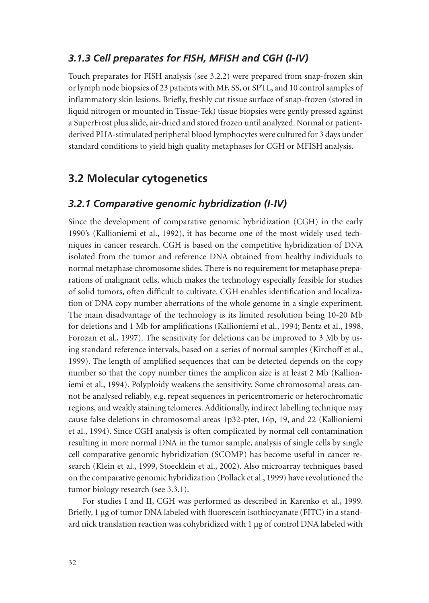#### *3.1.3 Cell preparates for FISH, MFISH and CGH (I-IV)*

Touch preparates for FISH analysis (see 3.2.2) were prepared from snap-frozen skin or lymph node biopsies of 23 patients with MF, SS, or SPTL, and 10 control samples of inflammatory skin lesions. Briefly, freshly cut tissue surface of snap-frozen (stored in liquid nitrogen or mounted in Tissue-Tek) tissue biopsies were gently pressed against a SuperFrost plus slide, air-dried and stored frozen until analyzed. Normal or patientderived PHA-stimulated peripheral blood lymphocytes were cultured for 3 days under standard conditions to yield high quality metaphases for CGH or MFISH analysis.

### **3.2 Molecular cytogenetics**

#### *3.2.1 Comparative genomic hybridization (I-IV)*

Since the development of comparative genomic hybridization (CGH) in the early 1990's (Kallioniemi et al., 1992), it has become one of the most widely used techniques in cancer research. CGH is based on the competitive hybridization of DNA isolated from the tumor and reference DNA obtained from healthy individuals to normal metaphase chromosome slides. There is no requirement for metaphase preparations of malignant cells, which makes the technology especially feasible for studies of solid tumors, often difficult to cultivate. CGH enables identification and localization of DNA copy number aberrations of the whole genome in a single experiment. The main disadvantage of the technology is its limited resolution being 10-20 Mb for deletions and 1 Mb for amplifications (Kallioniemi et al., 1994; Bentz et al., 1998, Forozan et al., 1997). The sensitivity for deletions can be improved to 3 Mb by using standard reference intervals, based on a series of normal samples (Kirchoff et al., 1999). The length of amplified sequences that can be detected depends on the copy number so that the copy number times the amplicon size is at least 2 Mb (Kallioniemi et al., 1994). Polyploidy weakens the sensitivity. Some chromosomal areas cannot be analysed reliably, e.g. repeat sequences in pericentromeric or heterochromatic regions, and weakly staining telomeres. Additionally, indirect labelling technique may cause false deletions in chromosomal areas 1p32-pter, 16p, 19, and 22 (Kallioniemi et al., 1994). Since CGH analysis is often complicated by normal cell contamination resulting in more normal DNA in the tumor sample, analysis of single cells by single cell comparative genomic hybridization (SCOMP) has become useful in cancer research (Klein et al., 1999, Stoecklein et al., 2002). Also microarray techniques based on the comparative genomic hybridization (Pollack et al., 1999) have revolutioned the tumor biology research (see 3.3.1).

For studies I and II, CGH was performed as described in Karenko et al., 1999. Briefly, 1 µg of tumor DNA labeled with fluorescein isothiocyanate (FITC) in a standard nick translation reaction was cohybridized with  $1 \mu$ g of control DNA labeled with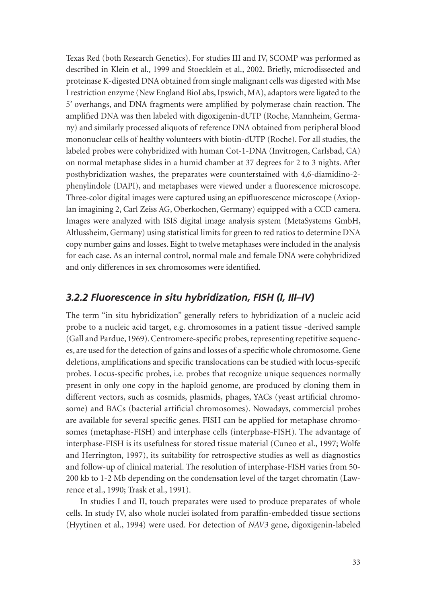Texas Red (both Research Genetics). For studies III and IV, SCOMP was performed as described in Klein et al., 1999 and Stoecklein et al., 2002. Briefly, microdissected and proteinase K-digested DNA obtained from single malignant cells was digested with Mse I restriction enzyme (New England BioLabs, Ipswich, MA), adaptors were ligated to the 5' overhangs, and DNA fragments were amplified by polymerase chain reaction. The amplified DNA was then labeled with digoxigenin-dUTP (Roche, Mannheim, Germany) and similarly processed aliquots of reference DNA obtained from peripheral blood mononuclear cells of healthy volunteers with biotin-dUTP (Roche). For all studies, the labeled probes were cohybridized with human Cot-1-DNA (Invitrogen, Carlsbad, CA) on normal metaphase slides in a humid chamber at 37 degrees for 2 to 3 nights. After posthybridization washes, the preparates were counterstained with 4,6-diamidino-2 phenylindole (DAPI), and metaphases were viewed under a fluorescence microscope. Three-color digital images were captured using an epifluorescence microscope (Axioplan imagining 2, Carl Zeiss AG, Oberkochen, Germany) equipped with a CCD camera. Images were analyzed with ISIS digital image analysis system (MetaSystems GmbH, Altlussheim, Germany) using statistical limits for green to red ratios to determine DNA copy number gains and losses. Eight to twelve metaphases were included in the analysis for each case. As an internal control, normal male and female DNA were cohybridized and only differences in sex chromosomes were identified.

#### *3.2.2 Fluorescence in situ hybridization, FISH (I, III–IV)*

The term "in situ hybridization" generally refers to hybridization of a nucleic acid probe to a nucleic acid target, e.g. chromosomes in a patient tissue -derived sample (Gall and Pardue, 1969). Centromere-specific probes, representing repetitive sequences, are used for the detection of gains and losses of a specific whole chromosome. Gene deletions, amplifications and specific translocations can be studied with locus-specifc probes. Locus-specific probes, i.e. probes that recognize unique sequences normally present in only one copy in the haploid genome, are produced by cloning them in different vectors, such as cosmids, plasmids, phages, YACs (yeast artificial chromosome) and BACs (bacterial artificial chromosomes). Nowadays, commercial probes are available for several specific genes. FISH can be applied for metaphase chromosomes (metaphase-FISH) and interphase cells (interphase-FISH). The advantage of interphase-FISH is its usefulness for stored tissue material (Cuneo et al., 1997; Wolfe and Herrington, 1997), its suitability for retrospective studies as well as diagnostics and follow-up of clinical material. The resolution of interphase-FISH varies from 50- 200 kb to 1-2 Mb depending on the condensation level of the target chromatin (Lawrence et al., 1990; Trask et al., 1991).

In studies I and II, touch preparates were used to produce preparates of whole cells. In study IV, also whole nuclei isolated from paraffin-embedded tissue sections (Hyytinen et al., 1994) were used. For detection of *NAV3* gene, digoxigenin-labeled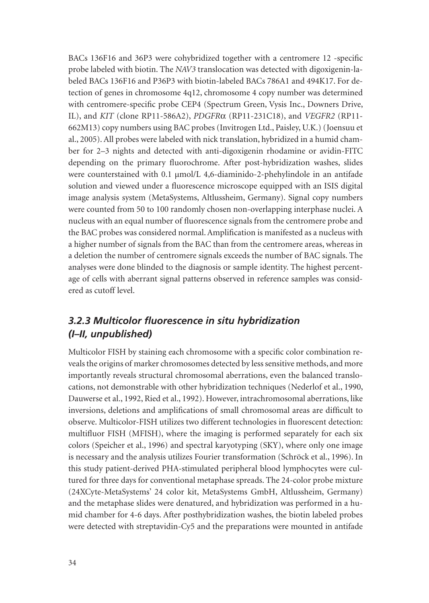BACs 136F16 and 36P3 were cohybridized together with a centromere 12 -specific probe labeled with biotin. The *NAV3* translocation was detected with digoxigenin-labeled BACs 136F16 and P36P3 with biotin-labeled BACs 786A1 and 494K17. For detection of genes in chromosome 4q12, chromosome 4 copy number was determined with centromere-specific probe CEP4 (Spectrum Green, Vysis Inc., Downers Drive, IL), and *KIT* (clone RP11-586A2), *PDGFR*α (RP11-231C18), and *VEGFR2* (RP11- 662M13) copy numbers using BAC probes (Invitrogen Ltd., Paisley, U.K.) (Joensuu et al., 2005). All probes were labeled with nick translation, hybridized in a humid chamber for 2–3 nights and detected with anti-digoxigenin rhodamine or avidin-FITC depending on the primary fluorochrome. After post-hybridization washes, slides were counterstained with 0.1 µmol/L 4,6-diaminido-2-phehylindole in an antifade solution and viewed under a fluorescence microscope equipped with an ISIS digital image analysis system (MetaSystems, Altlussheim, Germany). Signal copy numbers were counted from 50 to 100 randomly chosen non-overlapping interphase nuclei. A nucleus with an equal number of fluorescence signals from the centromere probe and the BAC probes was considered normal. Amplification is manifested as a nucleus with a higher number of signals from the BAC than from the centromere areas, whereas in a deletion the number of centromere signals exceeds the number of BAC signals. The analyses were done blinded to the diagnosis or sample identity. The highest percentage of cells with aberrant signal patterns observed in reference samples was considered as cutoff level.

## *3.2.3 Multicolor fl uorescence in situ hybridization (I–II, unpublished)*

Multicolor FISH by staining each chromosome with a specific color combination reveals the origins of marker chromosomes detected by less sensitive methods, and more importantly reveals structural chromosomal aberrations, even the balanced translocations, not demonstrable with other hybridization techniques (Nederlof et al., 1990, Dauwerse et al., 1992, Ried et al., 1992). However, intrachromosomal aberrations, like inversions, deletions and amplifications of small chromosomal areas are difficult to observe. Multicolor-FISH utilizes two different technologies in fluorescent detection: multifluor FISH (MFISH), where the imaging is performed separately for each six colors (Speicher et al., 1996) and spectral karyotyping (SKY), where only one image is necessary and the analysis utilizes Fourier transformation (Schröck et al., 1996). In this study patient-derived PHA-stimulated peripheral blood lymphocytes were cultured for three days for conventional metaphase spreads. The 24-color probe mixture (24XCyte-MetaSystems' 24 color kit, MetaSystems GmbH, Altlussheim, Germany) and the metaphase slides were denatured, and hybridization was performed in a humid chamber for 4-6 days. After posthybridization washes, the biotin labeled probes were detected with streptavidin-Cy5 and the preparations were mounted in antifade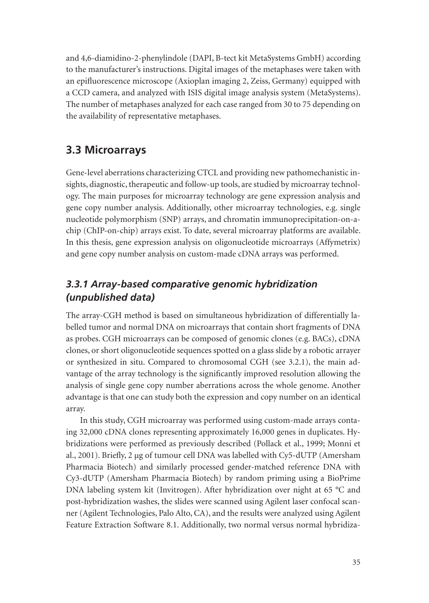and 4,6-diamidino-2-phenylindole (DAPI, B-tect kit MetaSystems GmbH) according to the manufacturer's instructions. Digital images of the metaphases were taken with an epifl uorescence microscope (Axioplan imaging 2, Zeiss, Germany) equipped with a CCD camera, and analyzed with ISIS digital image analysis system (MetaSystems). The number of metaphases analyzed for each case ranged from 30 to 75 depending on the availability of representative metaphases.

## **3.3 Microarrays**

Gene-level aberrations characterizing CTCL and providing new pathomechanistic insights, diagnostic, therapeutic and follow-up tools, are studied by microarray technology. The main purposes for microarray technology are gene expression analysis and gene copy number analysis. Additionally, other microarray technologies, e.g. single nucleotide polymorphism (SNP) arrays, and chromatin immunoprecipitation-on-achip (ChIP-on-chip) arrays exist. To date, several microarray platforms are available. In this thesis, gene expression analysis on oligonucleotide microarrays (Affymetrix) and gene copy number analysis on custom-made cDNA arrays was performed.

## *3.3.1 Array-based comparative genomic hybridization (unpublished data)*

The array-CGH method is based on simultaneous hybridization of differentially labelled tumor and normal DNA on microarrays that contain short fragments of DNA as probes. CGH microarrays can be composed of genomic clones (e.g. BACs), cDNA clones, or short oligonucleotide sequences spotted on a glass slide by a robotic arrayer or synthesized in situ. Compared to chromosomal CGH (see 3.2.1), the main advantage of the array technology is the significantly improved resolution allowing the analysis of single gene copy number aberrations across the whole genome. Another advantage is that one can study both the expression and copy number on an identical array.

In this study, CGH microarray was performed using custom-made arrays containg 32,000 cDNA clones representing approximately 16,000 genes in duplicates. Hybridizations were performed as previously described (Pollack et al., 1999; Monni et al., 2001). Briefly, 2 µg of tumour cell DNA was labelled with Cy5-dUTP (Amersham Pharmacia Biotech) and similarly processed gender-matched reference DNA with Cy3-dUTP (Amersham Pharmacia Biotech) by random priming using a BioPrime DNA labeling system kit (Invitrogen). After hybridization over night at 65 °C and post-hybridization washes, the slides were scanned using Agilent laser confocal scanner (Agilent Technologies, Palo Alto, CA), and the results were analyzed using Agilent Feature Extraction Software 8.1. Additionally, two normal versus normal hybridiza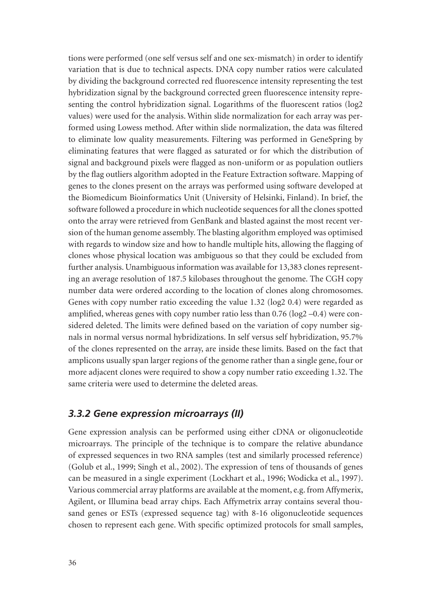tions were performed (one self versus self and one sex-mismatch) in order to identify variation that is due to technical aspects. DNA copy number ratios were calculated by dividing the background corrected red fluorescence intensity representing the test hybridization signal by the background corrected green fluorescence intensity representing the control hybridization signal. Logarithms of the fluorescent ratios (log2) values) were used for the analysis. Within slide normalization for each array was performed using Lowess method. After within slide normalization, the data was filtered to eliminate low quality measurements. Filtering was performed in GeneSpring by eliminating features that were flagged as saturated or for which the distribution of signal and background pixels were flagged as non-uniform or as population outliers by the flag outliers algorithm adopted in the Feature Extraction software. Mapping of genes to the clones present on the arrays was performed using software developed at the Biomedicum Bioinformatics Unit (University of Helsinki, Finland). In brief, the software followed a procedure in which nucleotide sequences for all the clones spotted onto the array were retrieved from GenBank and blasted against the most recent version of the human genome assembly. The blasting algorithm employed was optimised with regards to window size and how to handle multiple hits, allowing the flagging of clones whose physical location was ambiguous so that they could be excluded from further analysis. Unambiguous information was available for 13,383 clones representing an average resolution of 187.5 kilobases throughout the genome. The CGH copy number data were ordered according to the location of clones along chromosomes. Genes with copy number ratio exceeding the value 1.32 (log2 0.4) were regarded as amplified, whereas genes with copy number ratio less than  $0.76$  (log2 $-0.4$ ) were considered deleted. The limits were defined based on the variation of copy number signals in normal versus normal hybridizations. In self versus self hybridization, 95.7% of the clones represented on the array, are inside these limits. Based on the fact that amplicons usually span larger regions of the genome rather than a single gene, four or more adjacent clones were required to show a copy number ratio exceeding 1.32. The same criteria were used to determine the deleted areas.

#### *3.3.2 Gene expression microarrays (II)*

Gene expression analysis can be performed using either cDNA or oligonucleotide microarrays. The principle of the technique is to compare the relative abundance of expressed sequences in two RNA samples (test and similarly processed reference) (Golub et al., 1999; Singh et al., 2002). The expression of tens of thousands of genes can be measured in a single experiment (Lockhart et al., 1996; Wodicka et al., 1997). Various commercial array platforms are available at the moment, e.g. from Affymerix, Agilent, or Illumina bead array chips. Each Affymetrix array contains several thousand genes or ESTs (expressed sequence tag) with 8-16 oligonucleotide sequences chosen to represent each gene. With specifi c optimized protocols for small samples,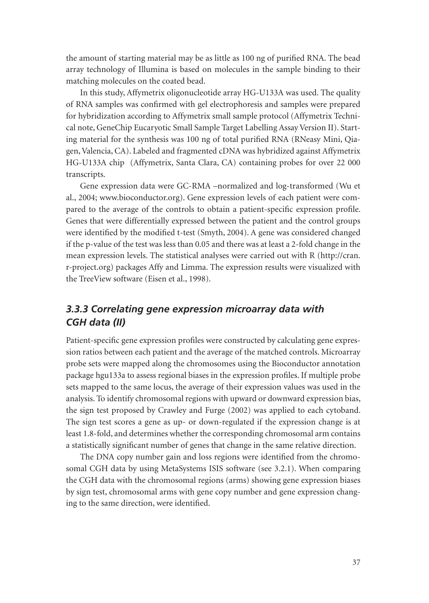the amount of starting material may be as little as 100 ng of purified RNA. The bead array technology of Illumina is based on molecules in the sample binding to their matching molecules on the coated bead.

In this study, Affymetrix oligonucleotide array HG-U133A was used. The quality of RNA samples was confirmed with gel electrophoresis and samples were prepared for hybridization according to Affymetrix small sample protocol (Affymetrix Technical note, GeneChip Eucaryotic Small Sample Target Labelling Assay Version II). Starting material for the synthesis was 100 ng of total purified RNA (RNeasy Mini, Qiagen, Valencia, CA). Labeled and fragmented cDNA was hybridized against Affymetrix HG-U133A chip (Affymetrix, Santa Clara, CA) containing probes for over 22 000 transcripts.

Gene expression data were GC-RMA –normalized and log-transformed (Wu et al., 2004; www.bioconductor.org). Gene expression levels of each patient were compared to the average of the controls to obtain a patient-specific expression profile. Genes that were differentially expressed between the patient and the control groups were identified by the modified t-test (Smyth, 2004). A gene was considered changed if the p-value of the test was less than 0.05 and there was at least a 2-fold change in the mean expression levels. The statistical analyses were carried out with R (http://cran. r-project.org) packages Affy and Limma. The expression results were visualized with the TreeView software (Eisen et al., 1998).

#### *3.3.3 Correlating gene expression microarray data with CGH data (II)*

Patient-specific gene expression profiles were constructed by calculating gene expression ratios between each patient and the average of the matched controls. Microarray probe sets were mapped along the chromosomes using the Bioconductor annotation package hgu133a to assess regional biases in the expression profiles. If multiple probe sets mapped to the same locus, the average of their expression values was used in the analysis. To identify chromosomal regions with upward or downward expression bias, the sign test proposed by Crawley and Furge (2002) was applied to each cytoband. The sign test scores a gene as up- or down-regulated if the expression change is at least 1.8-fold, and determines whether the corresponding chromosomal arm contains a statistically significant number of genes that change in the same relative direction.

The DNA copy number gain and loss regions were identified from the chromosomal CGH data by using MetaSystems ISIS software (see 3.2.1). When comparing the CGH data with the chromosomal regions (arms) showing gene expression biases by sign test, chromosomal arms with gene copy number and gene expression changing to the same direction, were identified.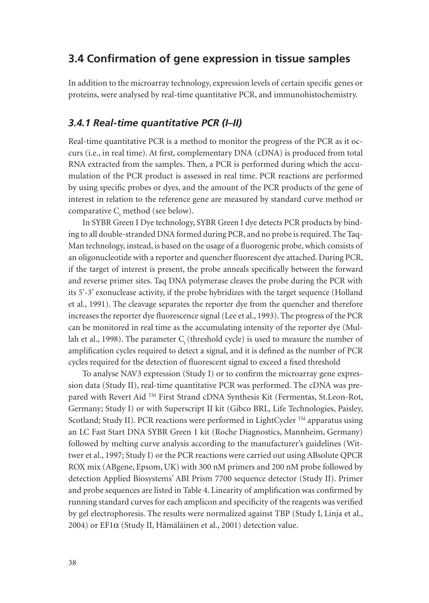### **3.4 Confirmation of gene expression in tissue samples**

In addition to the microarray technology, expression levels of certain specific genes or proteins, were analysed by real-time quantitative PCR, and immunohistochemistry.

#### *3.4.1 Real-time quantitative PCR (I–II)*

Real-time quantitative PCR is a method to monitor the progress of the PCR as it occurs (i.e., in real time). At first, complementary DNA (cDNA) is produced from total RNA extracted from the samples. Then, a PCR is performed during which the accumulation of the PCR product is assessed in real time. PCR reactions are performed by using specific probes or dyes, and the amount of the PCR products of the gene of interest in relation to the reference gene are measured by standard curve method or comparative  $C_t$  method (see below).

In SYBR Green I Dye technology, SYBR Green I dye detects PCR products by binding to all double-stranded DNA formed during PCR, and no probe is required. The Taq-Man technology, instead, is based on the usage of a fluorogenic probe, which consists of an oligonucleotide with a reporter and quencher fluorescent dye attached. During PCR, if the target of interest is present, the probe anneals specifically between the forward and reverse primer sites. Taq DNA polymerase cleaves the probe during the PCR with its 5'-3' exonuclease activity, if the probe hybridizes with the target sequence (Holland et al., 1991). The cleavage separates the reporter dye from the quencher and therefore increases the reporter dye fluorescence signal (Lee et al., 1993). The progress of the PCR can be monitored in real time as the accumulating intensity of the reporter dye (Mullah et al., 1998). The parameter  $C_t$  (threshold cycle) is used to measure the number of amplification cycles required to detect a signal, and it is defined as the number of PCR cycles required for the detection of fluorescent signal to exceed a fixed threshold

To analyse NAV3 expression (Study I) or to confirm the microarray gene expression data (Study II), real-time quantitative PCR was performed. The cDNA was prepared with Revert Aid ™ First Strand cDNA Synthesis Kit (Fermentas, St.Leon-Rot, Germany; Study I) or with Superscript II kit (Gibco BRL, Life Technologies, Paisley, Scotland; Study II). PCR reactions were performed in LightCycler  $^{TM}$  apparatus using an LC Fast Start DNA SYBR Green 1 kit (Roche Diagnostics, Mannheim, Germany) followed by melting curve analysis according to the manufacturer's guidelines (Wittwer et al., 1997; Study I) or the PCR reactions were carried out using ABsolute QPCR ROX mix (ABgene, Epsom, UK) with 300 nM primers and 200 nM probe followed by detection Applied Biosystems' ABI Prism 7700 sequence detector (Study II). Primer and probe sequences are listed in Table 4. Linearity of amplification was confirmed by running standard curves for each amplicon and specificity of the reagents was verified by gel electrophoresis. The results were normalized against TBP (Study I, Linja et al., 2004) or EF1α (Study II, Hämäläinen et al., 2001) detection value.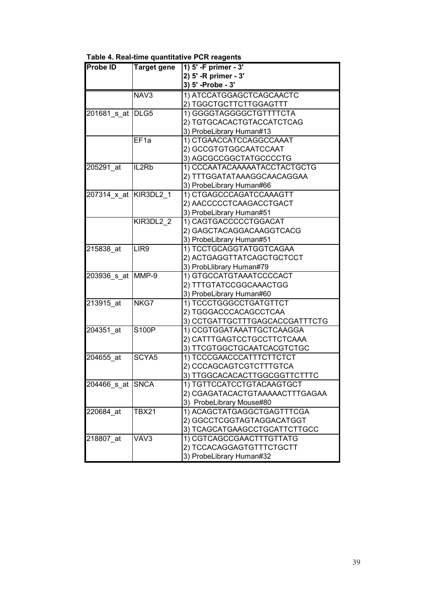**Table 4. Real-time quantitative PCR reagents**

| <b>Probe ID</b>       | <b>Target gene</b> | 1) 5' -F primer - 3'           |  |  |
|-----------------------|--------------------|--------------------------------|--|--|
|                       |                    | 2) 5' -R primer - 3'           |  |  |
|                       |                    | 3) 5' -Probe - 3'              |  |  |
|                       | NAV <sub>3</sub>   | 1) ATCCATGGAGCTCAGCAACTC       |  |  |
|                       |                    | 2) TGGCTGCTTCTTGGAGTTT         |  |  |
| 201681_s_at DLG5      |                    | 1) GGGGTAGGGGCTGTTTTCTA        |  |  |
|                       |                    | 2) TGTGCACACTGTACCATCTCAG      |  |  |
|                       |                    | 3) ProbeLibrary Human#13       |  |  |
|                       | EF1a               | 1) CTGAACCATCCAGGCCAAAT        |  |  |
|                       |                    | 2) GCCGTGTGGCAATCCAAT          |  |  |
|                       |                    | 3) AGCGCCGGCTATGCCCCTG         |  |  |
| 205291 at             | IL2Rb              | 1) CCCAATACAAAAATACCTACTGCTG   |  |  |
|                       |                    | 2) TTTGGATATAAAGGCAACAGGAA     |  |  |
|                       |                    | 3) ProbeLibrary Human#66       |  |  |
| 207314 x at KIR3DL2 1 |                    | 1) CTGAGCCCAGATCCAAAGTT        |  |  |
|                       |                    | 2) AACCCCCTCAAGACCTGACT        |  |  |
|                       |                    | 3) ProbeLibrary Human#51       |  |  |
|                       | KIR3DL2 2          | 1) CAGTGACCCCCTGGACAT          |  |  |
|                       |                    | 2) GAGCTACAGGACAAGGTCACG       |  |  |
|                       |                    | 3) ProbeLibrary Human#51       |  |  |
| 215838_at             | LIR9               | 1) TCCTGCAGGTATGGTCAGAA        |  |  |
|                       |                    | 2) ACTGAGGTTATCAGCTGCTCCT      |  |  |
|                       |                    | 3) ProbLlibrary Human#79       |  |  |
| 203936_s_at MMP-9     |                    | 1) GTGCCATGTAAATCCCCACT        |  |  |
|                       |                    | 2) TTTGTATCCGGCAAACTGG         |  |  |
|                       |                    | 3) ProbeLibrary Human#60       |  |  |
| 213915 at             | NKG7               | 1) TCCCTGGGCCTGATGTTCT         |  |  |
|                       |                    | 2) TGGGACCCACAGCCTCAA          |  |  |
|                       |                    | 3) CCTGATTGCTTTGAGCACCGATTTCTG |  |  |
| 204351 at             | <b>S100P</b>       | 1) CCGTGGATAAATTGCTCAAGGA      |  |  |
|                       |                    | 2) CATTTGAGTCCTGCCTTCTCAAA     |  |  |
|                       |                    | 3) TTCGTGGCTGCAATCACGTCTGC     |  |  |
| 204655 at             | SCYA5              | 1) TCCCGAACCCATTTCTTCTCT       |  |  |
|                       |                    | 2) CCCAGCAGTCGTCTTTGTCA        |  |  |
|                       |                    | 3) TTGGCACACACTTGGCGGTTCTTTC   |  |  |
| 204466 s at           | <b>SNCA</b>        | 1) TGTTCCATCCTGTACAAGTGCT      |  |  |
|                       |                    | 2) CGAGATACACTGTAAAAACTTTGAGAA |  |  |
|                       |                    | 3) ProbeLibrary Mouse#80       |  |  |
| 220684_at             | <b>TBX21</b>       | 1) ACAGCTATGAGGCTGAGTTTCGA     |  |  |
|                       |                    | 2) GGCCTCGGTAGTAGGACATGGT      |  |  |
|                       |                    | 3) TCAGCATGAAGCCTGCATTCTTGCC   |  |  |
| 218807 at             | VAV <sub>3</sub>   | 1) CGTCAGCCGAACTTTGTTATG       |  |  |
|                       |                    | 2) TCCACAGGAGTGTTTCTGCTT       |  |  |
|                       |                    | 3) ProbeLibrary Human#32       |  |  |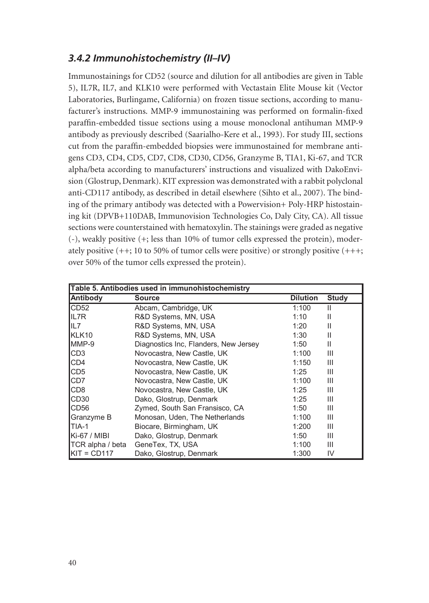#### *3.4.2 Immunohistochemistry (II–IV)*

Immunostainings for CD52 (source and dilution for all antibodies are given in Table 5), IL7R, IL7, and KLK10 were performed with Vectastain Elite Mouse kit (Vector Laboratories, Burlingame, California) on frozen tissue sections, according to manufacturer's instructions. MMP-9 immunostaining was performed on formalin-fixed paraffin-embedded tissue sections using a mouse monoclonal antihuman MMP-9 antibody as previously described (Saarialho-Kere et al., 1993). For study III, sections cut from the paraffin-embedded biopsies were immunostained for membrane antigens CD3, CD4, CD5, CD7, CD8, CD30, CD56, Granzyme B, TIA1, Ki-67, and TCR alpha/beta according to manufacturers' instructions and visualized with DakoEnvision (Glostrup, Denmark). KIT expression was demonstrated with a rabbit polyclonal anti-CD117 antibody, as described in detail elsewhere (Sihto et al., 2007). The binding of the primary antibody was detected with a Powervision+ Poly-HRP histostaining kit (DPVB+110DAB, Immunovision Technologies Co, Daly City, CA). All tissue sections were counterstained with hematoxylin. The stainings were graded as negative (-), weakly positive (+; less than 10% of tumor cells expressed the protein), moderately positive  $(++)$ ; 10 to 50% of tumor cells were positive) or strongly positive  $(+++)$ ; over 50% of the tumor cells expressed the protein).

| Table 5. Antibodies used in immunohistochemistry |                                       |                 |              |  |  |  |
|--------------------------------------------------|---------------------------------------|-----------------|--------------|--|--|--|
| <b>Antibody</b>                                  | <b>Source</b>                         | <b>Dilution</b> | <b>Study</b> |  |  |  |
| ICD52                                            | Abcam, Cambridge, UK                  | 1:100           | Ш            |  |  |  |
| IIL7R                                            | R&D Systems, MN, USA                  | 1:10            | Ш            |  |  |  |
| IIL7                                             | R&D Systems, MN, USA                  | 1:20            | Ш            |  |  |  |
| KLK10                                            | R&D Systems, MN, USA                  | 1:30            | Ш            |  |  |  |
| IMMP-9                                           | Diagnostics Inc. Flanders, New Jersey | 1:50            | Ш            |  |  |  |
| ICD3                                             | Novocastra, New Castle, UK            | 1:100           | Ш            |  |  |  |
| CD4                                              | Novocastra, New Castle, UK            | 1:150           | Ш            |  |  |  |
| CD <sub>5</sub>                                  | Novocastra, New Castle, UK            | 1:25            | Ш            |  |  |  |
| ICD7                                             | Novocastra, New Castle, UK            | 1:100           | Ш            |  |  |  |
| CD <sub>8</sub>                                  | Novocastra, New Castle, UK            | 1:25            | Ш            |  |  |  |
| ICD30                                            | Dako, Glostrup, Denmark               | 1:25            | Ш            |  |  |  |
| ICD56                                            | Zymed, South San Fransisco, CA        | 1:50            | Ш            |  |  |  |
| Granzyme B                                       | Monosan, Uden, The Netherlands        | 1:100           | Ш            |  |  |  |
| ITIA-1                                           | Biocare, Birmingham, UK               | 1:200           | Ш            |  |  |  |
| <b>I</b> Ki-67 / MIBI                            | Dako, Glostrup, Denmark               | 1:50            | Ш            |  |  |  |
| TCR alpha / beta                                 | GeneTex, TX, USA                      | 1:100           | Ш            |  |  |  |
| $IKIT = CD117$                                   | Dako, Glostrup, Denmark               | 1:300           | IV           |  |  |  |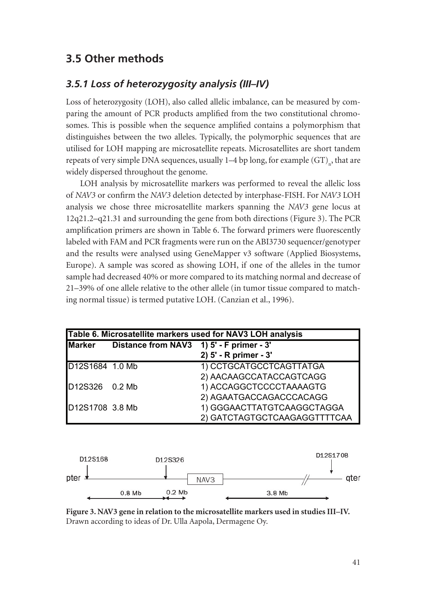## **3.5 Other methods**

#### *3.5.1 Loss of heterozygosity analysis (III–IV)*

Loss of heterozygosity (LOH), also called allelic imbalance, can be measured by comparing the amount of PCR products amplified from the two constitutional chromosomes. This is possible when the sequence amplified contains a polymorphism that distinguishes between the two alleles. Typically, the polymorphic sequences that are utilised for LOH mapping are microsatellite repeats. Microsatellites are short tandem repeats of very simple DNA sequences, usually  $1-4$  bp long, for example  $(GT)_{n}$ , that are widely dispersed throughout the genome.

LOH analysis by microsatellite markers was performed to reveal the allelic loss of *NAV3* or confirm the *NAV3* deletion detected by interphase-FISH. For *NAV3* LOH analysis we chose three microsatellite markers spanning the *NAV3* gene locus at 12q21.2–q21.31 and surrounding the gene from both directions (Figure 3). The PCR amplification primers are shown in Table 6. The forward primers were fluorescently labeled with FAM and PCR fragments were run on the ABI3730 sequencer/genotyper and the results were analysed using GeneMapper v3 software (Applied Biosystems, Europe). A sample was scored as showing LOH, if one of the alleles in the tumor sample had decreased 40% or more compared to its matching normal and decrease of 21–39% of one allele relative to the other allele (in tumor tissue compared to matching normal tissue) is termed putative LOH. (Canzian et al., 1996).

| Table 6. Microsatellite markers used for NAV3 LOH analysis |                                          |                              |  |  |  |
|------------------------------------------------------------|------------------------------------------|------------------------------|--|--|--|
| <b>Marker</b>                                              | Distance from NAV3 1) 5' - F primer - 3' |                              |  |  |  |
|                                                            |                                          | 2) 5' - R primer - 3'        |  |  |  |
| D12S1684 1.0 Mb                                            |                                          | 1) CCTGCATGCCTCAGTTATGA      |  |  |  |
|                                                            |                                          | 2) AACAAGCCATACCAGTCAGG      |  |  |  |
| ID12S326 0.2 Mb                                            |                                          | 1) ACCAGGCTCCCCTAAAAGTG      |  |  |  |
|                                                            |                                          | 2) AGAATGACCAGACCCACAGG      |  |  |  |
| D12S1708 3.8 Mb                                            |                                          | 1) GGGAACTTATGTCAAGGCTAGGA   |  |  |  |
|                                                            |                                          | 2) GATCTAGTGCTCAAGAGGTTTTCAA |  |  |  |



**Figure 3. NAV3 gene in relation to the microsatellite markers used in studies III–IV.** Drawn according to ideas of Dr. Ulla Aapola, Dermagene Oy.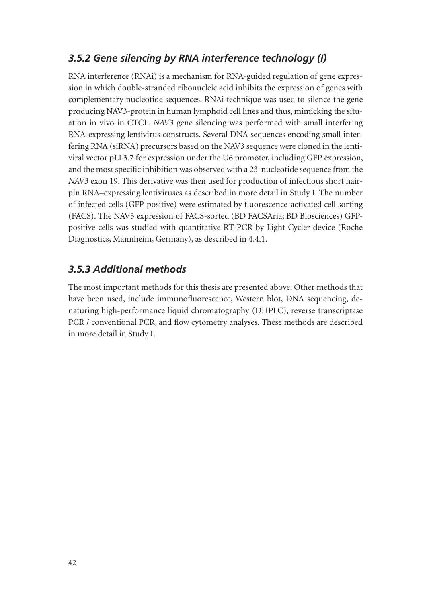### *3.5.2 Gene silencing by RNA interference technology (I)*

RNA interference (RNAi) is a mechanism for RNA-guided regulation of gene expression in which double-stranded ribonucleic acid inhibits the expression of genes with complementary nucleotide sequences. RNAi technique was used to silence the gene producing NAV3-protein in human lymphoid cell lines and thus, mimicking the situation in vivo in CTCL. *NAV3* gene silencing was performed with small interfering RNA-expressing lentivirus constructs. Several DNA sequences encoding small interfering RNA (siRNA) precursors based on the NAV3 sequence were cloned in the lentiviral vector pLL3.7 for expression under the U6 promoter, including GFP expression, and the most specific inhibition was observed with a 23-nucleotide sequence from the *NAV3* exon 19. This derivative was then used for production of infectious short hairpin RNA–expressing lentiviruses as described in more detail in Study I. The number of infected cells (GFP-positive) were estimated by fluorescence-activated cell sorting (FACS). The NAV3 expression of FACS-sorted (BD FACSAria; BD Biosciences) GFPpositive cells was studied with quantitative RT-PCR by Light Cycler device (Roche Diagnostics, Mannheim, Germany), as described in 4.4.1.

#### *3.5.3 Additional methods*

The most important methods for this thesis are presented above. Other methods that have been used, include immunofluorescence, Western blot, DNA sequencing, denaturing high-performance liquid chromatography (DHPLC), reverse transcriptase PCR / conventional PCR, and flow cytometry analyses. These methods are described in more detail in Study I.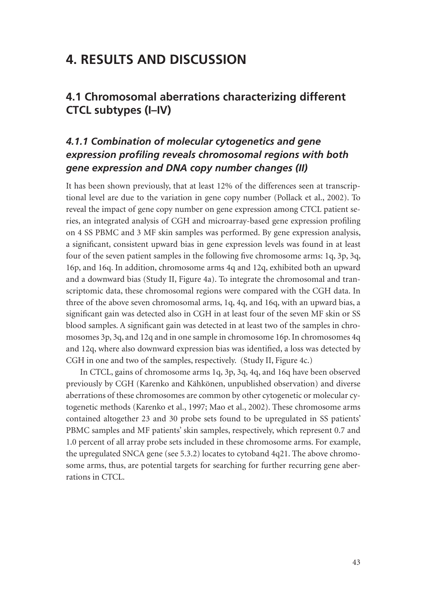# **4. RESULTS AND DISCUSSION**

## **4.1 Chromosomal aberrations characterizing different CTCL subtypes (I–IV)**

### *4.1.1 Combination of molecular cytogenetics and gene expression profi ling reveals chromosomal regions with both gene expression and DNA copy number changes (II)*

It has been shown previously, that at least 12% of the differences seen at transcriptional level are due to the variation in gene copy number (Pollack et al., 2002). To reveal the impact of gene copy number on gene expression among CTCL patient series, an integrated analysis of CGH and microarray-based gene expression profiling on 4 SS PBMC and 3 MF skin samples was performed. By gene expression analysis, a significant, consistent upward bias in gene expression levels was found in at least four of the seven patient samples in the following five chromosome arms: 1q, 3p, 3q, 16p, and 16q. In addition, chromosome arms 4q and 12q, exhibited both an upward and a downward bias (Study II, Figure 4a). To integrate the chromosomal and transcriptomic data, these chromosomal regions were compared with the CGH data. In three of the above seven chromosomal arms, 1q, 4q, and 16q, with an upward bias, a significant gain was detected also in CGH in at least four of the seven MF skin or SS blood samples. A significant gain was detected in at least two of the samples in chromosomes 3p, 3q, and 12q and in one sample in chromosome 16p. In chromosomes 4q and 12q, where also downward expression bias was identified, a loss was detected by CGH in one and two of the samples, respectively. (Study II, Figure 4c.)

In CTCL, gains of chromosome arms 1q, 3p, 3q, 4q, and 16q have been observed previously by CGH (Karenko and Kähkönen, unpublished observation) and diverse aberrations of these chromosomes are common by other cytogenetic or molecular cytogenetic methods (Karenko et al., 1997; Mao et al., 2002). These chromosome arms contained altogether 23 and 30 probe sets found to be upregulated in SS patients' PBMC samples and MF patients' skin samples, respectively, which represent 0.7 and 1.0 percent of all array probe sets included in these chromosome arms. For example, the upregulated SNCA gene (see 5.3.2) locates to cytoband 4q21. The above chromosome arms, thus, are potential targets for searching for further recurring gene aberrations in CTCL.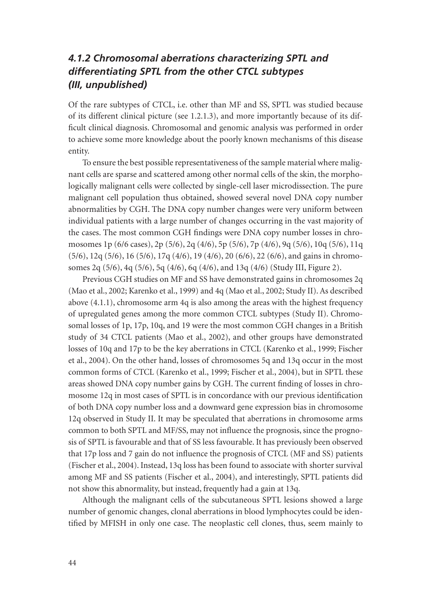### *4.1.2 Chromosomal aberrations characterizing SPTL and differentiating SPTL from the other CTCL subtypes (III, unpublished)*

Of the rare subtypes of CTCL, i.e. other than MF and SS, SPTL was studied because of its different clinical picture (see 1.2.1.3), and more importantly because of its difficult clinical diagnosis. Chromosomal and genomic analysis was performed in order to achieve some more knowledge about the poorly known mechanisms of this disease entity.

To ensure the best possible representativeness of the sample material where malignant cells are sparse and scattered among other normal cells of the skin, the morphologically malignant cells were collected by single-cell laser microdissection. The pure malignant cell population thus obtained, showed several novel DNA copy number abnormalities by CGH. The DNA copy number changes were very uniform between individual patients with a large number of changes occurring in the vast majority of the cases. The most common CGH findings were DNA copy number losses in chromosomes 1p (6/6 cases), 2p (5/6), 2q (4/6), 5p (5/6), 7p (4/6), 9q (5/6), 10q (5/6), 11q (5/6), 12q (5/6), 16 (5/6), 17q (4/6), 19 (4/6), 20 (6/6), 22 (6/6), and gains in chromosomes 2q (5/6), 4q (5/6), 5q (4/6), 6q (4/6), and 13q (4/6) (Study III, Figure 2).

Previous CGH studies on MF and SS have demonstrated gains in chromosomes 2q (Mao et al., 2002; Karenko et al., 1999) and 4q (Mao et al., 2002; Study II). As described above (4.1.1), chromosome arm 4q is also among the areas with the highest frequency of upregulated genes among the more common CTCL subtypes (Study II). Chromosomal losses of 1p, 17p, 10q, and 19 were the most common CGH changes in a British study of 34 CTCL patients (Mao et al., 2002), and other groups have demonstrated losses of 10q and 17p to be the key aberrations in CTCL (Karenko et al., 1999; Fischer et al., 2004). On the other hand, losses of chromosomes 5q and 13q occur in the most common forms of CTCL (Karenko et al., 1999; Fischer et al., 2004), but in SPTL these areas showed DNA copy number gains by CGH. The current finding of losses in chromosome 12q in most cases of SPTL is in concordance with our previous identification of both DNA copy number loss and a downward gene expression bias in chromosome 12q observed in Study II. It may be speculated that aberrations in chromosome arms common to both SPTL and MF/SS, may not influence the prognosis, since the prognosis of SPTL is favourable and that of SS less favourable. It has previously been observed that  $17p$  loss and  $7$  gain do not influence the prognosis of CTCL (MF and SS) patients (Fischer et al., 2004). Instead, 13q loss has been found to associate with shorter survival among MF and SS patients (Fischer et al., 2004), and interestingly, SPTL patients did not show this abnormality, but instead, frequently had a gain at 13q.

Although the malignant cells of the subcutaneous SPTL lesions showed a large number of genomic changes, clonal aberrations in blood lymphocytes could be identified by MFISH in only one case. The neoplastic cell clones, thus, seem mainly to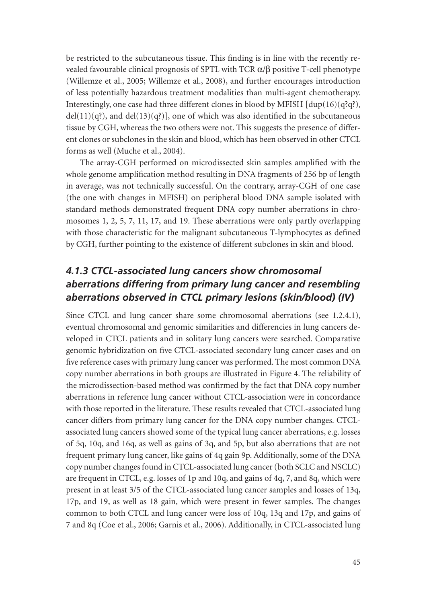be restricted to the subcutaneous tissue. This finding is in line with the recently revealed favourable clinical prognosis of SPTL with TCR  $\alpha/\beta$  positive T-cell phenotype (Willemze et al., 2005; Willemze et al., 2008), and further encourages introduction of less potentially hazardous treatment modalities than multi-agent chemotherapy. Interestingly, one case had three different clones in blood by MFISH  $\left[ \frac{dup(16)(q^2q^2)}{2} \right]$ ,  $del(11)(q?)$ , and  $del(13)(q?)$ , one of which was also identified in the subcutaneous tissue by CGH, whereas the two others were not. This suggests the presence of different clones or subclones in the skin and blood, which has been observed in other CTCL forms as well (Muche et al., 2004).

The array-CGH performed on microdissected skin samples amplified with the whole genome amplification method resulting in DNA fragments of 256 bp of length in average, was not technically successful. On the contrary, array-CGH of one case (the one with changes in MFISH) on peripheral blood DNA sample isolated with standard methods demonstrated frequent DNA copy number aberrations in chromosomes 1, 2, 5, 7, 11, 17, and 19. These aberrations were only partly overlapping with those characteristic for the malignant subcutaneous T-lymphocytes as defined by CGH, further pointing to the existence of different subclones in skin and blood.

## *4.1.3 CTCL-associated lung cancers show chromosomal aberrations differing from primary lung cancer and resembling aberrations observed in CTCL primary lesions (skin/blood) (IV)*

Since CTCL and lung cancer share some chromosomal aberrations (see 1.2.4.1), eventual chromosomal and genomic similarities and differencies in lung cancers developed in CTCL patients and in solitary lung cancers were searched. Comparative genomic hybridization on five CTCL-associated secondary lung cancer cases and on five reference cases with primary lung cancer was performed. The most common DNA copy number aberrations in both groups are illustrated in Figure 4. The reliability of the microdissection-based method was confirmed by the fact that DNA copy number aberrations in reference lung cancer without CTCL-association were in concordance with those reported in the literature. These results revealed that CTCL-associated lung cancer differs from primary lung cancer for the DNA copy number changes. CTCLassociated lung cancers showed some of the typical lung cancer aberrations, e.g. losses of 5q, 10q, and 16q, as well as gains of 3q, and 5p, but also aberrations that are not frequent primary lung cancer, like gains of 4q gain 9p. Additionally, some of the DNA copy number changes found in CTCL-associated lung cancer (both SCLC and NSCLC) are frequent in CTCL, e.g. losses of 1p and 10q, and gains of 4q, 7, and 8q, which were present in at least 3/5 of the CTCL-associated lung cancer samples and losses of 13q, 17p, and 19, as well as 18 gain, which were present in fewer samples. The changes common to both CTCL and lung cancer were loss of 10q, 13q and 17p, and gains of 7 and 8q (Coe et al., 2006; Garnis et al., 2006). Additionally, in CTCL-associated lung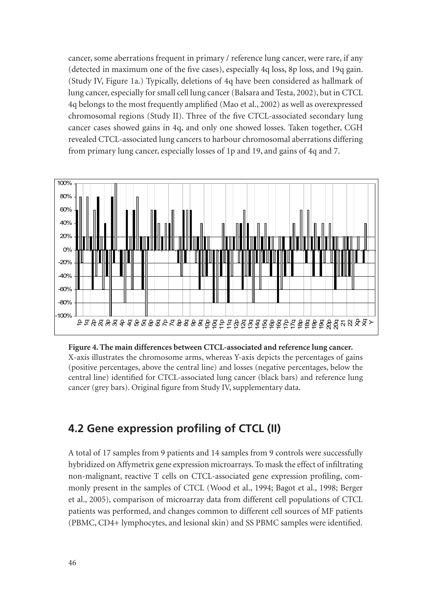cancer, some aberrations frequent in primary / reference lung cancer, were rare, if any (detected in maximum one of the five cases), especially 4q loss, 8p loss, and 19q gain. (Study IV, Figure 1a.) Typically, deletions of 4q have been considered as hallmark of lung cancer, especially for small cell lung cancer (Balsara and Testa, 2002), but in CTCL 4q belongs to the most frequently amplified (Mao et al., 2002) as well as overexpressed chromosomal regions (Study II). Three of the five CTCL-associated secondary lung cancer cases showed gains in 4q, and only one showed losses. Taken together, CGH revealed CTCL-associated lung cancers to harbour chromosomal aberrations differing from primary lung cancer, especially losses of 1p and 19, and gains of 4q and 7.



**Figure 4. The main differences between CTCL-associated and reference lung cancer.** X-axis illustrates the chromosome arms, whereas Y-axis depicts the percentages of gains (positive percentages, above the central line) and losses (negative percentages, below the central line) identified for CTCL-associated lung cancer (black bars) and reference lung cancer (grey bars). Original figure from Study IV, supplementary data.

# **4.2 Gene expression profiling of CTCL (II)**

A total of 17 samples from 9 patients and 14 samples from 9 controls were successfully hybridized on Affymetrix gene expression microarrays. To mask the effect of infiltrating non-malignant, reactive T cells on CTCL-associated gene expression profiling, commonly present in the samples of CTCL (Wood et al., 1994; Bagot et al., 1998; Berger et al., 2005), comparison of microarray data from different cell populations of CTCL patients was performed, and changes common to different cell sources of MF patients (PBMC, CD4+ lymphocytes, and lesional skin) and SS PBMC samples were identified.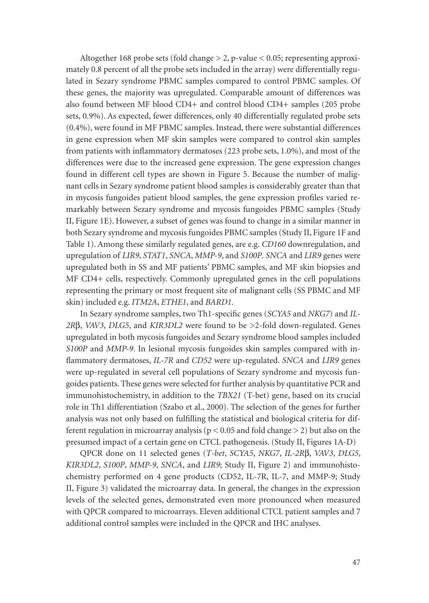Altogether 168 probe sets (fold change > 2, p-value < 0.05; representing approximately 0.8 percent of all the probe sets included in the array) were differentially regulated in Sezary syndrome PBMC samples compared to control PBMC samples. Of these genes, the majority was upregulated. Comparable amount of differences was also found between MF blood CD4+ and control blood CD4+ samples (205 probe sets, 0.9%). As expected, fewer differences, only 40 differentially regulated probe sets (0.4%), were found in MF PBMC samples. Instead, there were substantial differences in gene expression when MF skin samples were compared to control skin samples from patients with inflammatory dermatoses (223 probe sets, 1.0%), and most of the differences were due to the increased gene expression. The gene expression changes found in different cell types are shown in Figure 5. Because the number of malignant cells in Sezary syndrome patient blood samples is considerably greater than that in mycosis fungoides patient blood samples, the gene expression profiles varied remarkably between Sezary syndrome and mycosis fungoides PBMC samples (Study II, Figure 1E). However, a subset of genes was found to change in a similar manner in both Sezary syndrome and mycosis fungoides PBMC samples (Study II, Figure 1F and Table 1). Among these similarly regulated genes, are e.g. *CD160* downregulation, and upregulation of *LIR9*, *STAT1*, *SNCA*, *MMP-9*, and *S100P*. *SNCA* and *LIR9* genes were upregulated both in SS and MF patients' PBMC samples, and MF skin biopsies and MF CD4+ cells, respectively. Commonly upregulated genes in the cell populations representing the primary or most frequent site of malignant cells (SS PBMC and MF skin) included e.g. *ITM2A*, *ETHE1*, and *BARD1*.

In Sezary syndrome samples, two Th1-specific genes (*SCYA5* and *NKG7*) and *IL*-*2R*β, *VAV3*, *DLG5*, and *KIR3DL2* were found to be >2-fold down-regulated. Genes upregulated in both mycosis fungoides and Sezary syndrome blood samples included *S100P* and *MMP-9*. In lesional mycosis fungoides skin samples compared with inflammatory dermatoses, *IL-7R* and *CD52* were up-regulated. *SNCA* and *LIR9* genes were up-regulated in several cell populations of Sezary syndrome and mycosis fungoides patients. These genes were selected for further analysis by quantitative PCR and immunohistochemistry, in addition to the *TBX21* (T-bet) gene, based on its crucial role in Th1 differentiation (Szabo et al., 2000). The selection of the genes for further analysis was not only based on fulfilling the statistical and biological criteria for different regulation in microarray analysis ( $p < 0.05$  and fold change  $> 2$ ) but also on the presumed impact of a certain gene on CTCL pathogenesis. (Study II, Figures 1A-D)

QPCR done on 11 selected genes (*T-bet*, *SCYA5*, *NKG7*, *IL-2R*β, *VAV3*, *DLG5*, *KIR3DL2*, *S100P*, *MMP-9*, *SNCA*, and *LIR9*; Study II, Figure 2) and immunohistochemistry performed on 4 gene products (CD52, IL-7R, IL-7, and MMP-9; Study II, Figure 3) validated the microarray data. In general, the changes in the expression levels of the selected genes, demonstrated even more pronounced when measured with QPCR compared to microarrays. Eleven additional CTCL patient samples and 7 additional control samples were included in the QPCR and IHC analyses.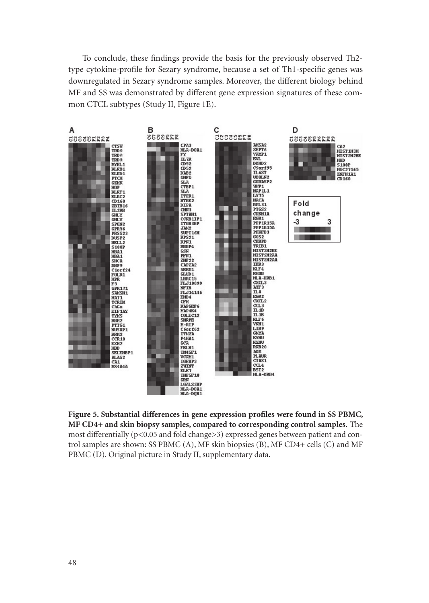To conclude, these findings provide the basis for the previously observed Th2type cytokine-profile for Sezary syndrome, because a set of Th1-specific genes was downregulated in Sezary syndrome samples. Moreover, the different biology behind MF and SS was demonstrated by different gene expression signatures of these common CTCL subtypes (Study II, Figure 1E).



Figure 5. Substantial differences in gene expression profiles were found in SS PBMC, **MF CD4+ and skin biopsy samples, compared to corresponding control samples.** The most differentially  $(p<0.05$  and fold change $>3$ ) expressed genes between patient and control samples are shown: SS PBMC (A), MF skin biopsies (B), MF CD4+ cells (C) and MF PBMC (D). Original picture in Study II, supplementary data.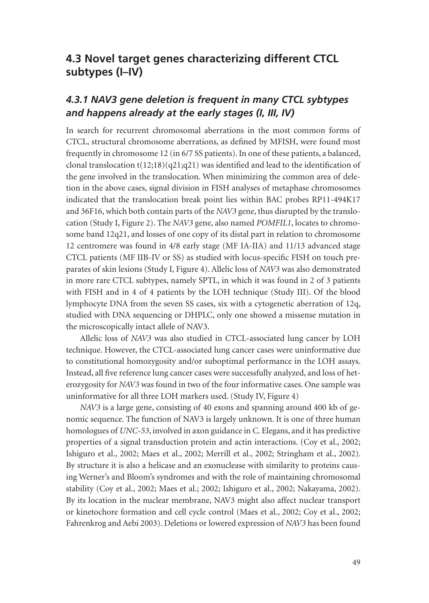# **4.3 Novel target genes characterizing different CTCL subtypes (I–IV)**

### *4.3.1 NAV3 gene deletion is frequent in many CTCL sybtypes and happens already at the early stages (I, III, IV)*

In search for recurrent chromosomal aberrations in the most common forms of CTCL, structural chromosome aberrations, as defined by MFISH, were found most frequently in chromosome 12 (in 6/7 SS patients). In one of these patients, a balanced, clonal translocation t(12;18)(q21;q21) was identified and lead to the identification of the gene involved in the translocation. When minimizing the common area of deletion in the above cases, signal division in FISH analyses of metaphase chromosomes indicated that the translocation break point lies within BAC probes RP11-494K17 and 36F16, which both contain parts of the *NAV3* gene, thus disrupted by the translocation (Study I, Figure 2). The *NAV3* gene, also named *POMFIL1*, locates to chromosome band 12q21, and losses of one copy of its distal part in relation to chromosome 12 centromere was found in 4/8 early stage (MF IA-IIA) and 11/13 advanced stage CTCL patients (MF IIB-IV or SS) as studied with locus-specific FISH on touch preparates of skin lesions (Study I, Figure 4). Allelic loss of *NAV3* was also demonstrated in more rare CTCL subtypes, namely SPTL, in which it was found in 2 of 3 patients with FISH and in 4 of 4 patients by the LOH technique (Study III). Of the blood lymphocyte DNA from the seven SS cases, six with a cytogenetic aberration of 12q, studied with DNA sequencing or DHPLC, only one showed a missense mutation in the microscopically intact allele of NAV3.

Allelic loss of *NAV3* was also studied in CTCL-associated lung cancer by LOH technique. However, the CTCL-associated lung cancer cases were uninformative due to constitutional homozygosity and/or suboptimal performance in the LOH assays. Instead, all five reference lung cancer cases were successfully analyzed, and loss of heterozygosity for *NAV3* was found in two of the four informative cases. One sample was uninformative for all three LOH markers used. (Study IV, Figure 4)

*NAV3* is a large gene, consisting of 40 exons and spanning around 400 kb of genomic sequence. The function of NAV3 is largely unknown. It is one of three human homologues of *UNC-53*, involved in axon guidance in C. Elegans, and it has predictive properties of a signal transduction protein and actin interactions. (Coy et al., 2002; Ishiguro et al., 2002; Maes et al., 2002; Merrill et al., 2002; Stringham et al., 2002). By structure it is also a helicase and an exonuclease with similarity to proteins causing Werner's and Bloom's syndromes and with the role of maintaining chromosomal stability (Coy et al., 2002; Maes et al.; 2002; Ishiguro et al., 2002; Nakayama, 2002). By its location in the nuclear membrane, NAV3 might also affect nuclear transport or kinetochore formation and cell cycle control (Maes et al., 2002; Coy et al., 2002; Fahrenkrog and Aebi 2003). Deletions or lowered expression of *NAV3* has been found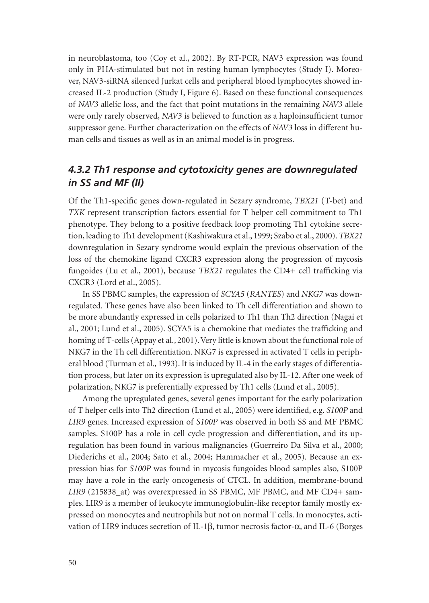in neuroblastoma, too (Coy et al., 2002). By RT-PCR, NAV3 expression was found only in PHA-stimulated but not in resting human lymphocytes (Study I). Moreover, NAV3-siRNA silenced Jurkat cells and peripheral blood lymphocytes showed increased IL-2 production (Study I, Figure 6). Based on these functional consequences of *NAV3* allelic loss, and the fact that point mutations in the remaining *NAV3* allele were only rarely observed, *NAV3* is believed to function as a haploinsufficient tumor suppressor gene. Further characterization on the effects of *NAV3* loss in different human cells and tissues as well as in an animal model is in progress.

#### *4.3.2 Th1 response and cytotoxicity genes are downregulated in SS and MF (II)*

Of the Th1-specific genes down-regulated in Sezary syndrome, *TBX21* (T-bet) and *TXK* represent transcription factors essential for T helper cell commitment to Th1 phenotype. They belong to a positive feedback loop promoting Th1 cytokine secretion, leading to Th1 development (Kashiwakura et al., 1999; Szabo et al., 2000). *TBX21* downregulation in Sezary syndrome would explain the previous observation of the loss of the chemokine ligand CXCR3 expression along the progression of mycosis fungoides (Lu et al., 2001), because *TBX21* regulates the CD4+ cell trafficking via CXCR3 (Lord et al., 2005).

In SS PBMC samples, the expression of *SCYA5* (*RANTES*) and *NKG7* was downregulated. These genes have also been linked to Th cell differentiation and shown to be more abundantly expressed in cells polarized to Th1 than Th2 direction (Nagai et al., 2001; Lund et al., 2005). SCYA5 is a chemokine that mediates the trafficking and homing of T-cells (Appay et al., 2001). Very little is known about the functional role of NKG7 in the Th cell differentiation. NKG7 is expressed in activated T cells in peripheral blood (Turman et al., 1993). It is induced by IL-4 in the early stages of differentiation process, but later on its expression is upregulated also by IL-12. After one week of polarization, NKG7 is preferentially expressed by Th1 cells (Lund et al., 2005).

Among the upregulated genes, several genes important for the early polarization of T helper cells into Th2 direction (Lund et al., 2005) were identified, e.g. *S100P* and *LIR9* genes. Increased expression of *S100P* was observed in both SS and MF PBMC samples. S100P has a role in cell cycle progression and differentiation, and its upregulation has been found in various malignancies (Guerreiro Da Silva et al., 2000; Diederichs et al., 2004; Sato et al., 2004; Hammacher et al., 2005). Because an expression bias for *S100P* was found in mycosis fungoides blood samples also, S100P may have a role in the early oncogenesis of CTCL. In addition, membrane-bound *LIR9* (215838\_at) was overexpressed in SS PBMC, MF PBMC, and MF CD4+ samples. LIR9 is a member of leukocyte immunoglobulin-like receptor family mostly expressed on monocytes and neutrophils but not on normal T cells. In monocytes, activation of LIR9 induces secretion of IL-1β, tumor necrosis factor-α, and IL-6 (Borges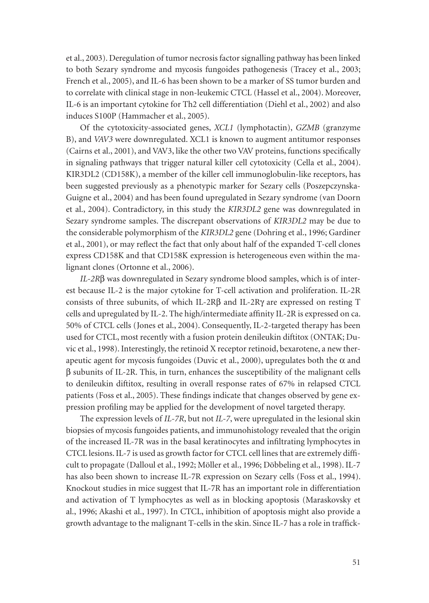et al., 2003). Deregulation of tumor necrosis factor signalling pathway has been linked to both Sezary syndrome and mycosis fungoides pathogenesis (Tracey et al., 2003; French et al., 2005), and IL-6 has been shown to be a marker of SS tumor burden and to correlate with clinical stage in non-leukemic CTCL (Hassel et al., 2004). Moreover, IL-6 is an important cytokine for Th2 cell differentiation (Diehl et al., 2002) and also induces S100P (Hammacher et al., 2005).

Of the cytotoxicity-associated genes, *XCL1* (lymphotactin), *GZMB* (granzyme B), and *VAV3* were downregulated. XCL1 is known to augment antitumor responses (Cairns et al., 2001), and VAV3, like the other two VAV proteins, functions specifically in signaling pathways that trigger natural killer cell cytotoxicity (Cella et al., 2004). KIR3DL2 (CD158K), a member of the killer cell immunoglobulin-like receptors, has been suggested previously as a phenotypic marker for Sezary cells (Poszepczynska-Guigne et al., 2004) and has been found upregulated in Sezary syndrome (van Doorn et al., 2004). Contradictory, in this study the *KIR3DL2* gene was downregulated in Sezary syndrome samples. The discrepant observations of *KIR3DL2* may be due to the considerable polymorphism of the *KIR3DL2* gene (Dohring et al., 1996; Gardiner et al., 2001), or may reflect the fact that only about half of the expanded T-cell clones express CD158K and that CD158K expression is heterogeneous even within the malignant clones (Ortonne et al., 2006).

*IL-2R*β was downregulated in Sezary syndrome blood samples, which is of interest because IL-2 is the major cytokine for T-cell activation and proliferation. IL-2R consists of three subunits, of which IL-2Rβ and IL-2Rγ are expressed on resting T cells and upregulated by IL-2. The high/intermediate affinity IL-2R is expressed on ca. 50% of CTCL cells (Jones et al., 2004). Consequently, IL-2-targeted therapy has been used for CTCL, most recently with a fusion protein denileukin diftitox (ONTAK; Duvic et al., 1998). Interestingly, the retinoid X receptor retinoid, bexarotene, a new therapeutic agent for mycosis fungoides (Duvic et al., 2000), upregulates both the  $\alpha$  and β subunits of IL-2R. This, in turn, enhances the susceptibility of the malignant cells to denileukin diftitox, resulting in overall response rates of 67% in relapsed CTCL patients (Foss et al., 2005). These findings indicate that changes observed by gene expression profiling may be applied for the development of novel targeted therapy.

The expression levels of *IL-7R*, but not *IL-7*, were upregulated in the lesional skin biopsies of mycosis fungoides patients, and immunohistology revealed that the origin of the increased IL-7R was in the basal keratinocytes and infiltrating lymphocytes in CTCL lesions. IL-7 is used as growth factor for CTCL cell lines that are extremely difficult to propagate (Dalloul et al., 1992; Möller et al., 1996; Döbbeling et al., 1998). IL-7 has also been shown to increase IL-7R expression on Sezary cells (Foss et al., 1994). Knockout studies in mice suggest that IL-7R has an important role in differentiation and activation of T lymphocytes as well as in blocking apoptosis (Maraskovsky et al., 1996; Akashi et al., 1997). In CTCL, inhibition of apoptosis might also provide a growth advantage to the malignant T-cells in the skin. Since IL-7 has a role in traffick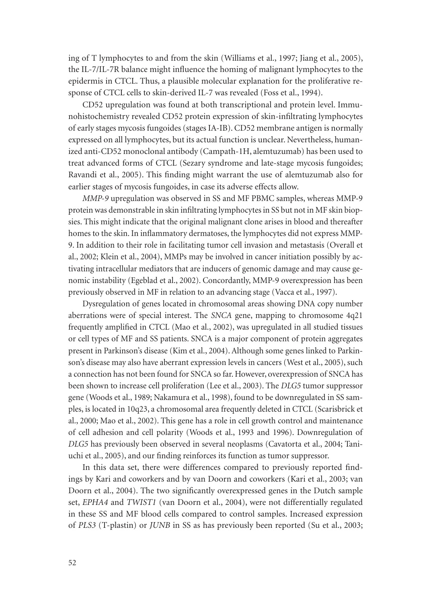ing of T lymphocytes to and from the skin (Williams et al., 1997; Jiang et al., 2005), the IL-7/IL-7R balance might influence the homing of malignant lymphocytes to the epidermis in CTCL. Thus, a plausible molecular explanation for the proliferative response of CTCL cells to skin-derived IL-7 was revealed (Foss et al., 1994).

CD52 upregulation was found at both transcriptional and protein level. Immunohistochemistry revealed CD52 protein expression of skin-infiltrating lymphocytes of early stages mycosis fungoides (stages IA-IB). CD52 membrane antigen is normally expressed on all lymphocytes, but its actual function is unclear. Nevertheless, humanized anti-CD52 monoclonal antibody (Campath-1H, alemtuzumab) has been used to treat advanced forms of CTCL (Sezary syndrome and late-stage mycosis fungoides; Ravandi et al., 2005). This finding might warrant the use of alemtuzumab also for earlier stages of mycosis fungoides, in case its adverse effects allow.

*MMP-9* upregulation was observed in SS and MF PBMC samples, whereas MMP-9 protein was demonstrable in skin infiltrating lymphocytes in SS but not in MF skin biopsies. This might indicate that the original malignant clone arises in blood and thereafter homes to the skin. In inflammatory dermatoses, the lymphocytes did not express MMP-9. In addition to their role in facilitating tumor cell invasion and metastasis (Overall et al., 2002; Klein et al., 2004), MMPs may be involved in cancer initiation possibly by activating intracellular mediators that are inducers of genomic damage and may cause genomic instability (Egeblad et al., 2002). Concordantly, MMP-9 overexpression has been previously observed in MF in relation to an advancing stage (Vacca et al., 1997).

Dysregulation of genes located in chromosomal areas showing DNA copy number aberrations were of special interest. The *SNCA* gene, mapping to chromosome 4q21 frequently amplified in CTCL (Mao et al., 2002), was upregulated in all studied tissues or cell types of MF and SS patients. SNCA is a major component of protein aggregates present in Parkinson's disease (Kim et al., 2004). Although some genes linked to Parkinson's disease may also have aberrant expression levels in cancers (West et al., 2005), such a connection has not been found for SNCA so far. However, overexpression of SNCA has been shown to increase cell proliferation (Lee et al., 2003). The *DLG5* tumor suppressor gene (Woods et al., 1989; Nakamura et al., 1998), found to be downregulated in SS samples, is located in 10q23, a chromosomal area frequently deleted in CTCL (Scarisbrick et al., 2000; Mao et al., 2002). This gene has a role in cell growth control and maintenance of cell adhesion and cell polarity (Woods et al., 1993 and 1996). Downregulation of *DLG5* has previously been observed in several neoplasms (Cavatorta et al., 2004; Taniuchi et al., 2005), and our finding reinforces its function as tumor suppressor.

In this data set, there were differences compared to previously reported findings by Kari and coworkers and by van Doorn and coworkers (Kari et al., 2003; van Doorn et al., 2004). The two significantly overexpressed genes in the Dutch sample set, *EPHA4* and *TWIST1* (van Doorn et al., 2004), were not differentially regulated in these SS and MF blood cells compared to control samples. Increased expression of *PLS3* (T-plastin) or *JUNB* in SS as has previously been reported (Su et al., 2003;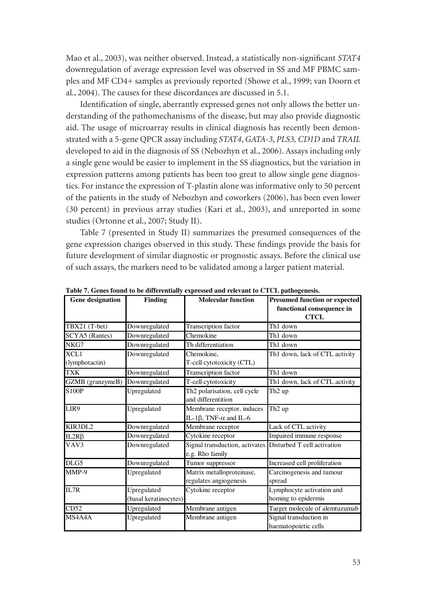Mao et al., 2003), was neither observed. Instead, a statistically non-significant *STAT4* downregulation of average expression level was observed in SS and MF PBMC samples and MF CD4+ samples as previously reported (Showe et al., 1999; van Doorn et al., 2004). The causes for these discordances are discussed in 5.1.

Identification of single, aberrantly expressed genes not only allows the better understanding of the pathomechanisms of the disease, but may also provide diagnostic aid. The usage of microarray results in clinical diagnosis has recently been demonstrated with a 5-gene QPCR assay including *STAT4*, *GATA-3*, *PLS3, CD1D* and *TRAIL*  developed to aid in the diagnosis of SS (Nebozhyn et al., 2006). Assays including only a single gene would be easier to implement in the SS diagnostics, but the variation in expression patterns among patients has been too great to allow single gene diagnostics. For instance the expression of T-plastin alone was informative only to 50 percent of the patients in the study of Nebozhyn and coworkers (2006), has been even lower (30 percent) in previous array studies (Kari et al., 2003), and unreported in some studies (Ortonne et al., 2007; Study II).

Table 7 (presented in Study II) summarizes the presumed consequences of the gene expression changes observed in this study. These findings provide the basis for future development of similar diagnostic or prognostic assays. Before the clinical use of such assays, the markers need to be validated among a larger patient material.

| <b>Gene designation</b>              | Finding                              | <b>Molecular function</b>                                           | <b>Presumed function or expected</b><br>functional consequence in<br><b>CTCL</b> |
|--------------------------------------|--------------------------------------|---------------------------------------------------------------------|----------------------------------------------------------------------------------|
| TBX21 (T-bet)                        | Downregulated                        | Transcription factor                                                | Th1 down                                                                         |
| SCYA5 (Rantes)                       | Downregulated                        | Chemokine                                                           | Th1 down                                                                         |
| NKG7                                 | Downregulated                        | Th differentiation                                                  | Th1 down                                                                         |
| XCL1<br>(lymphotactin)               | Downregulated                        | Chemokine.<br>T-cell cytotoxicity (CTL)                             | Th1 down, lack of CTL activity                                                   |
| <b>TXK</b>                           | Downregulated                        | Transcription factor                                                | Th1 down                                                                         |
| $\overline{\text{GZMB}}$ (granzymeB) | Downregulated                        | T-cell cytotoxicity                                                 | Th1 down, lack of CTL activity                                                   |
| S100P                                | Upregulated                          | Th <sub>2</sub> polarisation, cell cycle<br>and differentition      | Th <sub>2</sub> up                                                               |
| LIR9                                 | Upregulated                          | Membrane receptor, induces<br>IL-1 $\beta$ , TNF- $\alpha$ and IL-6 | Th <sub>2</sub> up                                                               |
| KIR3DL2                              | Downregulated                        | Membrane receptor                                                   | Lack of CTL activity                                                             |
| $IL2R\beta$                          | Downregulated                        | Cytokine receptor                                                   | Impaired immune response                                                         |
| VAV3                                 | Downregulated                        | Signal transduction, activates<br>e.g. Rho family                   | Disturbed T cell activation                                                      |
| DLG5                                 | Downregulated                        | Tumor suppressor                                                    | Increased cell proliferation                                                     |
| MMP-9                                | Upregulated                          | Matrix metalloproteinase,<br>regulates angiogenesis                 | Carcinogenesis and tumour<br>spread                                              |
| IL7R                                 | Upregulated<br>(basal keratinocytes) | Cytokine receptor                                                   | Lymphocyte activation and<br>homing to epidermis                                 |
| CD52                                 | Upregulated                          | Membrane antigen                                                    | Target molecule of alemtuzumab                                                   |
| MS4A4A                               | Upregulated                          | Membrane antigen                                                    | Signal transduction in<br>haematopoietic cells                                   |

**Table 7. Genes found to be differentially expressed and relevant to CTCL pathogenesis.**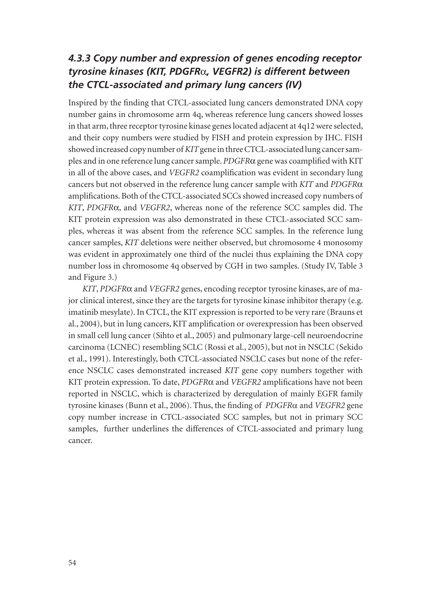### *4.3.3 Copy number and expression of genes encoding receptor tyrosine kinases (KIT, PDGFR*α*, VEGFR2) is different between the CTCL-associated and primary lung cancers (IV)*

Inspired by the finding that CTCL-associated lung cancers demonstrated DNA copy number gains in chromosome arm 4q, whereas reference lung cancers showed losses in that arm, three receptor tyrosine kinase genes located adjacent at 4q12 were selected, and their copy numbers were studied by FISH and protein expression by IHC. FISH showed increased copy number of *KIT* gene in three CTCL-associated lung cancer samples and in one reference lung cancer sample. *PDGFRα* gene was coamplified with KIT in all of the above cases, and *VEGFR2* coamplification was evident in secondary lung cancers but not observed in the reference lung cancer sample with *KIT* and *PDGFR*α amplifications. Both of the CTCL-associated SCCs showed increased copy numbers of *KIT*, *PDGFR*α, and *VEGFR2*, whereas none of the reference SCC samples did. The KIT protein expression was also demonstrated in these CTCL-associated SCC samples, whereas it was absent from the reference SCC samples. In the reference lung cancer samples, *KIT* deletions were neither observed, but chromosome 4 monosomy was evident in approximately one third of the nuclei thus explaining the DNA copy number loss in chromosome 4q observed by CGH in two samples. (Study IV, Table 3 and Figure 3.)

*KIT*, *PDGFR*α and *VEGFR2* genes, encoding receptor tyrosine kinases, are of major clinical interest, since they are the targets for tyrosine kinase inhibitor therapy (e.g. imatinib mesylate). In CTCL, the KIT expression is reported to be very rare (Brauns et al., 2004), but in lung cancers, KIT amplification or overexpression has been observed in small cell lung cancer (Sihto et al., 2005) and pulmonary large-cell neuroendocrine carcinoma (LCNEC) resembling SCLC (Rossi et al., 2005), but not in NSCLC (Sekido et al., 1991). Interestingly, both CTCL-associated NSCLC cases but none of the reference NSCLC cases demonstrated increased *KIT* gene copy numbers together with KIT protein expression. To date, *PDGFRα* and *VEGFR2* amplifications have not been reported in NSCLC, which is characterized by deregulation of mainly EGFR family tyrosine kinases (Bunn et al., 2006). Thus, the finding of *PDGFRα* and *VEGFR2* gene copy number increase in CTCL-associated SCC samples, but not in primary SCC samples, further underlines the differences of CTCL-associated and primary lung cancer.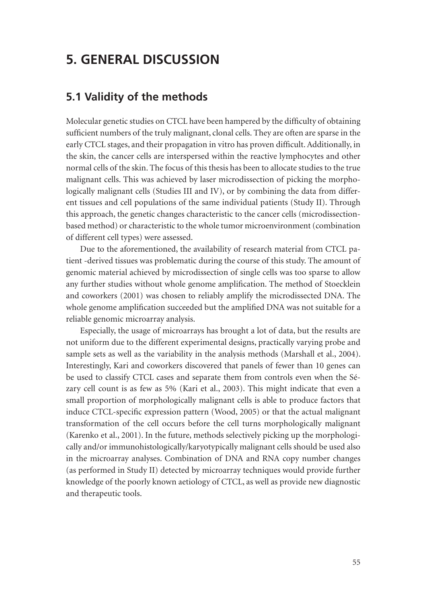# **5. GENERAL DISCUSSION**

### **5.1 Validity of the methods**

Molecular genetic studies on CTCL have been hampered by the difficulty of obtaining sufficient numbers of the truly malignant, clonal cells. They are often are sparse in the early CTCL stages, and their propagation in vitro has proven difficult. Additionally, in the skin, the cancer cells are interspersed within the reactive lymphocytes and other normal cells of the skin. The focus of this thesis has been to allocate studies to the true malignant cells. This was achieved by laser microdissection of picking the morphologically malignant cells (Studies III and IV), or by combining the data from different tissues and cell populations of the same individual patients (Study II). Through this approach, the genetic changes characteristic to the cancer cells (microdissectionbased method) or characteristic to the whole tumor microenvironment (combination of different cell types) were assessed.

Due to the aforementioned, the availability of research material from CTCL patient -derived tissues was problematic during the course of this study. The amount of genomic material achieved by microdissection of single cells was too sparse to allow any further studies without whole genome amplification. The method of Stoecklein and coworkers (2001) was chosen to reliably amplify the microdissected DNA. The whole genome amplification succeeded but the amplified DNA was not suitable for a reliable genomic microarray analysis.

Especially, the usage of microarrays has brought a lot of data, but the results are not uniform due to the different experimental designs, practically varying probe and sample sets as well as the variability in the analysis methods (Marshall et al., 2004). Interestingly, Kari and coworkers discovered that panels of fewer than 10 genes can be used to classify CTCL cases and separate them from controls even when the Sézary cell count is as few as 5% (Kari et al., 2003). This might indicate that even a small proportion of morphologically malignant cells is able to produce factors that induce CTCL-specific expression pattern (Wood, 2005) or that the actual malignant transformation of the cell occurs before the cell turns morphologically malignant (Karenko et al., 2001). In the future, methods selectively picking up the morphologically and/or immunohistologically/karyotypically malignant cells should be used also in the microarray analyses. Combination of DNA and RNA copy number changes (as performed in Study II) detected by microarray techniques would provide further knowledge of the poorly known aetiology of CTCL, as well as provide new diagnostic and therapeutic tools.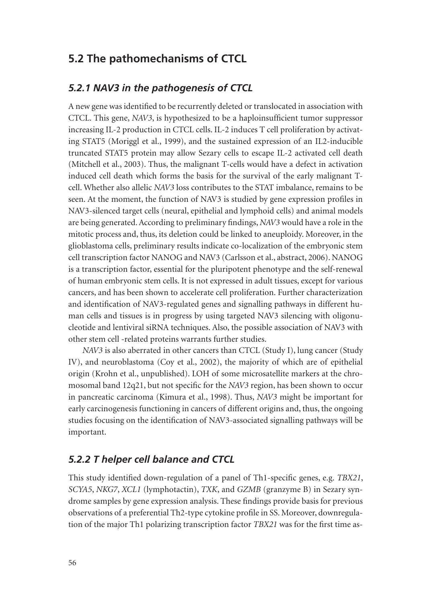### **5.2 The pathomechanisms of CTCL**

#### *5.2.1 NAV3 in the pathogenesis of CTCL*

A new gene was identified to be recurrently deleted or translocated in association with CTCL. This gene, *NAV3*, is hypothesized to be a haploinsufficient tumor suppressor increasing IL-2 production in CTCL cells. IL-2 induces T cell proliferation by activating STAT5 (Moriggl et al., 1999), and the sustained expression of an IL2-inducible truncated STAT5 protein may allow Sezary cells to escape IL-2 activated cell death (Mitchell et al., 2003). Thus, the malignant T-cells would have a defect in activation induced cell death which forms the basis for the survival of the early malignant Tcell. Whether also allelic *NAV3* loss contributes to the STAT imbalance, remains to be seen. At the moment, the function of NAV3 is studied by gene expression profiles in NAV3-silenced target cells (neural, epithelial and lymphoid cells) and animal models are being generated. According to preliminary findings, *NAV3* would have a role in the mitotic process and, thus, its deletion could be linked to aneuploidy. Moreover, in the glioblastoma cells, preliminary results indicate co-localization of the embryonic stem cell transcription factor NANOG and NAV3 (Carlsson et al., abstract, 2006). NANOG is a transcription factor, essential for the pluripotent phenotype and the self-renewal of human embryonic stem cells. It is not expressed in adult tissues, except for various cancers, and has been shown to accelerate cell proliferation. Further characterization and identification of NAV3-regulated genes and signalling pathways in different human cells and tissues is in progress by using targeted NAV3 silencing with oligonucleotide and lentiviral siRNA techniques. Also, the possible association of NAV3 with other stem cell -related proteins warrants further studies.

*NAV3* is also aberrated in other cancers than CTCL (Study I), lung cancer (Study IV), and neuroblastoma (Coy et al., 2002), the majority of which are of epithelial origin (Krohn et al., unpublished). LOH of some microsatellite markers at the chromosomal band 12q21, but not specific for the *NAV3* region, has been shown to occur in pancreatic carcinoma (Kimura et al., 1998). Thus, *NAV3* might be important for early carcinogenesis functioning in cancers of different origins and, thus, the ongoing studies focusing on the identification of NAV3-associated signalling pathways will be important.

#### *5.2.2 T helper cell balance and CTCL*

This study identified down-regulation of a panel of Th1-specific genes, e.g. *TBX21*, *SCYA5*, *NKG7*, *XCL1* (lymphotactin), *TXK*, and *GZMB* (granzyme B) in Sezary syndrome samples by gene expression analysis. These findings provide basis for previous observations of a preferential Th2-type cytokine profile in SS. Moreover, downregulation of the major Th1 polarizing transcription factor *TBX21* was for the first time as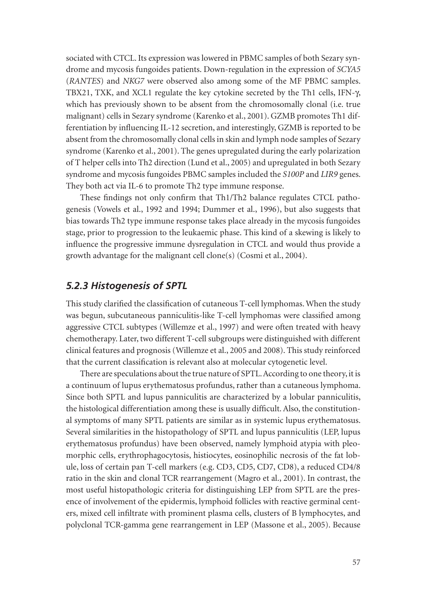sociated with CTCL. Its expression was lowered in PBMC samples of both Sezary syndrome and mycosis fungoides patients. Down-regulation in the expression of *SCYA5* (*RANTES*) and *NKG7* were observed also among some of the MF PBMC samples. TBX21, TXK, and XCL1 regulate the key cytokine secreted by the Th1 cells, IFN-γ, which has previously shown to be absent from the chromosomally clonal (i.e. true malignant) cells in Sezary syndrome (Karenko et al., 2001). GZMB promotes Th1 differentiation by influencing IL-12 secretion, and interestingly, GZMB is reported to be absent from the chromosomally clonal cells in skin and lymph node samples of Sezary syndrome (Karenko et al., 2001). The genes upregulated during the early polarization of T helper cells into Th2 direction (Lund et al., 2005) and upregulated in both Sezary syndrome and mycosis fungoides PBMC samples included the *S100P* and *LIR9* genes. They both act via IL-6 to promote Th2 type immune response.

These findings not only confirm that Th1/Th2 balance regulates CTCL pathogenesis (Vowels et al., 1992 and 1994; Dummer et al., 1996), but also suggests that bias towards Th2 type immune response takes place already in the mycosis fungoides stage, prior to progression to the leukaemic phase. This kind of a skewing is likely to influence the progressive immune dysregulation in CTCL and would thus provide a growth advantage for the malignant cell clone(s) (Cosmi et al., 2004).

#### *5.2.3 Histogenesis of SPTL*

This study clarified the classification of cutaneous T-cell lymphomas. When the study was begun, subcutaneous panniculitis-like T-cell lymphomas were classified among aggressive CTCL subtypes (Willemze et al., 1997) and were often treated with heavy chemotherapy. Later, two different T-cell subgroups were distinguished with different clinical features and prognosis (Willemze et al., 2005 and 2008). This study reinforced that the current classification is relevant also at molecular cytogenetic level.

There are speculations about the true nature of SPTL. According to one theory, it is a continuum of lupus erythematosus profundus, rather than a cutaneous lymphoma. Since both SPTL and lupus panniculitis are characterized by a lobular panniculitis, the histological differentiation among these is usually difficult. Also, the constitutional symptoms of many SPTL patients are similar as in systemic lupus erythematosus. Several similarities in the histopathology of SPTL and lupus panniculitis (LEP, lupus erythematosus profundus) have been observed, namely lymphoid atypia with pleomorphic cells, erythrophagocytosis, histiocytes, eosinophilic necrosis of the fat lobule, loss of certain pan T-cell markers (e.g. CD3, CD5, CD7, CD8), a reduced CD4/8 ratio in the skin and clonal TCR rearrangement (Magro et al., 2001). In contrast, the most useful histopathologic criteria for distinguishing LEP from SPTL are the presence of involvement of the epidermis, lymphoid follicles with reactive germinal centers, mixed cell infiltrate with prominent plasma cells, clusters of B lymphocytes, and polyclonal TCR-gamma gene rearrangement in LEP (Massone et al., 2005). Because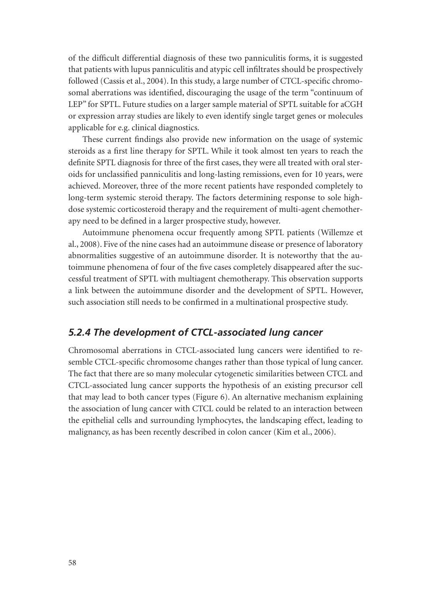of the difficult differential diagnosis of these two panniculitis forms, it is suggested that patients with lupus panniculitis and atypic cell infiltrates should be prospectively followed (Cassis et al., 2004). In this study, a large number of CTCL-specific chromosomal aberrations was identified, discouraging the usage of the term "continuum of LEP" for SPTL. Future studies on a larger sample material of SPTL suitable for aCGH or expression array studies are likely to even identify single target genes or molecules applicable for e.g. clinical diagnostics.

These current findings also provide new information on the usage of systemic steroids as a first line therapy for SPTL. While it took almost ten years to reach the definite SPTL diagnosis for three of the first cases, they were all treated with oral steroids for unclassified panniculitis and long-lasting remissions, even for 10 years, were achieved. Moreover, three of the more recent patients have responded completely to long-term systemic steroid therapy. The factors determining response to sole highdose systemic corticosteroid therapy and the requirement of multi-agent chemotherapy need to be defined in a larger prospective study, however.

Autoimmune phenomena occur frequently among SPTL patients (Willemze et al., 2008). Five of the nine cases had an autoimmune disease or presence of laboratory abnormalities suggestive of an autoimmune disorder. It is noteworthy that the autoimmune phenomena of four of the five cases completely disappeared after the successful treatment of SPTL with multiagent chemotherapy. This observation supports a link between the autoimmune disorder and the development of SPTL. However, such association still needs to be confirmed in a multinational prospective study.

#### *5.2.4 The development of CTCL-associated lung cancer*

Chromosomal aberrations in CTCL-associated lung cancers were identified to resemble CTCL-specific chromosome changes rather than those typical of lung cancer. The fact that there are so many molecular cytogenetic similarities between CTCL and CTCL-associated lung cancer supports the hypothesis of an existing precursor cell that may lead to both cancer types (Figure 6). An alternative mechanism explaining the association of lung cancer with CTCL could be related to an interaction between the epithelial cells and surrounding lymphocytes, the landscaping effect, leading to malignancy, as has been recently described in colon cancer (Kim et al., 2006).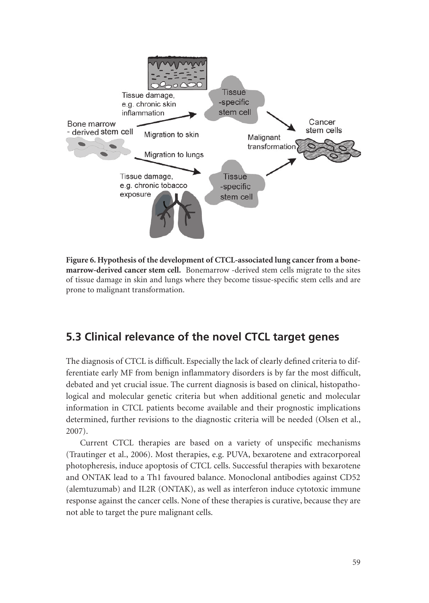

**Figure 6. Hypothesis of the development of CTCL-associated lung cancer from a bonemarrow-derived cancer stem cell.** Bonemarrow -derived stem cells migrate to the sites of tissue damage in skin and lungs where they become tissue-specific stem cells and are prone to malignant transformation.

# **5.3 Clinical relevance of the novel CTCL target genes**

The diagnosis of CTCL is difficult. Especially the lack of clearly defined criteria to differentiate early MF from benign inflammatory disorders is by far the most difficult, debated and yet crucial issue. The current diagnosis is based on clinical, histopathological and molecular genetic criteria but when additional genetic and molecular information in CTCL patients become available and their prognostic implications determined, further revisions to the diagnostic criteria will be needed (Olsen et al., 2007).

Current CTCL therapies are based on a variety of unspecific mechanisms (Trautinger et al., 2006). Most therapies, e.g. PUVA, bexarotene and extracorporeal photopheresis, induce apoptosis of CTCL cells. Successful therapies with bexarotene and ONTAK lead to a Th1 favoured balance. Monoclonal antibodies against CD52 (alemtuzumab) and IL2R (ONTAK), as well as interferon induce cytotoxic immune response against the cancer cells. None of these therapies is curative, because they are not able to target the pure malignant cells.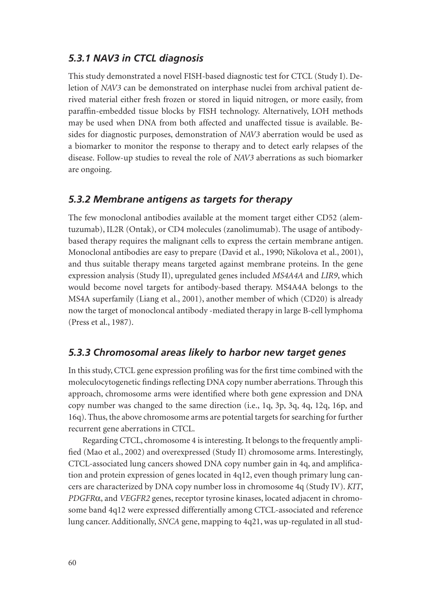#### *5.3.1 NAV3 in CTCL diagnosis*

This study demonstrated a novel FISH-based diagnostic test for CTCL (Study I). Deletion of *NAV3* can be demonstrated on interphase nuclei from archival patient derived material either fresh frozen or stored in liquid nitrogen, or more easily, from paraffin-embedded tissue blocks by FISH technology. Alternatively, LOH methods may be used when DNA from both affected and unaffected tissue is available. Besides for diagnostic purposes, demonstration of *NAV3* aberration would be used as a biomarker to monitor the response to therapy and to detect early relapses of the disease. Follow-up studies to reveal the role of *NAV3* aberrations as such biomarker are ongoing.

#### *5.3.2 Membrane antigens as targets for therapy*

The few monoclonal antibodies available at the moment target either CD52 (alemtuzumab), IL2R (Ontak), or CD4 molecules (zanolimumab). The usage of antibodybased therapy requires the malignant cells to express the certain membrane antigen. Monoclonal antibodies are easy to prepare (David et al., 1990; Nikolova et al., 2001), and thus suitable therapy means targeted against membrane proteins. In the gene expression analysis (Study II), upregulated genes included *MS4A4A* and *LIR9*, which would become novel targets for antibody-based therapy. MS4A4A belongs to the MS4A superfamily (Liang et al., 2001), another member of which (CD20) is already now the target of monocloncal antibody -mediated therapy in large B-cell lymphoma (Press et al., 1987).

#### *5.3.3 Chromosomal areas likely to harbor new target genes*

In this study, CTCL gene expression profiling was for the first time combined with the moleculocytogenetic findings reflecting DNA copy number aberrations. Through this approach, chromosome arms were identified where both gene expression and DNA copy number was changed to the same direction (i.e., 1q, 3p, 3q, 4q, 12q, 16p, and 16q). Thus, the above chromosome arms are potential targets for searching for further recurrent gene aberrations in CTCL.

Regarding CTCL, chromosome 4 is interesting. It belongs to the frequently amplified (Mao et al., 2002) and overexpressed (Study II) chromosome arms. Interestingly, CTCL-associated lung cancers showed DNA copy number gain in 4q, and amplification and protein expression of genes located in 4q12, even though primary lung cancers are characterized by DNA copy number loss in chromosome 4q (Study IV). *KIT*, *PDGFR*α, and *VEGFR2* genes, receptor tyrosine kinases, located adjacent in chromosome band 4q12 were expressed differentially among CTCL-associated and reference lung cancer. Additionally, *SNCA* gene, mapping to 4q21, was up-regulated in all stud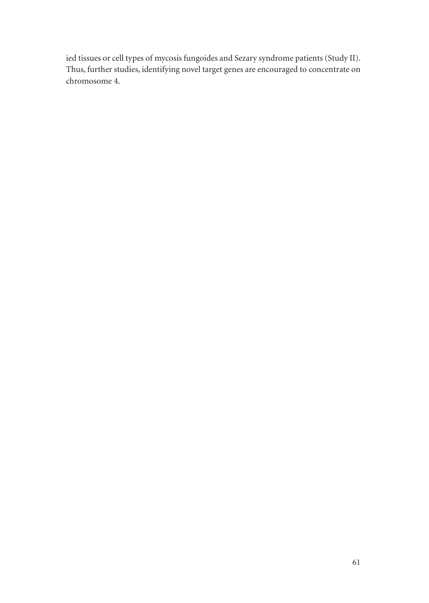ied tissues or cell types of mycosis fungoides and Sezary syndrome patients (Study II). Thus, further studies, identifying novel target genes are encouraged to concentrate on chromosome 4.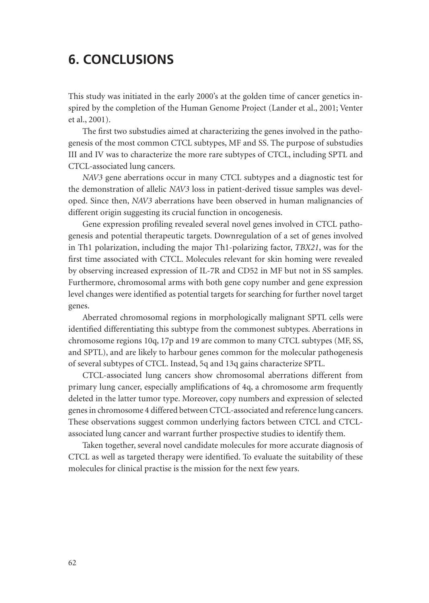# **6. CONCLUSIONS**

This study was initiated in the early 2000's at the golden time of cancer genetics inspired by the completion of the Human Genome Project (Lander et al., 2001; Venter et al., 2001).

The first two substudies aimed at characterizing the genes involved in the pathogenesis of the most common CTCL subtypes, MF and SS. The purpose of substudies III and IV was to characterize the more rare subtypes of CTCL, including SPTL and CTCL-associated lung cancers.

*NAV3* gene aberrations occur in many CTCL subtypes and a diagnostic test for the demonstration of allelic *NAV3* loss in patient-derived tissue samples was developed. Since then, *NAV3* aberrations have been observed in human malignancies of different origin suggesting its crucial function in oncogenesis.

Gene expression profiling revealed several novel genes involved in CTCL pathogenesis and potential therapeutic targets. Downregulation of a set of genes involved in Th1 polarization, including the major Th1-polarizing factor, *TBX21*, was for the first time associated with CTCL. Molecules relevant for skin homing were revealed by observing increased expression of IL-7R and CD52 in MF but not in SS samples. Furthermore, chromosomal arms with both gene copy number and gene expression level changes were identified as potential targets for searching for further novel target genes.

Aberrated chromosomal regions in morphologically malignant SPTL cells were identified differentiating this subtype from the commonest subtypes. Aberrations in chromosome regions 10q, 17p and 19 are common to many CTCL subtypes (MF, SS, and SPTL), and are likely to harbour genes common for the molecular pathogenesis of several subtypes of CTCL. Instead, 5q and 13q gains characterize SPTL.

CTCL-associated lung cancers show chromosomal aberrations different from primary lung cancer, especially amplifications of 4q, a chromosome arm frequently deleted in the latter tumor type. Moreover, copy numbers and expression of selected genes in chromosome 4 differed between CTCL-associated and reference lung cancers. These observations suggest common underlying factors between CTCL and CTCLassociated lung cancer and warrant further prospective studies to identify them.

Taken together, several novel candidate molecules for more accurate diagnosis of CTCL as well as targeted therapy were identified. To evaluate the suitability of these molecules for clinical practise is the mission for the next few years.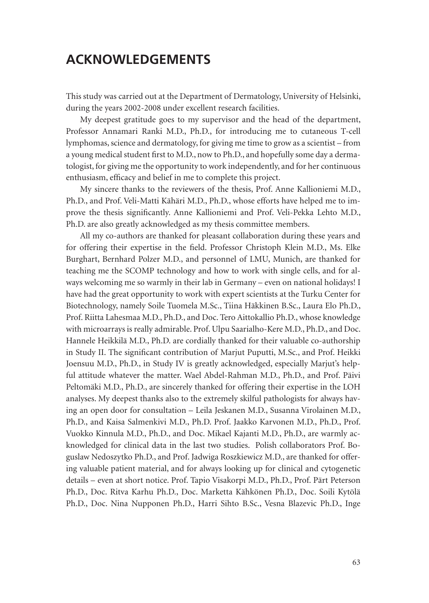# **ACKNOWLEDGEMENTS**

This study was carried out at the Department of Dermatology, University of Helsinki, during the years 2002-2008 under excellent research facilities.

My deepest gratitude goes to my supervisor and the head of the department, Professor Annamari Ranki M.D., Ph.D., for introducing me to cutaneous T-cell lymphomas, science and dermatology, for giving me time to grow as a scientist – from a young medical student first to M.D., now to Ph.D., and hopefully some day a dermatologist, for giving me the opportunity to work independently, and for her continuous enthusiasm, efficacy and belief in me to complete this project.

My sincere thanks to the reviewers of the thesis, Prof. Anne Kallioniemi M.D., Ph.D., and Prof. Veli-Matti Kähäri M.D., Ph.D., whose efforts have helped me to improve the thesis significantly. Anne Kallioniemi and Prof. Veli-Pekka Lehto M.D., Ph.D. are also greatly acknowledged as my thesis committee members.

All my co-authors are thanked for pleasant collaboration during these years and for offering their expertise in the field. Professor Christoph Klein M.D., Ms. Elke Burghart, Bernhard Polzer M.D., and personnel of LMU, Munich, are thanked for teaching me the SCOMP technology and how to work with single cells, and for always welcoming me so warmly in their lab in Germany – even on national holidays! I have had the great opportunity to work with expert scientists at the Turku Center for Biotechnology, namely Soile Tuomela M.Sc., Tiina Häkkinen B.Sc., Laura Elo Ph.D., Prof. Riitta Lahesmaa M.D., Ph.D., and Doc. Tero Aittokallio Ph.D., whose knowledge with microarrays is really admirable. Prof. Ulpu Saarialho-Kere M.D., Ph.D., and Doc. Hannele Heikkilä M.D., Ph.D. are cordially thanked for their valuable co-authorship in Study II. The significant contribution of Marjut Puputti, M.Sc., and Prof. Heikki Joensuu M.D., Ph.D., in Study IV is greatly acknowledged, especially Marjut's helpful attitude whatever the matter. Wael Abdel-Rahman M.D., Ph.D., and Prof. Päivi Peltomäki M.D., Ph.D., are sincerely thanked for offering their expertise in the LOH analyses. My deepest thanks also to the extremely skilful pathologists for always having an open door for consultation – Leila Jeskanen M.D., Susanna Virolainen M.D., Ph.D., and Kaisa Salmenkivi M.D., Ph.D. Prof. Jaakko Karvonen M.D., Ph.D., Prof. Vuokko Kinnula M.D., Ph.D., and Doc. Mikael Kajanti M.D., Ph.D., are warmly acknowledged for clinical data in the last two studies. Polish collaborators Prof. Boguslaw Nedoszytko Ph.D., and Prof. Jadwiga Roszkiewicz M.D., are thanked for offering valuable patient material, and for always looking up for clinical and cytogenetic details – even at short notice. Prof. Tapio Visakorpi M.D., Ph.D., Prof. Pärt Peterson Ph.D., Doc. Ritva Karhu Ph.D., Doc. Marketta Kähkönen Ph.D., Doc. Soili Kytölä Ph.D., Doc. Nina Nupponen Ph.D., Harri Sihto B.Sc., Vesna Blazevic Ph.D., Inge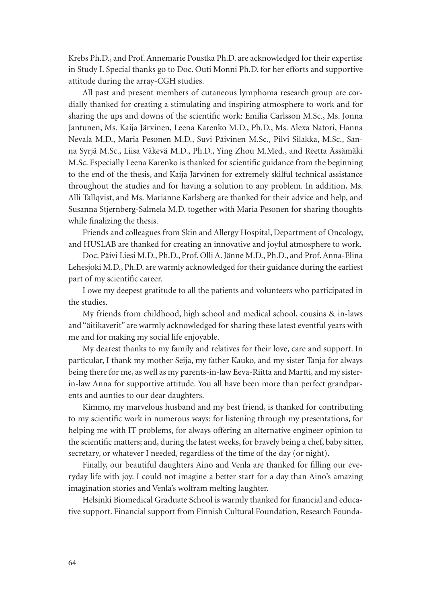Krebs Ph.D., and Prof. Annemarie Poustka Ph.D. are acknowledged for their expertise in Study I. Special thanks go to Doc. Outi Monni Ph.D. for her efforts and supportive attitude during the array-CGH studies.

All past and present members of cutaneous lymphoma research group are cordially thanked for creating a stimulating and inspiring atmosphere to work and for sharing the ups and downs of the scientific work: Emilia Carlsson M.Sc., Ms. Jonna Jantunen, Ms. Kaija Järvinen, Leena Karenko M.D., Ph.D., Ms. Alexa Natori, Hanna Nevala M.D., Maria Pesonen M.D., Suvi Päivinen M.Sc., Pilvi Silakka, M.Sc., Sanna Syrjä M.Sc., Liisa Väkevä M.D., Ph.D., Ying Zhou M.Med., and Reetta Ässämäki M.Sc. Especially Leena Karenko is thanked for scientific guidance from the beginning to the end of the thesis, and Kaija Järvinen for extremely skilful technical assistance throughout the studies and for having a solution to any problem. In addition, Ms. Alli Tallqvist, and Ms. Marianne Karlsberg are thanked for their advice and help, and Susanna Stjernberg-Salmela M.D. together with Maria Pesonen for sharing thoughts while finalizing the thesis.

Friends and colleagues from Skin and Allergy Hospital, Department of Oncology, and HUSLAB are thanked for creating an innovative and joyful atmosphere to work.

Doc. Päivi Liesi M.D., Ph.D., Prof. Olli A. Jänne M.D., Ph.D., and Prof. Anna-Elina Lehesjoki M.D., Ph.D. are warmly acknowledged for their guidance during the earliest part of my scientific career.

I owe my deepest gratitude to all the patients and volunteers who participated in the studies.

My friends from childhood, high school and medical school, cousins & in-laws and "äitikaverit" are warmly acknowledged for sharing these latest eventful years with me and for making my social life enjoyable.

My dearest thanks to my family and relatives for their love, care and support. In particular, I thank my mother Seija, my father Kauko, and my sister Tanja for always being there for me, as well as my parents-in-law Eeva-Riitta and Martti, and my sisterin-law Anna for supportive attitude. You all have been more than perfect grandparents and aunties to our dear daughters.

Kimmo, my marvelous husband and my best friend, is thanked for contributing to my scientific work in numerous ways: for listening through my presentations, for helping me with IT problems, for always offering an alternative engineer opinion to the scientific matters; and, during the latest weeks, for bravely being a chef, baby sitter, secretary, or whatever I needed, regardless of the time of the day (or night).

Finally, our beautiful daughters Aino and Venla are thanked for filling our everyday life with joy. I could not imagine a better start for a day than Aino's amazing imagination stories and Venla's wolfram melting laughter.

Helsinki Biomedical Graduate School is warmly thanked for financial and educative support. Financial support from Finnish Cultural Foundation, Research Founda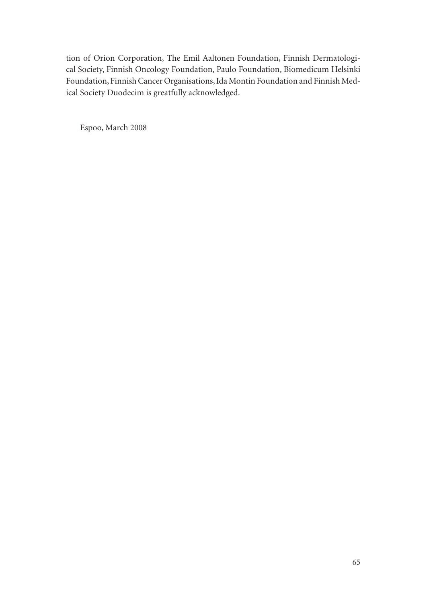tion of Orion Corporation, The Emil Aaltonen Foundation, Finnish Dermatological Society, Finnish Oncology Foundation, Paulo Foundation, Biomedicum Helsinki Foundation, Finnish Cancer Organisations, Ida Montin Foundation and Finnish Medical Society Duodecim is greatfully acknowledged.

Espoo, March 2008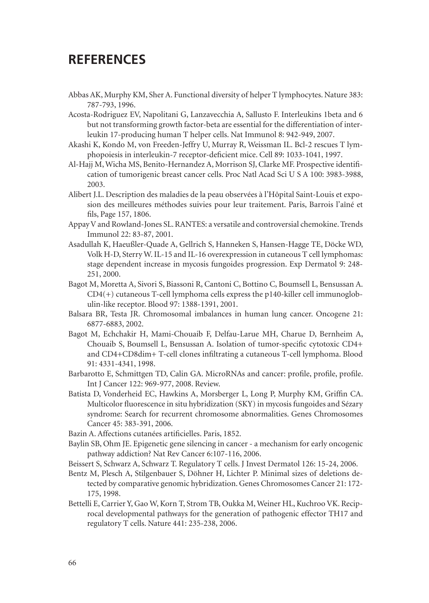# **REFERENCES**

- Abbas AK, Murphy KM, Sher A. Functional diversity of helper T lymphocytes. Nature 383: 787-793, 1996.
- Acosta-Rodriguez EV, Napolitani G, Lanzavecchia A, Sallusto F. Interleukins 1beta and 6 but not transforming growth factor-beta are essential for the differentiation of interleukin 17-producing human T helper cells. Nat Immunol 8: 942-949, 2007.
- Akashi K, Kondo M, von Freeden-Jeffry U, Murray R, Weissman IL. Bcl-2 rescues T lymphopoiesis in interleukin-7 receptor-deficient mice. Cell 89: 1033-1041, 1997.
- Al-Hajj M, Wicha MS, Benito-Hernandez A, Morrison SJ, Clarke MF. Prospective identifi cation of tumorigenic breast cancer cells. Proc Natl Acad Sci U S A 100: 3983-3988, 2003.
- Alibert J.L. Description des maladies de la peau observées à l'Hôpital Saint-Louis et exposion des meilleures méthodes suivies pour leur traitement. Paris, Barrois l'aîné et fils, Page 157, 1806.
- Appay V and Rowland-Jones SL. RANTES: a versatile and controversial chemokine. Trends Immunol 22: 83-87, 2001.
- Asadullah K, Haeußler-Quade A, Gellrich S, Hanneken S, Hansen-Hagge TE, Döcke WD, Volk H-D, Sterry W. IL-15 and IL-16 overexpression in cutaneous T cell lymphomas: stage dependent increase in mycosis fungoides progression. Exp Dermatol 9: 248- 251, 2000.
- Bagot M, Moretta A, Sivori S, Biassoni R, Cantoni C, Bottino C, Boumsell L, Bensussan A. CD4(+) cutaneous T-cell lymphoma cells express the p140-killer cell immunoglobulin-like receptor. Blood 97: 1388-1391, 2001.
- Balsara BR, Testa JR. Chromosomal imbalances in human lung cancer. Oncogene 21: 6877-6883, 2002.
- Bagot M, Echchakir H, Mami-Chouaib F, Delfau-Larue MH, Charue D, Bernheim A, Chouaib S, Boumsell L, Bensussan A. Isolation of tumor-specific cytotoxic CD4+ and CD4+CD8dim+ T-cell clones infiltrating a cutaneous T-cell lymphoma. Blood 91: 4331-4341, 1998.
- Barbarotto E, Schmittgen TD, Calin GA. MicroRNAs and cancer: profile, profile, profile. Int J Cancer 122: 969-977, 2008. Review.
- Batista D, Vonderheid EC, Hawkins A, Morsberger L, Long P, Murphy KM, Griffin CA. Multicolor fluorescence in situ hybridization (SKY) in mycosis fungoides and Sézary syndrome: Search for recurrent chromosome abnormalities. Genes Chromosomes Cancer 45: 383-391, 2006.
- Bazin A. Affections cutanées artificielles. Paris, 1852.
- Baylin SB, Ohm JE. Epigenetic gene silencing in cancer a mechanism for early oncogenic pathway addiction? Nat Rev Cancer 6:107-116, 2006.
- Beissert S, Schwarz A, Schwarz T. Regulatory T cells. J Invest Dermatol 126: 15-24, 2006.
- Bentz M, Plesch A, Stilgenbauer S, Döhner H, Lichter P. Minimal sizes of deletions detected by comparative genomic hybridization. Genes Chromosomes Cancer 21: 172- 175, 1998.
- Bettelli E, Carrier Y, Gao W, Korn T, Strom TB, Oukka M, Weiner HL, Kuchroo VK. Reciprocal developmental pathways for the generation of pathogenic effector TH17 and regulatory T cells. Nature 441: 235-238, 2006.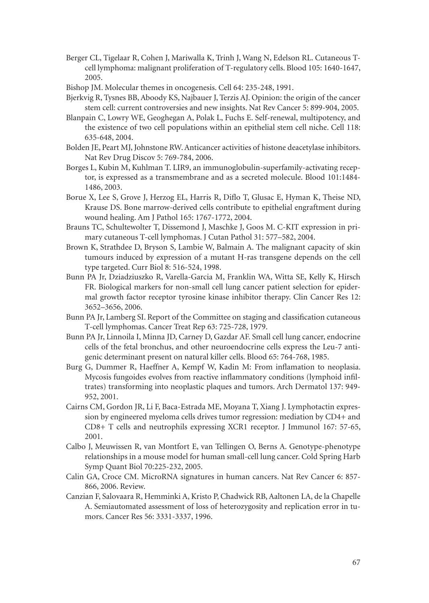- Berger CL, Tigelaar R, Cohen J, Mariwalla K, Trinh J, Wang N, Edelson RL. Cutaneous Tcell lymphoma: malignant proliferation of T-regulatory cells. Blood 105: 1640-1647, 2005.
- Bishop JM. Molecular themes in oncogenesis. Cell 64: 235-248, 1991.
- Bjerkvig R, Tysnes BB, Aboody KS, Najbauer J, Terzis AJ. Opinion: the origin of the cancer stem cell: current controversies and new insights. Nat Rev Cancer 5: 899-904, 2005.
- Blanpain C, Lowry WE, Geoghegan A, Polak L, Fuchs E. Self-renewal, multipotency, and the existence of two cell populations within an epithelial stem cell niche. Cell 118: 635-648, 2004.
- Bolden JE, Peart MJ, Johnstone RW. Anticancer activities of histone deacetylase inhibitors. Nat Rev Drug Discov 5: 769-784, 2006.
- Borges L, Kubin M, Kuhlman T. LIR9, an immunoglobulin-superfamily-activating receptor, is expressed as a transmembrane and as a secreted molecule. Blood 101:1484- 1486, 2003.
- Borue X, Lee S, Grove J, Herzog EL, Harris R, Diflo T, Glusac E, Hyman K, Theise ND, Krause DS. Bone marrow-derived cells contribute to epithelial engraftment during wound healing. Am J Pathol 165: 1767-1772, 2004.
- Brauns TC, Schultewolter T, Dissemond J, Maschke J, Goos M. C-KIT expression in primary cutaneous T-cell lymphomas. J Cutan Pathol 31: 577–582, 2004.
- Brown K, Strathdee D, Bryson S, Lambie W, Balmain A. The malignant capacity of skin tumours induced by expression of a mutant H-ras transgene depends on the cell type targeted. Curr Biol 8: 516-524, 1998.
- Bunn PA Jr, Dziadziuszko R, Varella-Garcia M, Franklin WA, Witta SE, Kelly K, Hirsch FR. Biological markers for non-small cell lung cancer patient selection for epidermal growth factor receptor tyrosine kinase inhibitor therapy. Clin Cancer Res 12: 3652–3656, 2006.
- Bunn PA Jr, Lamberg SI. Report of the Committee on staging and classification cutaneous T-cell lymphomas. Cancer Treat Rep 63: 725-728, 1979.
- Bunn PA Jr, Linnoila I, Minna JD, Carney D, Gazdar AF. Small cell lung cancer, endocrine cells of the fetal bronchus, and other neuroendocrine cells express the Leu-7 antigenic determinant present on natural killer cells. Blood 65: 764-768, 1985.
- Burg G, Dummer R, Haeffner A, Kempf W, Kadin M: From inflamation to neoplasia. Mycosis fungoides evolves from reactive inflammatory conditions (lymphoid infiltrates) transforming into neoplastic plaques and tumors. Arch Dermatol 137: 949- 952, 2001.
- Cairns CM, Gordon JR, Li F, Baca-Estrada ME, Moyana T, Xiang J. Lymphotactin expression by engineered myeloma cells drives tumor regression: mediation by CD4+ and CD8+ T cells and neutrophils expressing XCR1 receptor. J Immunol 167: 57-65, 2001.
- Calbo J, Meuwissen R, van Montfort E, van Tellingen O, Berns A. Genotype-phenotype relationships in a mouse model for human small-cell lung cancer. Cold Spring Harb Symp Quant Biol 70:225-232, 2005.
- Calin GA, Croce CM. MicroRNA signatures in human cancers. Nat Rev Cancer 6: 857- 866, 2006. Review.
- Canzian F, Salovaara R, Hemminki A, Kristo P, Chadwick RB, Aaltonen LA, de la Chapelle A. Semiautomated assessment of loss of heterozygosity and replication error in tumors. Cancer Res 56: 3331-3337, 1996.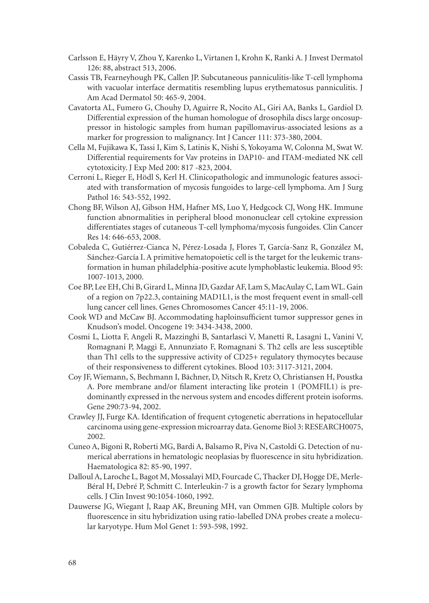- Carlsson E, Häyry V, Zhou Y, Karenko L, Virtanen I, Krohn K, Ranki A. J Invest Dermatol 126: 88, abstract 513, 2006.
- Cassis TB, Fearneyhough PK, Callen JP. Subcutaneous panniculitis-like T-cell lymphoma with vacuolar interface dermatitis resembling lupus erythematosus panniculitis. J Am Acad Dermatol 50: 465-9, 2004.
- Cavatorta AL, Fumero G, Chouhy D, Aguirre R, Nocito AL, Giri AA, Banks L, Gardiol D. Differential expression of the human homologue of drosophila discs large oncosuppressor in histologic samples from human papillomavirus-associated lesions as a marker for progression to malignancy. Int J Cancer 111: 373-380, 2004.
- Cella M, Fujikawa K, Tassi I, Kim S, Latinis K, Nishi S, Yokoyama W, Colonna M, Swat W. Differential requirements for Vav proteins in DAP10- and ITAM-mediated NK cell cytotoxicity. J Exp Med 200: 817 -823, 2004.
- Cerroni L, Rieger E, Hödl S, Kerl H. Clinicopathologic and immunologic features associated with transformation of mycosis fungoides to large-cell lymphoma. Am J Surg Pathol 16: 543-552, 1992.
- Chong BF, Wilson AJ, Gibson HM, Hafner MS, Luo Y, Hedgcock CJ, Wong HK. Immune function abnormalities in peripheral blood mononuclear cell cytokine expression differentiates stages of cutaneous T-cell lymphoma/mycosis fungoides. Clin Cancer Res 14: 646-653, 2008.
- Cobaleda C, Gutiérrez-Cianca N, Pérez-Losada J, Flores T, García-Sanz R, González M, Sánchez-García I. A primitive hematopoietic cell is the target for the leukemic transformation in human philadelphia-positive acute lymphoblastic leukemia. Blood 95: 1007-1013, 2000.
- Coe BP, Lee EH, Chi B, Girard L, Minna JD, Gazdar AF, Lam S, MacAulay C, Lam WL. Gain of a region on 7p22.3, containing MAD1L1, is the most frequent event in small-cell lung cancer cell lines. Genes Chromosomes Cancer 45:11-19, 2006.
- Cook WD and McCaw BJ. Accommodating haploinsufficient tumor suppressor genes in Knudson's model. Oncogene 19: 3434-3438, 2000.
- Cosmi L, Liotta F, Angeli R, Mazzinghi B, Santarlasci V, Manetti R, Lasagni L, Vanini V, Romagnani P, Maggi E, Annunziato F, Romagnani S. Th2 cells are less susceptible than Th1 cells to the suppressive activity of CD25+ regulatory thymocytes because of their responsiveness to different cytokines. Blood 103: 3117-3121, 2004.
- Coy JF, Wiemann, S, Bechmann I, Bächner, D, Nitsch R, Kretz O, Christiansen H, Poustka A. Pore membrane and/or filament interacting like protein 1 (POMFIL1) is predominantly expressed in the nervous system and encodes different protein isoforms. Gene 290:73-94, 2002.
- Crawley JJ, Furge KA. Identification of frequent cytogenetic aberrations in hepatocellular carcinoma using gene-expression microarray data. Genome Biol 3: RESEARCH0075, 2002.
- Cuneo A, Bigoni R, Roberti MG, Bardi A, Balsamo R, Piva N, Castoldi G. Detection of numerical aberrations in hematologic neoplasias by fluorescence in situ hybridization. Haematologica 82: 85-90, 1997.
- Dalloul A, Laroche L, Bagot M, Mossalayi MD, Fourcade C, Thacker DJ, Hogge DE, Merle-Béral H, Debré P, Schmitt C. Interleukin-7 is a growth factor for Sezary lymphoma cells. J Clin Invest 90:1054-1060, 1992.
- Dauwerse JG, Wiegant J, Raap AK, Breuning MH, van Ommen GJB. Multiple colors by fluorescence in situ hybridization using ratio-labelled DNA probes create a molecular karyotype. Hum Mol Genet 1: 593-598, 1992.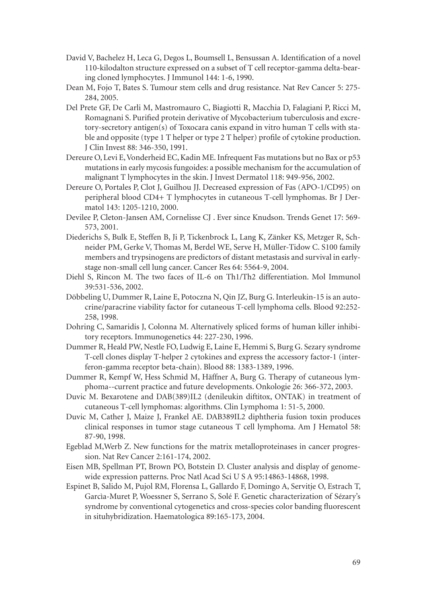- David V, Bachelez H, Leca G, Degos L, Boumsell L, Bensussan A. Identification of a novel 110-kilodalton structure expressed on a subset of T cell receptor-gamma delta-bearing cloned lymphocytes. J Immunol 144: 1-6, 1990.
- Dean M, Fojo T, Bates S. Tumour stem cells and drug resistance. Nat Rev Cancer 5: 275- 284, 2005.
- Del Prete GF, De Carli M, Mastromauro C, Biagiotti R, Macchia D, Falagiani P, Ricci M, Romagnani S. Purified protein derivative of Mycobacterium tuberculosis and excretory-secretory antigen(s) of Toxocara canis expand in vitro human T cells with stable and opposite (type  $1$  T helper or type  $2$  T helper) profile of cytokine production. J Clin Invest 88: 346-350, 1991.
- Dereure O, Levi E, Vonderheid EC, Kadin ME. Infrequent Fas mutations but no Bax or p53 mutations in early mycosis fungoides: a possible mechanism for the accumulation of malignant T lymphocytes in the skin. J Invest Dermatol 118: 949-956, 2002.
- Dereure O, Portales P, Clot J, Guilhou JJ. Decreased expression of Fas (APO-1/CD95) on peripheral blood CD4+ T lymphocytes in cutaneous T-cell lymphomas. Br J Dermatol 143: 1205-1210, 2000.
- Devilee P, Cleton-Jansen AM, Cornelisse CJ . Ever since Knudson. Trends Genet 17: 569- 573, 2001.
- Diederichs S, Bulk E, Steffen B, Ji P, Tickenbrock L, Lang K, Zänker KS, Metzger R, Schneider PM, Gerke V, Thomas M, Berdel WE, Serve H, Müller-Tidow C. S100 family members and trypsinogens are predictors of distant metastasis and survival in earlystage non-small cell lung cancer. Cancer Res 64: 5564-9, 2004.
- Diehl S, Rincon M. The two faces of IL-6 on Th1/Th2 differentiation. Mol Immunol 39:531-536, 2002.
- Döbbeling U, Dummer R, Laine E, Potoczna N, Qin JZ, Burg G. Interleukin-15 is an autocrine/paracrine viability factor for cutaneous T-cell lymphoma cells. Blood 92:252- 258, 1998.
- Dohring C, Samaridis J, Colonna M. Alternatively spliced forms of human killer inhibitory receptors. Immunogenetics 44: 227-230, 1996.
- Dummer R, Heald PW, Nestle FO, Ludwig E, Laine E, Hemmi S, Burg G. Sezary syndrome T-cell clones display T-helper 2 cytokines and express the accessory factor-1 (interferon-gamma receptor beta-chain). Blood 88: 1383-1389, 1996.
- Dummer R, Kempf W, Hess Schmid M, Häffner A, Burg G. Therapy of cutaneous lymphoma--current practice and future developments. Onkologie 26: 366-372, 2003.
- Duvic M. Bexarotene and DAB(389)IL2 (denileukin diftitox, ONTAK) in treatment of cutaneous T-cell lymphomas: algorithms. Clin Lymphoma 1: 51-5, 2000.
- Duvic M, Cather J, Maize J, Frankel AE. DAB389IL2 diphtheria fusion toxin produces clinical responses in tumor stage cutaneous T cell lymphoma. Am J Hematol 58: 87-90, 1998.
- Egeblad M,Werb Z. New functions for the matrix metalloproteinases in cancer progression. Nat Rev Cancer 2:161-174, 2002.
- Eisen MB, Spellman PT, Brown PO, Botstein D. Cluster analysis and display of genomewide expression patterns. Proc Natl Acad Sci U S A 95:14863-14868, 1998.
- Espinet B, Salido M, Pujol RM, Florensa L, Gallardo F, Domingo A, Servitje O, Estrach T, Garcìa-Muret P, Woessner S, Serrano S, Solé F. Genetic characterization of Sézary's syndrome by conventional cytogenetics and cross-species color banding fluorescent in situhybridization. Haematologica 89:165-173, 2004.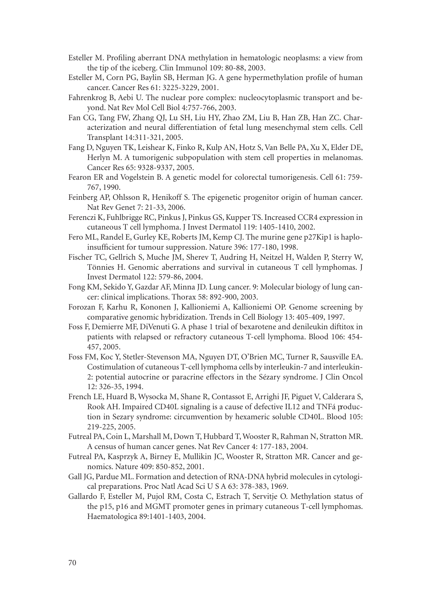- Esteller M. Profiling aberrant DNA methylation in hematologic neoplasms: a view from the tip of the iceberg. Clin Immunol 109: 80-88, 2003.
- Esteller M, Corn PG, Baylin SB, Herman JG. A gene hypermethylation profile of human cancer. Cancer Res 61: 3225-3229, 2001.
- Fahrenkrog B, Aebi U. The nuclear pore complex: nucleocytoplasmic transport and beyond. Nat Rev Mol Cell Biol 4:757-766, 2003.
- Fan CG, Tang FW, Zhang QJ, Lu SH, Liu HY, Zhao ZM, Liu B, Han ZB, Han ZC. Characterization and neural differentiation of fetal lung mesenchymal stem cells. Cell Transplant 14:311-321, 2005.
- Fang D, Nguyen TK, Leishear K, Finko R, Kulp AN, Hotz S, Van Belle PA, Xu X, Elder DE, Herlyn M. A tumorigenic subpopulation with stem cell properties in melanomas. Cancer Res 65: 9328-9337, 2005.
- Fearon ER and Vogelstein B. A genetic model for colorectal tumorigenesis. Cell 61: 759- 767, 1990.
- Feinberg AP, Ohlsson R, Henikoff S. The epigenetic progenitor origin of human cancer. Nat Rev Genet 7: 21-33, 2006.
- Ferenczi K, Fuhlbrigge RC, Pinkus J, Pinkus GS, Kupper TS. Increased CCR4 expression in cutaneous T cell lymphoma. J Invest Dermatol 119: 1405-1410, 2002.
- Fero ML, Randel E, Gurley KE, Roberts JM, Kemp CJ. The murine gene p27Kip1 is haploinsufficient for tumour suppression. Nature 396: 177-180, 1998.
- Fischer TC, Gellrich S, Muche JM, Sherev T, Audring H, Neitzel H, Walden P, Sterry W, Tönnies H. Genomic aberrations and survival in cutaneous T cell lymphomas. J Invest Dermatol 122: 579-86, 2004.
- Fong KM, Sekido Y, Gazdar AF, Minna JD. Lung cancer. 9: Molecular biology of lung cancer: clinical implications. Thorax 58: 892-900, 2003.
- Forozan F, Karhu R, Kononen J, Kallioniemi A, Kallioniemi OP. Genome screening by comparative genomic hybridization. Trends in Cell Biology 13: 405-409, 1997.
- Foss F, Demierre MF, DiVenuti G. A phase 1 trial of bexarotene and denileukin diftitox in patients with relapsed or refractory cutaneous T-cell lymphoma. Blood 106: 454- 457, 2005.
- Foss FM, Koc Y, Stetler-Stevenson MA, Nguyen DT, O'Brien MC, Turner R, Sausville EA. Costimulation of cutaneous T-cell lymphoma cells by interleukin-7 and interleukin-2: potential autocrine or paracrine effectors in the Sézary syndrome. J Clin Oncol 12: 326-35, 1994.
- French LE, Huard B, Wysocka M, Shane R, Contassot E, Arrighi JF, Piguet V, Calderara S, Rook AH. Impaired CD40L signaling is a cause of defective IL12 and TNFá production in Sezary syndrome: circumvention by hexameric soluble CD40L. Blood 105: 219-225, 2005.
- Futreal PA, Coin L, Marshall M, Down T, Hubbard T, Wooster R, Rahman N, Stratton MR. A census of human cancer genes. Nat Rev Cancer 4: 177-183, 2004.
- Futreal PA, Kasprzyk A, Birney E, Mullikin JC, Wooster R, Stratton MR. Cancer and genomics. Nature 409: 850-852, 2001.
- Gall JG, Pardue ML. Formation and detection of RNA-DNA hybrid molecules in cytological preparations. Proc Natl Acad Sci U S A 63: 378-383, 1969.
- Gallardo F, Esteller M, Pujol RM, Costa C, Estrach T, Servitje O. Methylation status of the p15, p16 and MGMT promoter genes in primary cutaneous T-cell lymphomas. Haematologica 89:1401-1403, 2004.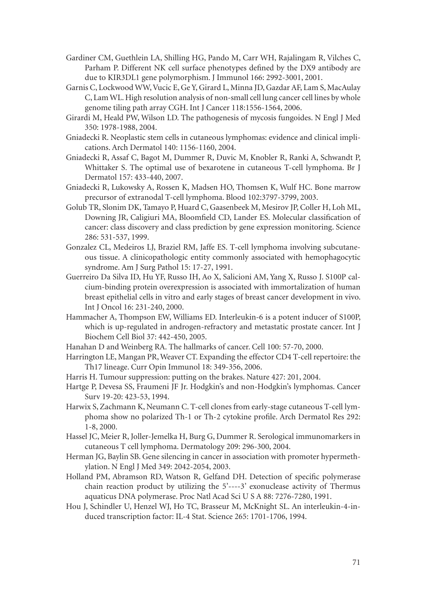- Gardiner CM, Guethlein LA, Shilling HG, Pando M, Carr WH, Rajalingam R, Vilches C, Parham P. Different NK cell surface phenotypes defined by the DX9 antibody are due to KIR3DL1 gene polymorphism. J Immunol 166: 2992-3001, 2001.
- Garnis C, Lockwood WW, Vucic E, Ge Y, Girard L, Minna JD, Gazdar AF, Lam S, MacAulay C, Lam WL. High resolution analysis of non-small cell lung cancer cell lines by whole genome tiling path array CGH. Int J Cancer 118:1556-1564, 2006.
- Girardi M, Heald PW, Wilson LD. The pathogenesis of mycosis fungoides. N Engl J Med 350: 1978-1988, 2004.
- Gniadecki R. Neoplastic stem cells in cutaneous lymphomas: evidence and clinical implications. Arch Dermatol 140: 1156-1160, 2004.
- Gniadecki R, Assaf C, Bagot M, Dummer R, Duvic M, Knobler R, Ranki A, Schwandt P, Whittaker S. The optimal use of bexarotene in cutaneous T-cell lymphoma. Br J Dermatol 157: 433-440, 2007.
- Gniadecki R, Lukowsky A, Rossen K, Madsen HO, Thomsen K, Wulf HC. Bone marrow precursor of extranodal T-cell lymphoma. Blood 102:3797-3799, 2003.
- Golub TR, Slonim DK, Tamayo P, Huard C, Gaasenbeek M, Mesirov JP, Coller H, Loh ML, Downing JR, Caligiuri MA, Bloomfield CD, Lander ES. Molecular classification of cancer: class discovery and class prediction by gene expression monitoring. Science 286: 531-537, 1999.
- Gonzalez CL, Medeiros LJ, Braziel RM, Jaffe ES. T-cell lymphoma involving subcutaneous tissue. A clinicopathologic entity commonly associated with hemophagocytic syndrome. Am J Surg Pathol 15: 17-27, 1991.
- Guerreiro Da Silva ID, Hu YF, Russo IH, Ao X, Salicioni AM, Yang X, Russo J. S100P calcium-binding protein overexpression is associated with immortalization of human breast epithelial cells in vitro and early stages of breast cancer development in vivo. Int J Oncol 16: 231-240, 2000.
- Hammacher A, Thompson EW, Williams ED. Interleukin-6 is a potent inducer of S100P, which is up-regulated in androgen-refractory and metastatic prostate cancer. Int J Biochem Cell Biol 37: 442-450, 2005.
- Hanahan D and Weinberg RA. The hallmarks of cancer. Cell 100: 57-70, 2000.
- Harrington LE, Mangan PR, Weaver CT. Expanding the effector CD4 T-cell repertoire: the Th17 lineage. Curr Opin Immunol 18: 349-356, 2006.
- Harris H. Tumour suppression: putting on the brakes. Nature 427: 201, 2004.
- Hartge P, Devesa SS, Fraumeni JF Jr. Hodgkin's and non-Hodgkin's lymphomas. Cancer Surv 19-20: 423-53, 1994.
- Harwix S, Zachmann K, Neumann C. T-cell clones from early-stage cutaneous T-cell lymphoma show no polarized Th-1 or Th-2 cytokine profile. Arch Dermatol Res 292: 1-8, 2000.
- Hassel JC, Meier R, Joller-Jemelka H, Burg G, Dummer R. Serological immunomarkers in cutaneous T cell lymphoma. Dermatology 209: 296-300, 2004.
- Herman JG, Baylin SB. Gene silencing in cancer in association with promoter hypermethylation. N Engl J Med 349: 2042-2054, 2003.
- Holland PM, Abramson RD, Watson R, Gelfand DH. Detection of specific polymerase chain reaction product by utilizing the 5'----3' exonuclease activity of Thermus aquaticus DNA polymerase. Proc Natl Acad Sci U S A 88: 7276-7280, 1991.
- Hou J, Schindler U, Henzel WJ, Ho TC, Brasseur M, McKnight SL. An interleukin-4-induced transcription factor: IL-4 Stat. Science 265: 1701-1706, 1994.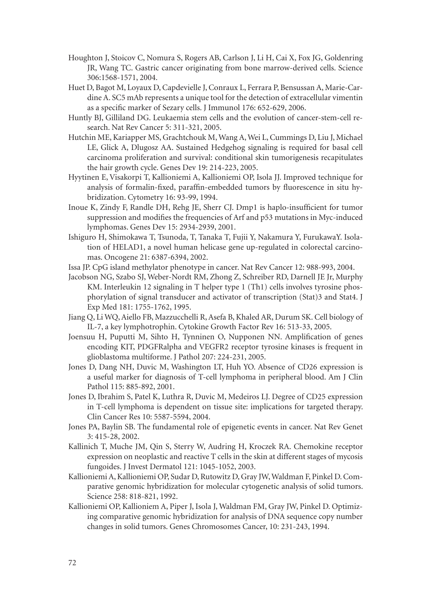- Houghton J, Stoicov C, Nomura S, Rogers AB, Carlson J, Li H, Cai X, Fox JG, Goldenring JR, Wang TC. Gastric cancer originating from bone marrow-derived cells. Science 306:1568-1571, 2004.
- Huet D, Bagot M, Loyaux D, Capdevielle J, Conraux L, Ferrara P, Bensussan A, Marie-Cardine A. SC5 mAb represents a unique tool for the detection of extracellular vimentin as a specific marker of Sezary cells. J Immunol 176: 652-629, 2006.
- Huntly BJ, Gilliland DG. Leukaemia stem cells and the evolution of cancer-stem-cell research. Nat Rev Cancer 5: 311-321, 2005.
- Hutchin ME, Kariapper MS, Grachtchouk M, Wang A, Wei L, Cummings D, Liu J, Michael LE, Glick A, Dlugosz AA. Sustained Hedgehog signaling is required for basal cell carcinoma proliferation and survival: conditional skin tumorigenesis recapitulates the hair growth cycle. Genes Dev 19: 214-223, 2005.
- Hyytinen E, Visakorpi T, Kallioniemi A, Kallioniemi OP, Isola JJ. Improved technique for analysis of formalin-fixed, paraffin-embedded tumors by fluorescence in situ hybridization. Cytometry 16: 93-99, 1994.
- Inoue K, Zindy F, Randle DH, Rehg JE, Sherr CJ. Dmp1 is haplo-insufficient for tumor suppression and modifies the frequencies of Arf and p53 mutations in Myc-induced lymphomas. Genes Dev 15: 2934-2939, 2001.
- Ishiguro H, Shimokawa T, Tsunoda, T, Tanaka T, Fujii Y, Nakamura Y, FurukawaY. Isolation of HELAD1, a novel human helicase gene up-regulated in colorectal carcinomas. Oncogene 21: 6387-6394, 2002.
- Issa JP. CpG island methylator phenotype in cancer. Nat Rev Cancer 12: 988-993, 2004.
- Jacobson NG, Szabo SJ, Weber-Nordt RM, Zhong Z, Schreiber RD, Darnell JE Jr, Murphy KM. Interleukin 12 signaling in T helper type 1 (Th1) cells involves tyrosine phosphorylation of signal transducer and activator of transcription (Stat)3 and Stat4. J Exp Med 181: 1755-1762, 1995.
- Jiang Q, Li WQ, Aiello FB, Mazzucchelli R, Asefa B, Khaled AR, Durum SK. Cell biology of IL-7, a key lymphotrophin. Cytokine Growth Factor Rev 16: 513-33, 2005.
- Joensuu H, Puputti M, Sihto H, Tynninen O, Nupponen NN. Amplification of genes encoding KIT, PDGFRalpha and VEGFR2 receptor tyrosine kinases is frequent in glioblastoma multiforme. J Pathol 207: 224-231, 2005.
- Jones D, Dang NH, Duvic M, Washington LT, Huh YO. Absence of CD26 expression is a useful marker for diagnosis of T-cell lymphoma in peripheral blood. Am J Clin Pathol 115: 885-892, 2001.
- Jones D, Ibrahim S, Patel K, Luthra R, Duvic M, Medeiros LJ. Degree of CD25 expression in T-cell lymphoma is dependent on tissue site: implications for targeted therapy. Clin Cancer Res 10: 5587-5594, 2004.
- Jones PA, Baylin SB. The fundamental role of epigenetic events in cancer. Nat Rev Genet 3: 415-28, 2002.
- Kallinich T, Muche JM, Qin S, Sterry W, Audring H, Kroczek RA. Chemokine receptor expression on neoplastic and reactive T cells in the skin at different stages of mycosis fungoides. J Invest Dermatol 121: 1045-1052, 2003.
- Kallioniemi A, Kallioniemi OP, Sudar D, Rutowitz D, Gray JW, Waldman F, Pinkel D. Comparative genomic hybridization for molecular cytogenetic analysis of solid tumors. Science 258: 818-821, 1992.
- Kallioniemi OP, Kallioniem A, Piper J, Isola J, Waldman FM, Gray JW, Pinkel D. Optimizing comparative genomic hybridization for analysis of DNA sequence copy number changes in solid tumors. Genes Chromosomes Cancer, 10: 231-243, 1994.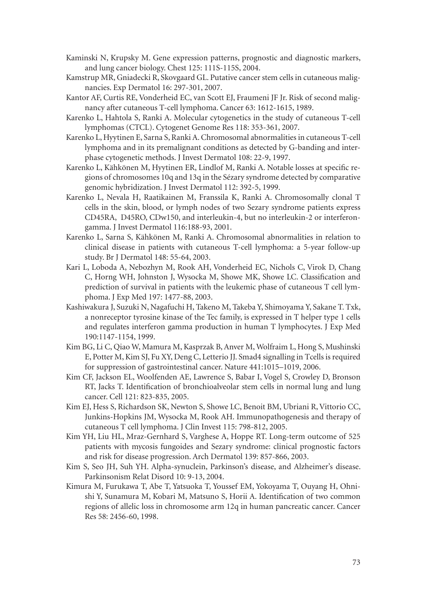- Kaminski N, Krupsky M. Gene expression patterns, prognostic and diagnostic markers, and lung cancer biology. Chest 125: 111S-115S, 2004.
- Kamstrup MR, Gniadecki R, Skovgaard GL. Putative cancer stem cells in cutaneous malignancies. Exp Dermatol 16: 297-301, 2007.
- Kantor AF, Curtis RE, Vonderheid EC, van Scott EJ, Fraumeni JF Jr. Risk of second malignancy after cutaneous T-cell lymphoma. Cancer 63: 1612-1615, 1989.
- Karenko L, Hahtola S, Ranki A. Molecular cytogenetics in the study of cutaneous T-cell lymphomas (CTCL). Cytogenet Genome Res 118: 353-361, 2007.
- Karenko L, Hyytinen E, Sarna S, Ranki A. Chromosomal abnormalities in cutaneous T-cell lymphoma and in its premalignant conditions as detected by G-banding and interphase cytogenetic methods. J Invest Dermatol 108: 22-9, 1997.
- Karenko L, Kähkönen M, Hyytinen ER, Lindlof M, Ranki A. Notable losses at specific regions of chromosomes 10q and 13q in the Sézary syndrome detected by comparative genomic hybridization. J Invest Dermatol 112: 392-5, 1999.
- Karenko L, Nevala H, Raatikainen M, Franssila K, Ranki A. Chromosomally clonal T cells in the skin, blood, or lymph nodes of two Sezary syndrome patients express CD45RA, D45RO, CDw150, and interleukin-4, but no interleukin-2 or interferongamma. J Invest Dermatol 116:188-93, 2001.
- Karenko L, Sarna S, Kähkönen M, Ranki A. Chromosomal abnormalities in relation to clinical disease in patients with cutaneous T-cell lymphoma: a 5-year follow-up study. Br J Dermatol 148: 55-64, 2003.
- Kari L, Loboda A, Nebozhyn M, Rook AH, Vonderheid EC, Nichols C, Virok D, Chang C, Horng WH, Johnston J, Wysocka M, Showe MK, Showe LC. Classification and prediction of survival in patients with the leukemic phase of cutaneous T cell lymphoma. J Exp Med 197: 1477-88, 2003.
- Kashiwakura J, Suzuki N, Nagafuchi H, Takeno M, Takeba Y, Shimoyama Y, Sakane T. Txk, a nonreceptor tyrosine kinase of the Tec family, is expressed in T helper type 1 cells and regulates interferon gamma production in human T lymphocytes. J Exp Med 190:1147-1154, 1999.
- Kim BG, Li C, Qiao W, Mamura M, Kasprzak B, Anver M, Wolfraim L, Hong S, Mushinski E, Potter M, Kim SJ, Fu XY, Deng C, Letterio JJ. Smad4 signalling in Tcells is required for suppression of gastrointestinal cancer. Nature 441:1015–1019, 2006.
- Kim CF, Jackson EL, Woolfenden AE, Lawrence S, Babar I, Vogel S, Crowley D, Bronson RT, Jacks T. Identification of bronchioalveolar stem cells in normal lung and lung cancer. Cell 121: 823-835, 2005.
- Kim EJ, Hess S, Richardson SK, Newton S, Showe LC, Benoit BM, Ubriani R, Vittorio CC, Junkins-Hopkins JM, Wysocka M, Rook AH. Immunopathogenesis and therapy of cutaneous T cell lymphoma. J Clin Invest 115: 798-812, 2005.
- Kim YH, Liu HL, Mraz-Gernhard S, Varghese A, Hoppe RT. Long-term outcome of 525 patients with mycosis fungoides and Sezary syndrome: clinical prognostic factors and risk for disease progression. Arch Dermatol 139: 857-866, 2003.
- Kim S, Seo JH, Suh YH. Alpha-synuclein, Parkinson's disease, and Alzheimer's disease. Parkinsonism Relat Disord 10: 9-13, 2004.
- Kimura M, Furukawa T, Abe T, Yatsuoka T, Youssef EM, Yokoyama T, Ouyang H, Ohnishi Y, Sunamura M, Kobari M, Matsuno S, Horii A. Identification of two common regions of allelic loss in chromosome arm 12q in human pancreatic cancer. Cancer Res 58: 2456-60, 1998.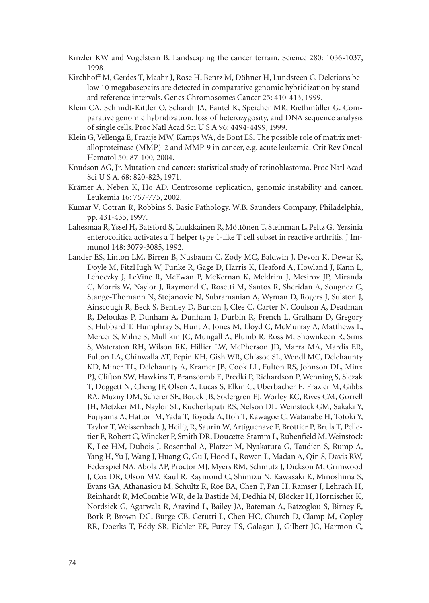- Kinzler KW and Vogelstein B. Landscaping the cancer terrain. Science 280: 1036-1037, 1998.
- Kirchhoff M, Gerdes T, Maahr J, Rose H, Bentz M, Döhner H, Lundsteen C. Deletions below 10 megabasepairs are detected in comparative genomic hybridization by standard reference intervals. Genes Chromosomes Cancer 25: 410-413, 1999.
- Klein CA, Schmidt-Kittler O, Schardt JA, Pantel K, Speicher MR, Riethmüller G. Comparative genomic hybridization, loss of heterozygosity, and DNA sequence analysis of single cells. Proc Natl Acad Sci U S A 96: 4494-4499, 1999.
- Klein G, Vellenga E, Fraaije MW, Kamps WA, de Bont ES. The possible role of matrix metalloproteinase (MMP)-2 and MMP-9 in cancer, e.g. acute leukemia. Crit Rev Oncol Hematol 50: 87-100, 2004.
- Knudson AG, Jr. Mutation and cancer: statistical study of retinoblastoma. Proc Natl Acad Sci U S A. 68: 820-823, 1971.
- Krämer A, Neben K, Ho AD. Centrosome replication, genomic instability and cancer. Leukemia 16: 767-775, 2002.
- Kumar V, Cotran R, Robbins S. Basic Pathology. W.B. Saunders Company, Philadelphia, pp. 431-435, 1997.
- Lahesmaa R, Yssel H, Batsford S, Luukkainen R, Möttönen T, Steinman L, Peltz G. Yersinia enterocolitica activates a T helper type 1-like T cell subset in reactive arthritis. J Immunol 148: 3079-3085, 1992.
- Lander ES, Linton LM, Birren B, Nusbaum C, Zody MC, Baldwin J, Devon K, Dewar K, Doyle M, FitzHugh W, Funke R, Gage D, Harris K, Heaford A, Howland J, Kann L, Lehoczky J, LeVine R, McEwan P, McKernan K, Meldrim J, Mesirov JP, Miranda C, Morris W, Naylor J, Raymond C, Rosetti M, Santos R, Sheridan A, Sougnez C, Stange-Thomann N, Stojanovic N, Subramanian A, Wyman D, Rogers J, Sulston J, Ainscough R, Beck S, Bentley D, Burton J, Clee C, Carter N, Coulson A, Deadman R, Deloukas P, Dunham A, Dunham I, Durbin R, French L, Grafham D, Gregory S, Hubbard T, Humphray S, Hunt A, Jones M, Lloyd C, McMurray A, Matthews L, Mercer S, Milne S, Mullikin JC, Mungall A, Plumb R, Ross M, Shownkeen R, Sims S, Waterston RH, Wilson RK, Hillier LW, McPherson JD, Marra MA, Mardis ER, Fulton LA, Chinwalla AT, Pepin KH, Gish WR, Chissoe SL, Wendl MC, Delehaunty KD, Miner TL, Delehaunty A, Kramer JB, Cook LL, Fulton RS, Johnson DL, Minx PJ, Clifton SW, Hawkins T, Branscomb E, Predki P, Richardson P, Wenning S, Slezak T, Doggett N, Cheng JF, Olsen A, Lucas S, Elkin C, Uberbacher E, Frazier M, Gibbs RA, Muzny DM, Scherer SE, Bouck JB, Sodergren EJ, Worley KC, Rives CM, Gorrell JH, Metzker ML, Naylor SL, Kucherlapati RS, Nelson DL, Weinstock GM, Sakaki Y, Fujiyama A, Hattori M, Yada T, Toyoda A, Itoh T, Kawagoe C, Watanabe H, Totoki Y, Taylor T, Weissenbach J, Heilig R, Saurin W, Artiguenave F, Brottier P, Bruls T, Pelletier E, Robert C, Wincker P, Smith DR, Doucette-Stamm L, Rubenfield M, Weinstock K, Lee HM, Dubois J, Rosenthal A, Platzer M, Nyakatura G, Taudien S, Rump A, Yang H, Yu J, Wang J, Huang G, Gu J, Hood L, Rowen L, Madan A, Qin S, Davis RW, Federspiel NA, Abola AP, Proctor MJ, Myers RM, Schmutz J, Dickson M, Grimwood J, Cox DR, Olson MV, Kaul R, Raymond C, Shimizu N, Kawasaki K, Minoshima S, Evans GA, Athanasiou M, Schultz R, Roe BA, Chen F, Pan H, Ramser J, Lehrach H, Reinhardt R, McCombie WR, de la Bastide M, Dedhia N, Blöcker H, Hornischer K, Nordsiek G, Agarwala R, Aravind L, Bailey JA, Bateman A, Batzoglou S, Birney E, Bork P, Brown DG, Burge CB, Cerutti L, Chen HC, Church D, Clamp M, Copley RR, Doerks T, Eddy SR, Eichler EE, Furey TS, Galagan J, Gilbert JG, Harmon C,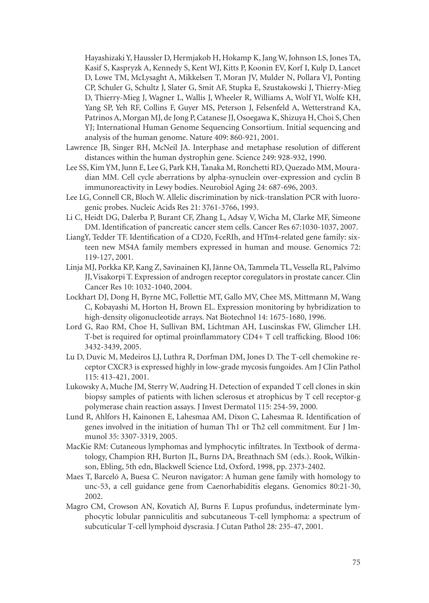Hayashizaki Y, Haussler D, Hermjakob H, Hokamp K, Jang W, Johnson LS, Jones TA, Kasif S, Kaspryzk A, Kennedy S, Kent WJ, Kitts P, Koonin EV, Korf I, Kulp D, Lancet D, Lowe TM, McLysaght A, Mikkelsen T, Moran JV, Mulder N, Pollara VJ, Ponting CP, Schuler G, Schultz J, Slater G, Smit AF, Stupka E, Szustakowski J, Thierry-Mieg D, Thierry-Mieg J, Wagner L, Wallis J, Wheeler R, Williams A, Wolf YI, Wolfe KH, Yang SP, Yeh RF, Collins F, Guyer MS, Peterson J, Felsenfeld A, Wetterstrand KA, Patrinos A, Morgan MJ, de Jong P, Catanese JJ, Osoegawa K, Shizuya H, Choi S, Chen YJ; International Human Genome Sequencing Consortium. Initial sequencing and analysis of the human genome. Nature 409: 860-921, 2001.

- Lawrence JB, Singer RH, McNeil JA. Interphase and metaphase resolution of different distances within the human dystrophin gene. Science 249: 928-932, 1990.
- Lee SS, Kim YM, Junn E, Lee G, Park KH, Tanaka M, Ronchetti RD, Quezado MM, Mouradian MM. Cell cycle aberrations by alpha-synuclein over-expression and cyclin B immunoreactivity in Lewy bodies. Neurobiol Aging 24: 687-696, 2003.
- Lee LG, Connell CR, Bloch W. Allelic discrimination by nick-translation PCR with luorogenic probes. Nucleic Acids Res 21: 3761-3766, 1993.
- Li C, Heidt DG, Dalerba P, Burant CF, Zhang L, Adsay V, Wicha M, Clarke MF, Simeone DM. Identification of pancreatic cancer stem cells. Cancer Res 67:1030-1037, 2007.
- LiangY, Tedder TF. Identification of a CD20, FceRIh, and HTm4-related gene family: sixteen new MS4A family members expressed in human and mouse. Genomics 72: 119-127, 2001.
- Linja MJ, Porkka KP, Kang Z, Savinainen KJ, Jänne OA, Tammela TL, Vessella RL, Palvimo JJ, Visakorpi T. Expression of androgen receptor coregulators in prostate cancer. Clin Cancer Res 10: 1032-1040, 2004.
- Lockhart DJ, Dong H, Byrne MC, Follettie MT, Gallo MV, Chee MS, Mittmann M, Wang C, Kobayashi M, Horton H, Brown EL. Expression monitoring by hybridization to high-density oligonucleotide arrays. Nat Biotechnol 14: 1675-1680, 1996.
- Lord G, Rao RM, Choe H, Sullivan BM, Lichtman AH, Luscinskas FW, Glimcher LH. T-bet is required for optimal proinflammatory CD4+ T cell trafficking. Blood 106: 3432-3439, 2005.
- Lu D, Duvic M, Medeiros LJ, Luthra R, Dorfman DM, Jones D. The T-cell chemokine receptor CXCR3 is expressed highly in low-grade mycosis fungoides. Am J Clin Pathol 115: 413-421, 2001.
- Lukowsky A, Muche JM, Sterry W, Audring H. Detection of expanded T cell clones in skin biopsy samples of patients with lichen sclerosus et atrophicus by T cell receptor-g polymerase chain reaction assays. J Invest Dermatol 115: 254-59, 2000.
- Lund R, Ahlfors H, Kainonen E, Lahesmaa AM, Dixon C, Lahesmaa R. Identification of genes involved in the initiation of human Th1 or Th2 cell commitment. Eur J Immunol 35: 3307-3319, 2005.
- MacKie RM: Cutaneous lymphomas and lymphocytic infiltrates. In Textbook of dermatology, Champion RH, Burton JL, Burns DA, Breathnach SM (eds.). Rook, Wilkinson, Ebling, 5th edn, Blackwell Science Ltd, Oxford, 1998, pp. 2373-2402.
- Maes T, Barceló A, Buesa C. Neuron navigator: A human gene family with homology to unc-53, a cell guidance gene from Caenorhabiditis elegans. Genomics 80:21-30, 2002.
- Magro CM, Crowson AN, Kovatich AJ, Burns F. Lupus profundus, indeterminate lymphocytic lobular panniculitis and subcutaneous T-cell lymphoma: a spectrum of subcuticular T-cell lymphoid dyscrasia. J Cutan Pathol 28: 235-47, 2001.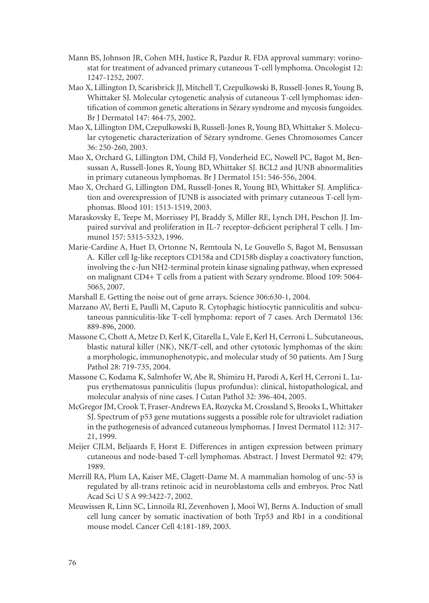- Mann BS, Johnson JR, Cohen MH, Justice R, Pazdur R. FDA approval summary: vorinostat for treatment of advanced primary cutaneous T-cell lymphoma. Oncologist 12: 1247-1252, 2007.
- Mao X, Lillington D, Scarisbrick JJ, Mitchell T, Czepulkowski B, Russell-Jones R, Young B, Whittaker SJ. Molecular cytogenetic analysis of cutaneous T-cell lymphomas: identification of common genetic alterations in Sézary syndrome and mycosis fungoides. Br J Dermatol 147: 464-75, 2002.
- Mao X, Lillington DM, Czepulkowski B, Russell-Jones R, Young BD, Whittaker S. Molecular cytogenetic characterization of Sézary syndrome. Genes Chromosomes Cancer 36: 250-260, 2003.
- Mao X, Orchard G, Lillington DM, Child FJ, Vonderheid EC, Nowell PC, Bagot M, Bensussan A, Russell-Jones R, Young BD, Whittaker SJ. BCL2 and JUNB abnormalities in primary cutaneous lymphomas. Br J Dermatol 151: 546-556, 2004.
- Mao X, Orchard G, Lillington DM, Russell-Jones R, Young BD, Whittaker SJ. Amplification and overexpression of JUNB is associated with primary cutaneous T-cell lymphomas. Blood 101: 1513-1519, 2003.
- Maraskovsky E, Teepe M, Morrissey PJ, Braddy S, Miller RE, Lynch DH, Peschon JJ. Impaired survival and proliferation in IL-7 receptor-deficient peripheral T cells. J Immunol 157: 5315-5323, 1996.
- Marie-Cardine A, Huet D, Ortonne N, Remtoula N, Le Gouvello S, Bagot M, Bensussan A. Killer cell Ig-like receptors CD158a and CD158b display a coactivatory function, involving the c-Jun NH2-terminal protein kinase signaling pathway, when expressed on malignant CD4+ T cells from a patient with Sezary syndrome. Blood 109: 5064- 5065, 2007.
- Marshall E. Getting the noise out of gene arrays. Science 306:630-1, 2004.
- Marzano AV, Berti E, Paulli M, Caputo R. Cytophagic histiocytic panniculitis and subcutaneous panniculitis-like T-cell lymphoma: report of 7 cases. Arch Dermatol 136: 889-896, 2000.
- Massone C, Chott A, Metze D, Kerl K, Citarella L, Vale E, Kerl H, Cerroni L. Subcutaneous, blastic natural killer (NK), NK/T-cell, and other cytotoxic lymphomas of the skin: a morphologic, immunophenotypic, and molecular study of 50 patients. Am J Surg Pathol 28: 719-735, 2004.
- Massone C, Kodama K, Salmhofer W, Abe R, Shimizu H, Parodi A, Kerl H, Cerroni L. Lupus erythematosus panniculitis (lupus profundus): clinical, histopathological, and molecular analysis of nine cases. J Cutan Pathol 32: 396-404, 2005.
- McGregor JM, Crook T, Fraser-Andrews EA, Rozycka M, Crossland S, Brooks L, Whittaker SJ. Spectrum of p53 gene mutations suggests a possible role for ultraviolet radiation in the pathogenesis of advanced cutaneous lymphomas. J Invest Dermatol 112: 317- 21, 1999.
- Meijer CJLM, Beljaards F, Horst E. Differences in antigen expression between primary cutaneous and node-based T-cell lymphomas. Abstract. J Invest Dermatol 92: 479; 1989.
- Merrill RA, Plum LA, Kaiser ME, Clagett-Dame M. A mammalian homolog of unc-53 is regulated by all-trans retinoic acid in neuroblastoma cells and embryos. Proc Natl Acad Sci U S A 99:3422-7, 2002.
- Meuwissen R, Linn SC, Linnoila RI, Zevenhoven J, Mooi WJ, Berns A. Induction of small cell lung cancer by somatic inactivation of both Trp53 and Rb1 in a conditional mouse model. Cancer Cell 4:181-189, 2003.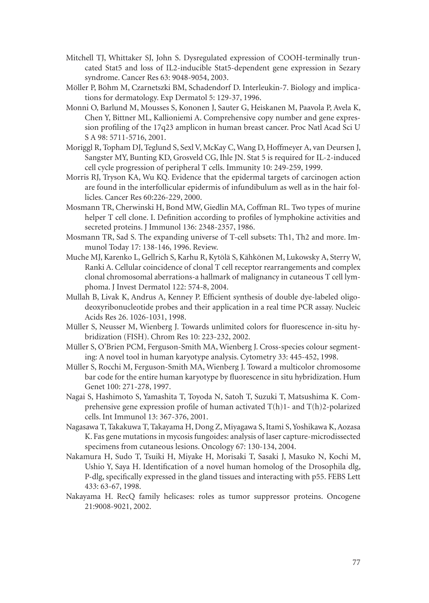- Mitchell TJ, Whittaker SJ, John S. Dysregulated expression of COOH-terminally truncated Stat5 and loss of IL2-inducible Stat5-dependent gene expression in Sezary syndrome. Cancer Res 63: 9048-9054, 2003.
- Möller P, Böhm M, Czarnetszki BM, Schadendorf D. Interleukin-7. Biology and implications for dermatology. Exp Dermatol 5: 129-37, 1996.
- Monni O, Barlund M, Mousses S, Kononen J, Sauter G, Heiskanen M, Paavola P, Avela K, Chen Y, Bittner ML, Kallioniemi A. Comprehensive copy number and gene expression profiling of the 17q23 amplicon in human breast cancer. Proc Natl Acad Sci U S A 98: 5711-5716, 2001.
- Moriggl R, Topham DJ, Teglund S, Sexl V, McKay C, Wang D, Hoffmeyer A, van Deursen J, Sangster MY, Bunting KD, Grosveld CG, Ihle JN. Stat 5 is required for IL-2-induced cell cycle progression of peripheral T cells. Immunity 10: 249-259, 1999.
- Morris RJ, Tryson KA, Wu KQ. Evidence that the epidermal targets of carcinogen action are found in the interfollicular epidermis of infundibulum as well as in the hair follicles. Cancer Res 60:226-229, 2000.
- Mosmann TR, Cherwinski H, Bond MW, Giedlin MA, Coffman RL. Two types of murine helper T cell clone. I. Definition according to profiles of lymphokine activities and secreted proteins. J Immunol 136: 2348-2357, 1986.
- Mosmann TR, Sad S. The expanding universe of T-cell subsets: Th1, Th2 and more. Immunol Today 17: 138-146, 1996. Review.
- Muche MJ, Karenko L, Gellrich S, Karhu R, Kytölä S, Kähkönen M, Lukowsky A, Sterry W, Ranki A. Cellular coincidence of clonal T cell receptor rearrangements and complex clonal chromosomal aberrations-a hallmark of malignancy in cutaneous T cell lymphoma. J Invest Dermatol 122: 574-8, 2004.
- Mullah B, Livak K, Andrus A, Kenney P. Efficient synthesis of double dye-labeled oligodeoxyribonucleotide probes and their application in a real time PCR assay. Nucleic Acids Res 26. 1026-1031, 1998.
- Müller S, Neusser M, Wienberg J. Towards unlimited colors for fluorescence in-situ hybridization (FISH). Chrom Res 10: 223-232, 2002.
- Müller S, O'Brien PCM, Ferguson-Smith MA, Wienberg J. Cross-species colour segmenting: A novel tool in human karyotype analysis. Cytometry 33: 445-452, 1998.
- Müller S, Rocchi M, Ferguson-Smith MA, Wienberg J. Toward a multicolor chromosome bar code for the entire human karyotype by fluorescence in situ hybridization. Hum Genet 100: 271-278, 1997.
- Nagai S, Hashimoto S, Yamashita T, Toyoda N, Satoh T, Suzuki T, Matsushima K. Comprehensive gene expression profile of human activated  $T(h)1$ - and  $T(h)2$ -polarized cells. Int Immunol 13: 367-376, 2001.
- Nagasawa T, Takakuwa T, Takayama H, Dong Z, Miyagawa S, Itami S, Yoshikawa K, Aozasa K. Fas gene mutations in mycosis fungoides: analysis of laser capture-microdissected specimens from cutaneous lesions. Oncology 67: 130-134, 2004.
- Nakamura H, Sudo T, Tsuiki H, Miyake H, Morisaki T, Sasaki J, Masuko N, Kochi M, Ushio Y, Saya H. Identification of a novel human homolog of the Drosophila dlg, P-dlg, specifically expressed in the gland tissues and interacting with p55. FEBS Lett 433: 63-67, 1998.
- Nakayama H. RecQ family helicases: roles as tumor suppressor proteins. Oncogene 21:9008-9021, 2002.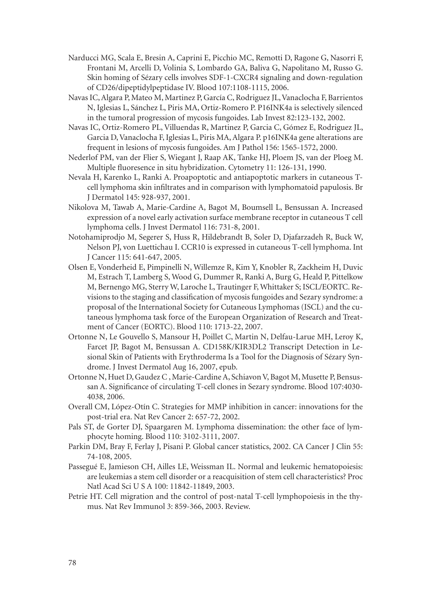- Narducci MG, Scala E, Bresin A, Caprini E, Picchio MC, Remotti D, Ragone G, Nasorri F, Frontani M, Arcelli D, Volinia S, Lombardo GA, Baliva G, Napolitano M, Russo G. Skin homing of Sézary cells involves SDF-1-CXCR4 signaling and down-regulation of CD26/dipeptidylpeptidase IV. Blood 107:1108-1115, 2006.
- Navas IC, Algara P, Mateo M, Martinez P, García C, Rodriguez JL, Vanaclocha F, Barrientos N, Iglesias L, Sánchez L, Piris MA, Ortiz-Romero P. P16INK4a is selectively silenced in the tumoral progression of mycosis fungoides. Lab Invest 82:123-132, 2002.
- Navas IC, Ortiz-Romero PL, Villuendas R, Martinez P, Garcia C, Gómez E, Rodriguez JL, Garcia D, Vanaclocha F, Iglesias L, Piris MA, Algara P. p16INK4a gene alterations are frequent in lesions of mycosis fungoides. Am J Pathol 156: 1565-1572, 2000.
- Nederlof PM, van der Flier S, Wiegant J, Raap AK, Tanke HJ, Ploem JS, van der Ploeg M. Multiple fluoresence in situ hybridization. Cytometry 11: 126-131, 1990.
- Nevala H, Karenko L, Ranki A. Proapoptotic and antiapoptotic markers in cutaneous Tcell lymphoma skin infiltrates and in comparison with lymphomatoid papulosis. Br J Dermatol 145: 928-937, 2001.
- Nikolova M, Tawab A, Marie-Cardine A, Bagot M, Boumsell L, Bensussan A. Increased expression of a novel early activation surface membrane receptor in cutaneous T cell lymphoma cells. J Invest Dermatol 116: 731-8, 2001.
- Notohamiprodjo M, Segerer S, Huss R, Hildebrandt B, Soler D, Djafarzadeh R, Buck W, Nelson PJ, von Luettichau I. CCR10 is expressed in cutaneous T-cell lymphoma. Int J Cancer 115: 641-647, 2005.
- Olsen E, Vonderheid E, Pimpinelli N, Willemze R, Kim Y, Knobler R, Zackheim H, Duvic M, Estrach T, Lamberg S, Wood G, Dummer R, Ranki A, Burg G, Heald P, Pittelkow M, Bernengo MG, Sterry W, Laroche L, Trautinger F, Whittaker S; ISCL/EORTC. Revisions to the staging and classification of mycosis fungoides and Sezary syndrome: a proposal of the International Society for Cutaneous Lymphomas (ISCL) and the cutaneous lymphoma task force of the European Organization of Research and Treatment of Cancer (EORTC). Blood 110: 1713-22, 2007.
- Ortonne N, Le Gouvello S, Mansour H, Poillet C, Martin N, Delfau-Larue MH, Leroy K, Farcet JP, Bagot M, Bensussan A. CD158K/KIR3DL2 Transcript Detection in Lesional Skin of Patients with Erythroderma Is a Tool for the Diagnosis of Sézary Syndrome. J Invest Dermatol Aug 16, 2007, epub.
- Ortonne N, Huet D, Gaudez C , Marie-Cardine A, Schiavon V, Bagot M, Musette P, Bensussan A. Significance of circulating T-cell clones in Sezary syndrome. Blood 107:4030-4038, 2006.
- Overall CM, López-Otín C. Strategies for MMP inhibition in cancer: innovations for the post-trial era. Nat Rev Cancer 2: 657-72, 2002.
- Pals ST, de Gorter DJ, Spaargaren M. Lymphoma dissemination: the other face of lymphocyte homing. Blood 110: 3102-3111, 2007.
- Parkin DM, Bray F, Ferlay J, Pisani P. Global cancer statistics, 2002. CA Cancer J Clin 55: 74-108, 2005.
- Passegué E, Jamieson CH, Ailles LE, Weissman IL. Normal and leukemic hematopoiesis: are leukemias a stem cell disorder or a reacquisition of stem cell characteristics? Proc Natl Acad Sci U S A 100: 11842-11849, 2003.
- Petrie HT. Cell migration and the control of post-natal T-cell lymphopoiesis in the thymus. Nat Rev Immunol 3: 859-366, 2003. Review.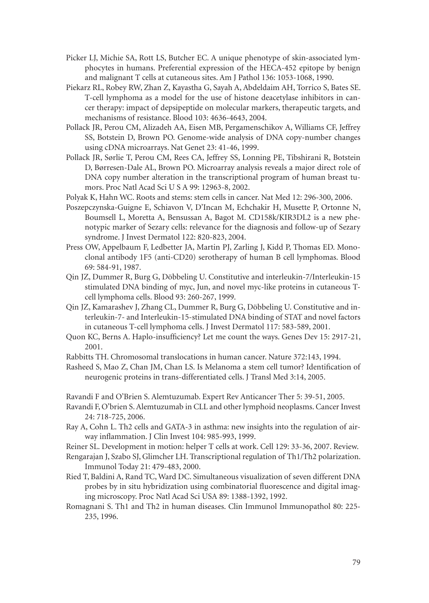- Picker LJ, Michie SA, Rott LS, Butcher EC. A unique phenotype of skin-associated lymphocytes in humans. Preferential expression of the HECA-452 epitope by benign and malignant T cells at cutaneous sites. Am J Pathol 136: 1053-1068, 1990.
- Piekarz RL, Robey RW, Zhan Z, Kayastha G, Sayah A, Abdeldaim AH, Torrico S, Bates SE. T-cell lymphoma as a model for the use of histone deacetylase inhibitors in cancer therapy: impact of depsipeptide on molecular markers, therapeutic targets, and mechanisms of resistance. Blood 103: 4636-4643, 2004.
- Pollack JR, Perou CM, Alizadeh AA, Eisen MB, Pergamenschikov A, Williams CF, Jeffrey SS, Botstein D, Brown PO. Genome-wide analysis of DNA copy-number changes using cDNA microarrays. Nat Genet 23: 41-46, 1999.
- Pollack JR, Sørlie T, Perou CM, Rees CA, Jeffrey SS, Lonning PE, Tibshirani R, Botstein D, Børresen-Dale AL, Brown PO. Microarray analysis reveals a major direct role of DNA copy number alteration in the transcriptional program of human breast tumors. Proc Natl Acad Sci U S A 99: 12963-8, 2002.
- Polyak K, Hahn WC. Roots and stems: stem cells in cancer. Nat Med 12: 296-300, 2006.
- Poszepczynska-Guigne E, Schiavon V, D'Incan M, Echchakir H, Musette P, Ortonne N, Boumsell L, Moretta A, Bensussan A, Bagot M. CD158k/KIR3DL2 is a new phenotypic marker of Sezary cells: relevance for the diagnosis and follow-up of Sezary syndrome. J Invest Dermatol 122: 820-823, 2004.
- Press OW, Appelbaum F, Ledbetter JA, Martin PJ, Zarling J, Kidd P, Thomas ED. Monoclonal antibody 1F5 (anti-CD20) serotherapy of human B cell lymphomas. Blood 69: 584-91, 1987.
- Qin JZ, Dummer R, Burg G, Döbbeling U. Constitutive and interleukin-7/Interleukin-15 stimulated DNA binding of myc, Jun, and novel myc-like proteins in cutaneous Tcell lymphoma cells. Blood 93: 260-267, 1999.
- Qin JZ, Kamarashev J, Zhang CL, Dummer R, Burg G, Döbbeling U. Constitutive and interleukin-7- and Interleukin-15-stimulated DNA binding of STAT and novel factors in cutaneous T-cell lymphoma cells. J Invest Dermatol 117: 583-589, 2001.
- Quon KC, Berns A. Haplo-insufficiency? Let me count the ways. Genes Dev 15: 2917-21, 2001.
- Rabbitts TH. Chromosomal translocations in human cancer. Nature 372:143, 1994.
- Rasheed S, Mao Z, Chan JM, Chan LS. Is Melanoma a stem cell tumor? Identification of neurogenic proteins in trans-differentiated cells. J Transl Med 3:14, 2005.
- Ravandi F and O'Brien S. Alemtuzumab. Expert Rev Anticancer Ther 5: 39-51, 2005.
- Ravandi F, O'brien S. Alemtuzumab in CLL and other lymphoid neoplasms. Cancer Invest 24: 718-725, 2006.
- Ray A, Cohn L. Th2 cells and GATA-3 in asthma: new insights into the regulation of airway inflammation. J Clin Invest 104: 985-993, 1999.
- Reiner SL. Development in motion: helper T cells at work. Cell 129: 33-36, 2007. Review.
- Rengarajan J, Szabo SJ, Glimcher LH. Transcriptional regulation of Th1/Th2 polarization. Immunol Today 21: 479-483, 2000.
- Ried T, Baldini A, Rand TC, Ward DC. Simultaneous visualization of seven different DNA probes by in situ hybridization using combinatorial fluorescence and digital imaging microscopy. Proc Natl Acad Sci USA 89: 1388-1392, 1992.
- Romagnani S. Th1 and Th2 in human diseases. Clin Immunol Immunopathol 80: 225- 235, 1996.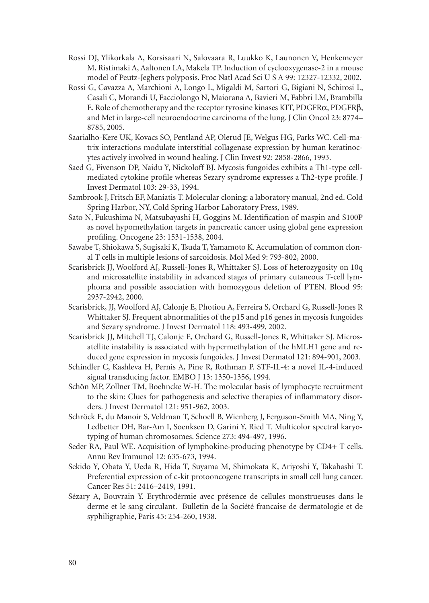- Rossi DJ, Ylikorkala A, Korsisaari N, Salovaara R, Luukko K, Launonen V, Henkemeyer M, Ristimaki A, Aaltonen LA, Makela TP. Induction of cyclooxygenase-2 in a mouse model of Peutz-Jeghers polyposis. Proc Natl Acad Sci U S A 99: 12327-12332, 2002.
- Rossi G, Cavazza A, Marchioni A, Longo L, Migaldi M, Sartori G, Bigiani N, Schirosi L, Casali C, Morandi U, Facciolongo N, Maiorana A, Bavieri M, Fabbri LM, Brambilla E. Role of chemotherapy and the receptor tyrosine kinases KIT, PDGFRα, PDGFRβ, and Met in large-cell neuroendocrine carcinoma of the lung. J Clin Oncol 23: 8774– 8785, 2005.
- Saarialho-Kere UK, Kovacs SO, Pentland AP, Olerud JE, Welgus HG, Parks WC. Cell-matrix interactions modulate interstitial collagenase expression by human keratinocytes actively involved in wound healing. J Clin Invest 92: 2858-2866, 1993.
- Saed G, Fivenson DP, Naidu Y, Nickoloff BJ. Mycosis fungoides exhibits a Th1-type cellmediated cytokine profile whereas Sezary syndrome expresses a Th2-type profile. J Invest Dermatol 103: 29-33, 1994.
- Sambrook J, Fritsch EF, Maniatis T. Molecular cloning: a laboratory manual, 2nd ed. Cold Spring Harbor, NY, Cold Spring Harbor Laboratory Press, 1989.
- Sato N, Fukushima N, Matsubayashi H, Goggins M. Identification of maspin and S100P as novel hypomethylation targets in pancreatic cancer using global gene expression profiling. Oncogene 23: 1531-1538, 2004.
- Sawabe T, Shiokawa S, Sugisaki K, Tsuda T, Yamamoto K. Accumulation of common clonal T cells in multiple lesions of sarcoidosis. Mol Med 9: 793-802, 2000.
- Scarisbrick JJ, Woolford AJ, Russell-Jones R, Whittaker SJ. Loss of heterozygosity on 10q and microsatellite instability in advanced stages of primary cutaneous T-cell lymphoma and possible association with homozygous deletion of PTEN. Blood 95: 2937-2942, 2000.
- Scarisbrick, JJ, Woolford AJ, Calonje E, Photiou A, Ferreira S, Orchard G, Russell-Jones R Whittaker SJ. Frequent abnormalities of the p15 and p16 genes in mycosis fungoides and Sezary syndrome. J Invest Dermatol 118: 493-499, 2002.
- Scarisbrick JJ, Mitchell TJ, Calonje E, Orchard G, Russell-Jones R, Whittaker SJ. Microsatellite instability is associated with hypermethylation of the hMLH1 gene and reduced gene expression in mycosis fungoides. J Invest Dermatol 121: 894-901, 2003.
- Schindler C, Kashleva H, Pernis A, Pine R, Rothman P. STF-IL-4: a novel IL-4-induced signal transducing factor. EMBO J 13: 1350-1356, 1994.
- Schön MP, Zollner TM, Boehncke W-H. The molecular basis of lymphocyte recruitment to the skin: Clues for pathogenesis and selective therapies of inflammatory disorders. J Invest Dermatol 121: 951-962, 2003.
- Schröck E, du Manoir S, Veldman T, Schoell B, Wienberg J, Ferguson-Smith MA, Ning Y, Ledbetter DH, Bar-Am I, Soenksen D, Garini Y, Ried T. Multicolor spectral karyotyping of human chromosomes. Science 273: 494-497, 1996.
- Seder RA, Paul WE. Acquisition of lymphokine-producing phenotype by CD4+ T cells. Annu Rev Immunol 12: 635-673, 1994.
- Sekido Y, Obata Y, Ueda R, Hida T, Suyama M, Shimokata K, Ariyoshi Y, Takahashi T. Preferential expression of c-kit protooncogene transcripts in small cell lung cancer. Cancer Res 51: 2416–2419, 1991.
- Sézary A, Bouvrain Y. Erythrodérmie avec présence de cellules monstrueuses dans le derme et le sang circulant. Bulletin de la Société francaise de dermatologie et de syphiligraphie, Paris 45: 254-260, 1938.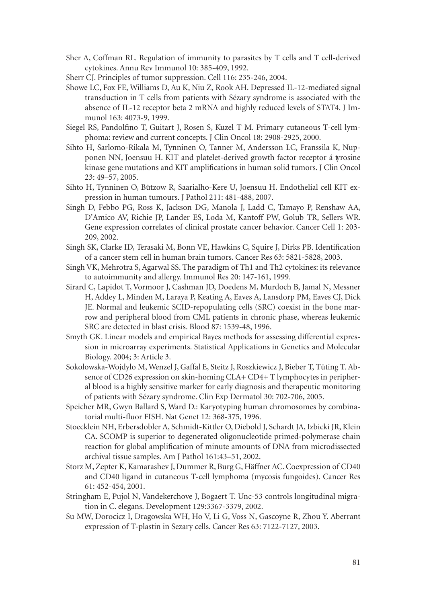Sher A, Coffman RL. Regulation of immunity to parasites by T cells and T cell-derived cytokines. Annu Rev Immunol 10: 385-409, 1992.

Sherr CJ. Principles of tumor suppression. Cell 116: 235-246, 2004.

- Showe LC, Fox FE, Williams D, Au K, Niu Z, Rook AH. Depressed IL-12-mediated signal transduction in T cells from patients with Sézary syndrome is associated with the absence of IL-12 receptor beta 2 mRNA and highly reduced levels of STAT4. J Immunol 163: 4073-9, 1999.
- Siegel RS, Pandolfino T, Guitart J, Rosen S, Kuzel T M. Primary cutaneous T-cell lymphoma: review and current concepts. J Clin Oncol 18: 2908-2925, 2000.
- Sihto H, Sarlomo-Rikala M, Tynninen O, Tanner M, Andersson LC, Franssila K, Nupponen NN, Joensuu H. KIT and platelet-derived growth factor receptor á tyrosine kinase gene mutations and KIT amplifications in human solid tumors. J Clin Oncol 23: 49–57, 2005.
- Sihto H, Tynninen O, Bützow R, Saarialho-Kere U, Joensuu H. Endothelial cell KIT expression in human tumours. J Pathol 211: 481-488, 2007.
- Singh D, Febbo PG, Ross K, Jackson DG, Manola J, Ladd C, Tamayo P, Renshaw AA, D'Amico AV, Richie JP, Lander ES, Loda M, Kantoff PW, Golub TR, Sellers WR. Gene expression correlates of clinical prostate cancer behavior. Cancer Cell 1: 203- 209, 2002.
- Singh SK, Clarke ID, Terasaki M, Bonn VE, Hawkins C, Squire J, Dirks PB. Identification of a cancer stem cell in human brain tumors. Cancer Res 63: 5821-5828, 2003.
- Singh VK, Mehrotra S, Agarwal SS. The paradigm of Th1 and Th2 cytokines: its relevance to autoimmunity and allergy. Immunol Res 20: 147-161, 1999.
- Sirard C, Lapidot T, Vormoor J, Cashman JD, Doedens M, Murdoch B, Jamal N, Messner H, Addey L, Minden M, Laraya P, Keating A, Eaves A, Lansdorp PM, Eaves CJ, Dick JE. Normal and leukemic SCID-repopulating cells (SRC) coexist in the bone marrow and peripheral blood from CML patients in chronic phase, whereas leukemic SRC are detected in blast crisis. Blood 87: 1539-48, 1996.
- Smyth GK. Linear models and empirical Bayes methods for assessing differential expression in microarray experiments. Statistical Applications in Genetics and Molecular Biology. 2004; 3: Article 3.
- Sokolowska-Wojdylo M, Wenzel J, Gaffal E, Steitz J, Roszkiewicz J, Bieber T, Tüting T. Absence of CD26 expression on skin-homing CLA+ CD4+ T lymphocytes in peripheral blood is a highly sensitive marker for early diagnosis and therapeutic monitoring of patients with Sézary syndrome. Clin Exp Dermatol 30: 702-706, 2005.
- Speicher MR, Gwyn Ballard S, Ward D.: Karyotyping human chromosomes by combinatorial multi-fluor FISH. Nat Genet 12: 368-375, 1996.
- Stoecklein NH, Erbersdobler A, Schmidt-Kittler O, Diebold J, Schardt JA, Izbicki JR, Klein CA. SCOMP is superior to degenerated oligonucleotide primed-polymerase chain reaction for global amplification of minute amounts of DNA from microdissected archival tissue samples. Am J Pathol 161:43–51, 2002.
- Storz M, Zepter K, Kamarashev J, Dummer R, Burg G, Häffner AC. Coexpression of CD40 and CD40 ligand in cutaneous T-cell lymphoma (mycosis fungoides). Cancer Res 61: 452-454, 2001.
- Stringham E, Pujol N, Vandekerchove J, Bogaert T. Unc-53 controls longitudinal migration in C. elegans. Development 129:3367-3379, 2002.
- Su MW, Dorocicz I, Dragowska WH, Ho V, Li G, Voss N, Gascoyne R, Zhou Y. Aberrant expression of T-plastin in Sezary cells. Cancer Res 63: 7122-7127, 2003.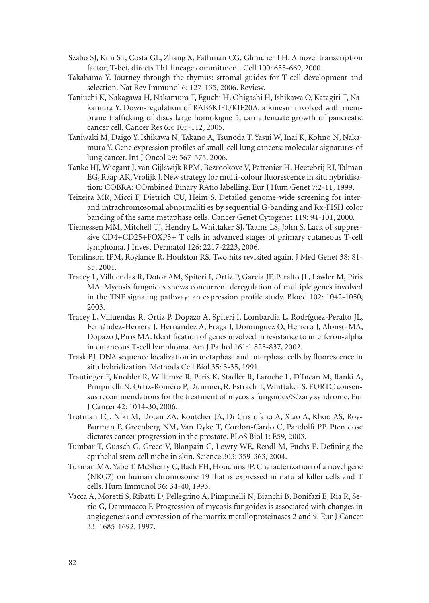- Szabo SJ, Kim ST, Costa GL, Zhang X, Fathman CG, Glimcher LH. A novel transcription factor, T-bet, directs Th1 lineage commitment. Cell 100: 655-669, 2000.
- Takahama Y. Journey through the thymus: stromal guides for T-cell development and selection. Nat Rev Immunol 6: 127-135, 2006. Review.
- Taniuchi K, Nakagawa H, Nakamura T, Eguchi H, Ohigashi H, Ishikawa O, Katagiri T, Nakamura Y. Down-regulation of RAB6KIFL/KIF20A, a kinesin involved with membrane trafficking of discs large homologue 5, can attenuate growth of pancreatic cancer cell. Cancer Res 65: 105-112, 2005.
- Taniwaki M, Daigo Y, Ishikawa N, Takano A, Tsunoda T, Yasui W, Inai K, Kohno N, Nakamura Y. Gene expression profiles of small-cell lung cancers: molecular signatures of lung cancer. Int J Oncol 29: 567-575, 2006.
- Tanke HJ, Wiegant J, van Gijlswijk RPM, Bezrookove V, Pattenier H, Heetebrij RJ, Talman EG, Raap AK, Vrolijk J. New strategy for multi-colour fluorescence in situ hybridisation: COBRA: COmbined Binary RAtio labelling. Eur J Hum Genet 7:2-11, 1999.
- Teixeira MR, Micci F, Dietrich CU, Heim S. Detailed genome-wide screening for interand intrachromosomal abnormaliti es by sequential G-banding and Rx-FISH color banding of the same metaphase cells. Cancer Genet Cytogenet 119: 94-101, 2000.
- Tiemessen MM, Mitchell TJ, Hendry L, Whittaker SJ, Taams LS, John S. Lack of suppressive CD4+CD25+FOXP3+ T cells in advanced stages of primary cutaneous T-cell lymphoma. J Invest Dermatol 126: 2217-2223, 2006.
- Tomlinson IPM, Roylance R, Houlston RS. Two hits revisited again. J Med Genet 38: 81- 85, 2001.
- Tracey L, Villuendas R, Dotor AM, Spiteri I, Ortiz P, Garcia JF, Peralto JL, Lawler M, Piris MA. Mycosis fungoides shows concurrent deregulation of multiple genes involved in the TNF signaling pathway: an expression profile study. Blood 102: 1042-1050, 2003.
- Tracey L, Villuendas R, Ortiz P, Dopazo A, Spiteri I, Lombardia L, Rodríguez-Peralto JL, Fernández-Herrera J, Hernández A, Fraga J, Dominguez O, Herrero J, Alonso MA, Dopazo J, Piris MA. Identification of genes involved in resistance to interferon-alpha in cutaneous T-cell lymphoma. Am J Pathol 161:1 825-837, 2002.
- Trask BJ. DNA sequence localization in metaphase and interphase cells by fluorescence in situ hybridization. Methods Cell Biol 35: 3-35, 1991.
- Trautinger F, Knobler R, Willemze R, Peris K, Stadler R, Laroche L, D'Incan M, Ranki A, Pimpinelli N, Ortiz-Romero P, Dummer, R, Estrach T, Whittaker S. EORTC consensus recommendations for the treatment of mycosis fungoides/Sézary syndrome, Eur J Cancer 42: 1014-30, 2006.
- Trotman LC, Niki M, Dotan ZA, Koutcher JA, Di Cristofano A, Xiao A, Khoo AS, Roy-Burman P, Greenberg NM, Van Dyke T, Cordon-Cardo C, Pandolfi PP. Pten dose dictates cancer progression in the prostate. PLoS Biol 1: E59, 2003.
- Tumbar T, Guasch G, Greco V, Blanpain C, Lowry WE, Rendl M, Fuchs E. Defining the epithelial stem cell niche in skin. Science 303: 359-363, 2004.
- Turman MA, Yabe T, McSherry C, Bach FH, Houchins JP. Characterization of a novel gene (NKG7) on human chromosome 19 that is expressed in natural killer cells and T cells. Hum Immunol 36: 34-40, 1993.
- Vacca A, Moretti S, Ribatti D, Pellegrino A, Pimpinelli N, Bianchi B, Bonifazi E, Ria R, Serio G, Dammacco F. Progression of mycosis fungoides is associated with changes in angiogenesis and expression of the matrix metalloproteinases 2 and 9. Eur J Cancer 33: 1685-1692, 1997.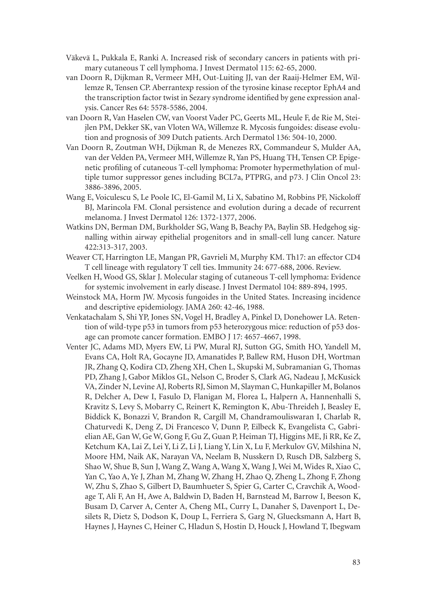- Väkevä L, Pukkala E, Ranki A. Increased risk of secondary cancers in patients with primary cutaneous T cell lymphoma. J Invest Dermatol 115: 62-65, 2000.
- van Doorn R, Dijkman R, Vermeer MH, Out-Luiting JJ, van der Raaij-Helmer EM, Willemze R, Tensen CP. Aberrantexp ression of the tyrosine kinase receptor EphA4 and the transcription factor twist in Sezary syndrome identified by gene expression analysis. Cancer Res 64: 5578-5586, 2004.
- van Doorn R, Van Haselen CW, van Voorst Vader PC, Geerts ML, Heule F, de Rie M, Steijlen PM, Dekker SK, van Vloten WA, Willemze R. Mycosis fungoides: disease evolution and prognosis of 309 Dutch patients. Arch Dermatol 136: 504-10, 2000.
- Van Doorn R, Zoutman WH, Dijkman R, de Menezes RX, Commandeur S, Mulder AA, van der Velden PA, Vermeer MH, Willemze R, Yan PS, Huang TH, Tensen CP. Epigenetic profiling of cutaneous T-cell lymphoma: Promoter hypermethylation of multiple tumor suppressor genes including BCL7a, PTPRG, and p73. J Clin Oncol 23: 3886-3896, 2005.
- Wang E, Voiculescu S, Le Poole IC, El-Gamil M, Li X, Sabatino M, Robbins PF, Nickoloff BJ, Marincola FM. Clonal persistence and evolution during a decade of recurrent melanoma. J Invest Dermatol 126: 1372-1377, 2006.
- Watkins DN, Berman DM, Burkholder SG, Wang B, Beachy PA, Baylin SB. Hedgehog signalling within airway epithelial progenitors and in small-cell lung cancer. Nature 422:313-317, 2003.
- Weaver CT, Harrington LE, Mangan PR, Gavrieli M, Murphy KM. Th17: an effector CD4 T cell lineage with regulatory T cell ties. Immunity 24: 677-688, 2006. Review.
- Veelken H, Wood GS, Sklar J. Molecular staging of cutaneous T-cell lymphoma: Evidence for systemic involvement in early disease. J Invest Dermatol 104: 889-894, 1995.
- Weinstock MA, Horm JW. Mycosis fungoides in the United States. Increasing incidence and descriptive epidemiology. JAMA 260: 42-46, 1988.
- Venkatachalam S, Shi YP, Jones SN, Vogel H, Bradley A, Pinkel D, Donehower LA. Retention of wild-type p53 in tumors from p53 heterozygous mice: reduction of p53 dosage can promote cancer formation. EMBO J 17: 4657-4667, 1998.
- Venter JC, Adams MD, Myers EW, Li PW, Mural RJ, Sutton GG, Smith HO, Yandell M, Evans CA, Holt RA, Gocayne JD, Amanatides P, Ballew RM, Huson DH, Wortman JR, Zhang Q, Kodira CD, Zheng XH, Chen L, Skupski M, Subramanian G, Thomas PD, Zhang J, Gabor Miklos GL, Nelson C, Broder S, Clark AG, Nadeau J, McKusick VA, Zinder N, Levine AJ, Roberts RJ, Simon M, Slayman C, Hunkapiller M, Bolanos R, Delcher A, Dew I, Fasulo D, Flanigan M, Florea L, Halpern A, Hannenhalli S, Kravitz S, Levy S, Mobarry C, Reinert K, Remington K, Abu-Threideh J, Beasley E, Biddick K, Bonazzi V, Brandon R, Cargill M, Chandramouliswaran I, Charlab R, Chaturvedi K, Deng Z, Di Francesco V, Dunn P, Eilbeck K, Evangelista C, Gabrielian AE, Gan W, Ge W, Gong F, Gu Z, Guan P, Heiman TJ, Higgins ME, Ji RR, Ke Z, Ketchum KA, Lai Z, Lei Y, Li Z, Li J, Liang Y, Lin X, Lu F, Merkulov GV, Milshina N, Moore HM, Naik AK, Narayan VA, Neelam B, Nusskern D, Rusch DB, Salzberg S, Shao W, Shue B, Sun J, Wang Z, Wang A, Wang X, Wang J, Wei M, Wides R, Xiao C, Yan C, Yao A, Ye J, Zhan M, Zhang W, Zhang H, Zhao Q, Zheng L, Zhong F, Zhong W, Zhu S, Zhao S, Gilbert D, Baumhueter S, Spier G, Carter C, Cravchik A, Woodage T, Ali F, An H, Awe A, Baldwin D, Baden H, Barnstead M, Barrow I, Beeson K, Busam D, Carver A, Center A, Cheng ML, Curry L, Danaher S, Davenport L, Desilets R, Dietz S, Dodson K, Doup L, Ferriera S, Garg N, Gluecksmann A, Hart B, Haynes J, Haynes C, Heiner C, Hladun S, Hostin D, Houck J, Howland T, Ibegwam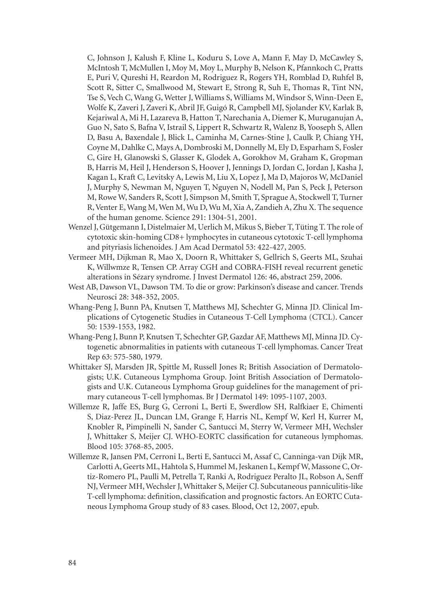C, Johnson J, Kalush F, Kline L, Koduru S, Love A, Mann F, May D, McCawley S, McIntosh T, McMullen I, Moy M, Moy L, Murphy B, Nelson K, Pfannkoch C, Pratts E, Puri V, Qureshi H, Reardon M, Rodriguez R, Rogers YH, Romblad D, Ruhfel B, Scott R, Sitter C, Smallwood M, Stewart E, Strong R, Suh E, Thomas R, Tint NN, Tse S, Vech C, Wang G, Wetter J, Williams S, Williams M, Windsor S, Winn-Deen E, Wolfe K, Zaveri J, Zaveri K, Abril JF, Guigó R, Campbell MJ, Sjolander KV, Karlak B, Kejariwal A, Mi H, Lazareva B, Hatton T, Narechania A, Diemer K, Muruganujan A, Guo N, Sato S, Bafna V, Istrail S, Lippert R, Schwartz R, Walenz B, Yooseph S, Allen D, Basu A, Baxendale J, Blick L, Caminha M, Carnes-Stine J, Caulk P, Chiang YH, Coyne M, Dahlke C, Mays A, Dombroski M, Donnelly M, Ely D, Esparham S, Fosler C, Gire H, Glanowski S, Glasser K, Glodek A, Gorokhov M, Graham K, Gropman B, Harris M, Heil J, Henderson S, Hoover J, Jennings D, Jordan C, Jordan J, Kasha J, Kagan L, Kraft C, Levitsky A, Lewis M, Liu X, Lopez J, Ma D, Majoros W, McDaniel J, Murphy S, Newman M, Nguyen T, Nguyen N, Nodell M, Pan S, Peck J, Peterson M, Rowe W, Sanders R, Scott J, Simpson M, Smith T, Sprague A, Stockwell T, Turner R, Venter E, Wang M, Wen M, Wu D, Wu M, Xia A, Zandieh A, Zhu X. The sequence of the human genome. Science 291: 1304-51, 2001.

- Wenzel J, Gütgemann I, Distelmaier M, Uerlich M, Mikus S, Bieber T, Tüting T. The role of cytotoxic skin-homing CD8+ lymphocytes in cutaneous cytotoxic T-cell lymphoma and pityriasis lichenoides. J Am Acad Dermatol 53: 422-427, 2005.
- Vermeer MH, Dijkman R, Mao X, Doorn R, Whittaker S, Gellrich S, Geerts ML, Szuhai K, Willwmze R, Tensen CP. Array CGH and COBRA-FISH reveal recurrent genetic alterations in Sézary syndrome. J Invest Dermatol 126: 46, abstract 259, 2006.
- West AB, Dawson VL, Dawson TM. To die or grow: Parkinson's disease and cancer. Trends Neurosci 28: 348-352, 2005.
- Whang-Peng J, Bunn PA, Knutsen T, Matthews MJ, Schechter G, Minna JD. Clinical Implications of Cytogenetic Studies in Cutaneous T-Cell Lymphoma (CTCL). Cancer 50: 1539-1553, 1982.
- Whang-Peng J, Bunn P, Knutsen T, Schechter GP, Gazdar AF, Matthews MJ, Minna JD. Cytogenetic abnormalities in patients with cutaneous T-cell lymphomas. Cancer Treat Rep 63: 575-580, 1979.
- Whittaker SJ, Marsden JR, Spittle M, Russell Jones R; British Association of Dermatologists; U.K. Cutaneous Lymphoma Group. Joint British Association of Dermatologists and U.K. Cutaneous Lymphoma Group guidelines for the management of primary cutaneous T-cell lymphomas. Br J Dermatol 149: 1095-1107, 2003.
- Willemze R, Jaffe ES, Burg G, Cerroni L, Berti E, Swerdlow SH, Ralfkiaer E, Chimenti S, Diaz-Perez JL, Duncan LM, Grange F, Harris NL, Kempf W, Kerl H, Kurrer M, Knobler R, Pimpinelli N, Sander C, Santucci M, Sterry W, Vermeer MH, Wechsler J, Whittaker S, Meijer CJ. WHO-EORTC classification for cutaneous lymphomas. Blood 105: 3768-85, 2005.
- Willemze R, Jansen PM, Cerroni L, Berti E, Santucci M, Assaf C, Canninga-van Dijk MR, Carlotti A, Geerts ML, Hahtola S, Hummel M, Jeskanen L, Kempf W, Massone C, Ortiz-Romero PL, Paulli M, Petrella T, Ranki A, Rodriguez Peralto JL, Robson A, Senff NJ, Vermeer MH, Wechsler J, Whittaker S, Meijer CJ. Subcutaneous panniculitis-like T-cell lymphoma: definition, classification and prognostic factors. An EORTC Cutaneous Lymphoma Group study of 83 cases. Blood, Oct 12, 2007, epub.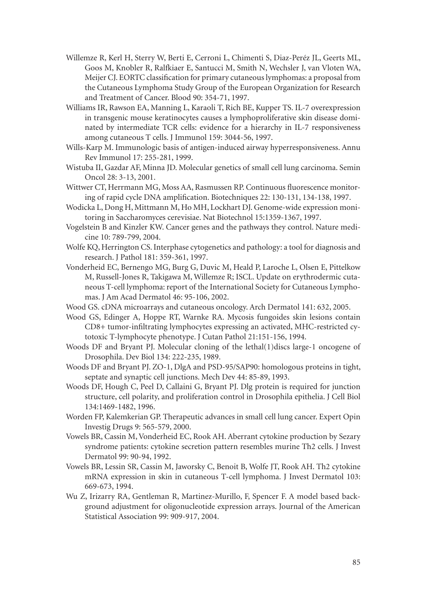- Willemze R, Kerl H, Sterry W, Berti E, Cerroni L, Chimenti S, Diaz-Peréz JL, Geerts ML, Goos M, Knobler R, Ralfkiaer E, Santucci M, Smith N, Wechsler J, van Vloten WA, Meijer CJ. EORTC classification for primary cutaneous lymphomas: a proposal from the Cutaneous Lymphoma Study Group of the European Organization for Research and Treatment of Cancer. Blood 90: 354-71, 1997.
- Williams IR, Rawson EA, Manning L, Karaoli T, Rich BE, Kupper TS. IL-7 overexpression in transgenic mouse keratinocytes causes a lymphoproliferative skin disease dominated by intermediate TCR cells: evidence for a hierarchy in IL-7 responsiveness among cutaneous T cells. J Immunol 159: 3044-56, 1997.
- Wills-Karp M. Immunologic basis of antigen-induced airway hyperresponsiveness. Annu Rev Immunol 17: 255-281, 1999.
- Wistuba II, Gazdar AF, Minna JD. Molecular genetics of small cell lung carcinoma. Semin Oncol 28: 3-13, 2001.
- Wittwer CT, Herrmann MG, Moss AA, Rasmussen RP. Continuous fluorescence monitoring of rapid cycle DNA amplification. Biotechniques 22: 130-131, 134-138, 1997.
- Wodicka L, Dong H, Mittmann M, Ho MH, Lockhart DJ. Genome-wide expression monitoring in Saccharomyces cerevisiae. Nat Biotechnol 15:1359-1367, 1997.
- Vogelstein B and Kinzler KW. Cancer genes and the pathways they control. Nature medicine 10: 789-799, 2004.
- Wolfe KQ, Herrington CS. Interphase cytogenetics and pathology: a tool for diagnosis and research. J Pathol 181: 359-361, 1997.
- Vonderheid EC, Bernengo MG, Burg G, Duvic M, Heald P, Laroche L, Olsen E, Pittelkow M, Russell-Jones R, Takigawa M, Willemze R; ISCL. Update on erythrodermic cutaneous T-cell lymphoma: report of the International Society for Cutaneous Lymphomas. J Am Acad Dermatol 46: 95-106, 2002.
- Wood GS. cDNA microarrays and cutaneous oncology. Arch Dermatol 141: 632, 2005.
- Wood GS, Edinger A, Hoppe RT, Warnke RA. Mycosis fungoides skin lesions contain CD8+ tumor-infiltrating lymphocytes expressing an activated, MHC-restricted cytotoxic T-lymphocyte phenotype. J Cutan Pathol 21:151-156, 1994.
- Woods DF and Bryant PJ. Molecular cloning of the lethal(1)discs large-1 oncogene of Drosophila. Dev Biol 134: 222-235, 1989.
- Woods DF and Bryant PJ. ZO-1, DlgA and PSD-95/SAP90: homologous proteins in tight, septate and synaptic cell junctions. Mech Dev 44: 85-89, 1993.
- Woods DF, Hough C, Peel D, Callaini G, Bryant PJ. Dlg protein is required for junction structure, cell polarity, and proliferation control in Drosophila epithelia. J Cell Biol 134:1469-1482, 1996.
- Worden FP, Kalemkerian GP. Therapeutic advances in small cell lung cancer. Expert Opin Investig Drugs 9: 565-579, 2000.
- Vowels BR, Cassin M, Vonderheid EC, Rook AH. Aberrant cytokine production by Sezary syndrome patients: cytokine secretion pattern resembles murine Th2 cells. J Invest Dermatol 99: 90-94, 1992.
- Vowels BR, Lessin SR, Cassin M, Jaworsky C, Benoit B, Wolfe JT, Rook AH. Th2 cytokine mRNA expression in skin in cutaneous T-cell lymphoma. J Invest Dermatol 103: 669-673, 1994.
- Wu Z, Irizarry RA, Gentleman R, Martinez-Murillo, F, Spencer F. A model based background adjustment for oligonucleotide expression arrays. Journal of the American Statistical Association 99: 909-917, 2004.